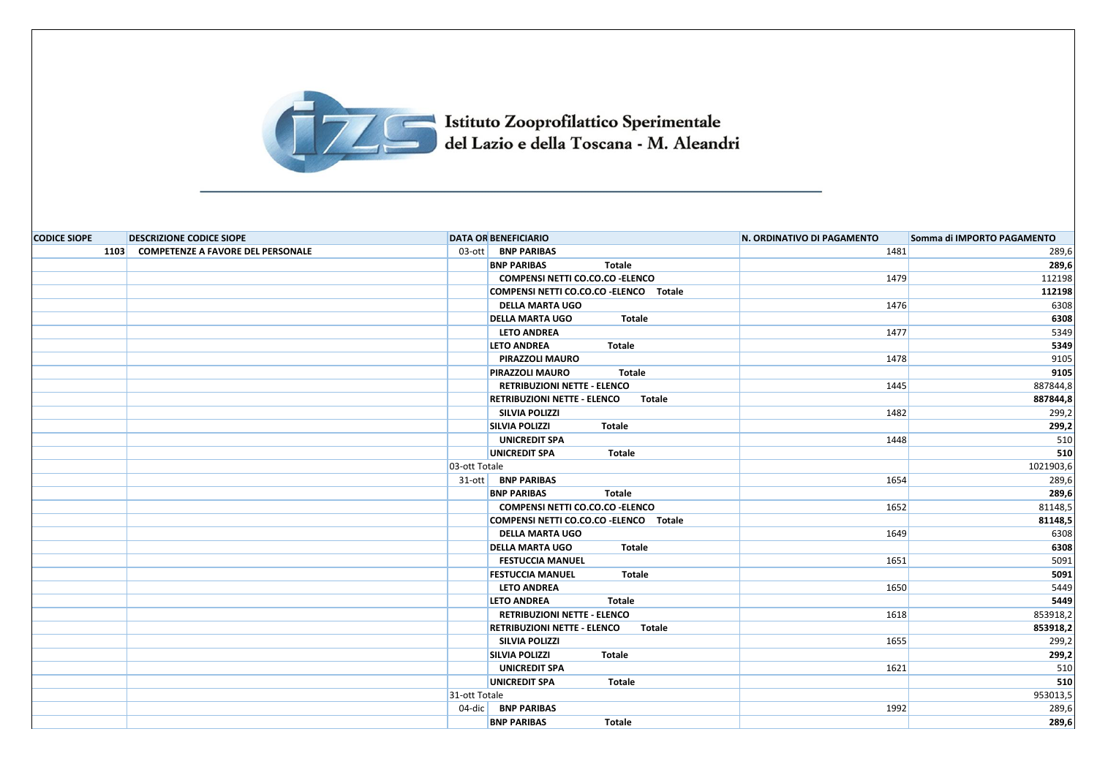

## Istituto Zooprofilattico Sperimentale<br>del Lazio e della Toscana - M. Aleandri

| <b>CODICE SIOPE</b> | <b>DESCRIZIONE CODICE SIOPE</b>        | <b>DATA OR BENEFICIARIO</b>                  | N. ORDINATIVO DI PAGAMENTO | Somma di IMPORTO PAGAMENTO |
|---------------------|----------------------------------------|----------------------------------------------|----------------------------|----------------------------|
|                     | 1103 COMPETENZE A FAVORE DEL PERSONALE | 03-ott BNP PARIBAS                           | 1481                       | 289,6                      |
|                     |                                        | <b>BNP PARIBAS</b><br>Totale                 |                            | 289,6                      |
|                     |                                        | COMPENSI NETTI CO.CO.CO - ELENCO             | 1479                       | 112198                     |
|                     |                                        | COMPENSI NETTI CO.CO.CO - ELENCO Totale      |                            | 112198                     |
|                     |                                        | <b>DELLA MARTA UGO</b>                       | 1476                       | 6308                       |
|                     |                                        | <b>DELLA MARTA UGO</b><br>Totale             |                            | 6308                       |
|                     |                                        | <b>LETO ANDREA</b>                           | 1477                       | 5349                       |
|                     |                                        | <b>LETO ANDREA</b><br>Totale                 |                            | 5349                       |
|                     |                                        | PIRAZZOLI MAURO                              | 1478                       | 9105                       |
|                     |                                        | <b>Totale</b><br><b>PIRAZZOLI MAURO</b>      |                            | 9105                       |
|                     |                                        | <b>RETRIBUZIONI NETTE - ELENCO</b>           | 1445                       | 887844,8                   |
|                     |                                        | <b>RETRIBUZIONI NETTE - ELENCO</b><br>Totale |                            | 887844,8                   |
|                     |                                        | <b>SILVIA POLIZZI</b>                        | 1482                       | 299,2                      |
|                     |                                        | <b>SILVIA POLIZZI</b><br>Totale              |                            | 299,2                      |
|                     |                                        | <b>UNICREDIT SPA</b>                         | 1448                       | 510                        |
|                     |                                        | <b>UNICREDIT SPA</b><br>Totale               |                            | 510                        |
|                     |                                        | 03-ott Totale                                |                            | 1021903,6                  |
|                     |                                        | 31-ott BNP PARIBAS                           | 1654                       | 289,6                      |
|                     |                                        | <b>BNP PARIBAS</b><br>Totale                 |                            | 289,6                      |
|                     |                                        | COMPENSI NETTI CO.CO.CO - ELENCO             | 1652                       | 81148,5                    |
|                     |                                        | COMPENSI NETTI CO.CO.CO - ELENCO Totale      |                            | 81148,5                    |
|                     |                                        | <b>DELLA MARTA UGO</b>                       | 1649                       | 6308                       |
|                     |                                        | <b>DELLA MARTA UGO</b><br>Totale             |                            | 6308                       |
|                     |                                        | <b>FESTUCCIA MANUEL</b>                      | 1651                       | 5091                       |
|                     |                                        | <b>FESTUCCIA MANUEL</b><br>Totale            |                            | 5091                       |
|                     |                                        | <b>LETO ANDREA</b>                           | 1650                       | 5449                       |
|                     |                                        | <b>LETO ANDREA</b><br>Totale                 |                            | 5449                       |
|                     |                                        | <b>RETRIBUZIONI NETTE - ELENCO</b>           | 1618                       | 853918,2                   |
|                     |                                        | <b>RETRIBUZIONI NETTE - ELENCO</b><br>Totale |                            | 853918,2                   |
|                     |                                        | <b>SILVIA POLIZZI</b>                        | 1655                       | 299,2                      |
|                     |                                        | <b>SILVIA POLIZZI</b><br><b>Totale</b>       |                            | 299,2                      |
|                     |                                        | <b>UNICREDIT SPA</b>                         | 1621                       | 510                        |
|                     |                                        | <b>UNICREDIT SPA</b><br>Totale               |                            | 510                        |
|                     |                                        | 31-ott Totale                                |                            | 953013,5                   |
|                     |                                        | 04-dic   BNP PARIBAS                         | 1992                       | 289,6                      |
|                     |                                        | <b>BNP PARIBAS</b><br><b>Totale</b>          |                            | 289,6                      |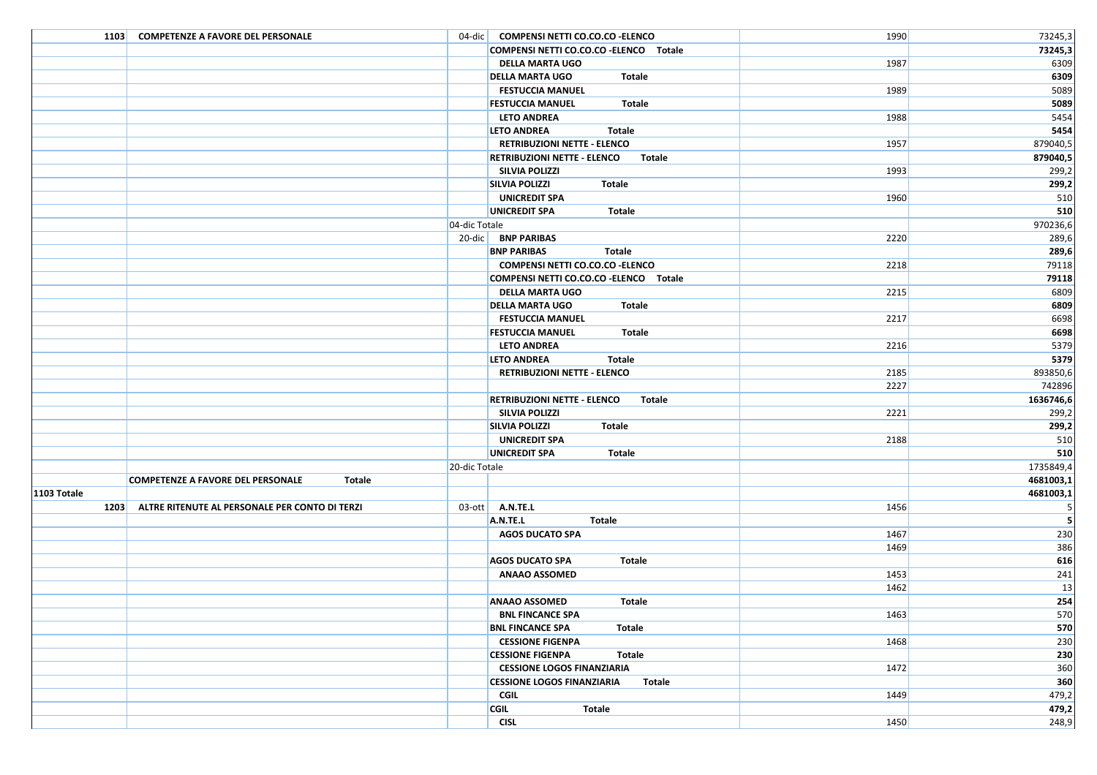| 1103 COMPETENZE A FAVORE DEL PERSONALE                 | 04-dic   COMPENSI NETTI CO.CO.CO - ELENCO           | 1990 | 73245,3        |
|--------------------------------------------------------|-----------------------------------------------------|------|----------------|
|                                                        | COMPENSI NETTI CO.CO.CO - ELENCO Totale             |      | 73245,3        |
|                                                        | <b>DELLA MARTA UGO</b>                              | 1987 | 6309           |
|                                                        | <b>DELLA MARTA UGO</b><br>Totale                    |      | 6309           |
|                                                        | <b>FESTUCCIA MANUEL</b>                             | 1989 | 5089           |
|                                                        | <b>FESTUCCIA MANUEL</b><br>Totale                   |      | 5089           |
|                                                        | <b>LETO ANDREA</b>                                  | 1988 | 5454           |
|                                                        | <b>LETO ANDREA</b><br>Totale                        |      | 5454           |
|                                                        | <b>RETRIBUZIONI NETTE - ELENCO</b>                  | 1957 | 879040,5       |
|                                                        | <b>RETRIBUZIONI NETTE - ELENCO</b><br>Totale        |      | 879040,5       |
|                                                        | <b>SILVIA POLIZZI</b>                               | 1993 | 299,2          |
|                                                        | <b>SILVIA POLIZZI</b><br>Totale                     |      | 299,2          |
|                                                        | <b>UNICREDIT SPA</b>                                | 1960 | 510            |
|                                                        | UNICREDIT SPA<br>Totale                             |      | 510            |
|                                                        | 04-dic Totale                                       |      | 970236,6       |
|                                                        | 20-dic BNP PARIBAS                                  | 2220 | 289,6          |
|                                                        | <b>BNP PARIBAS</b><br>Totale                        |      | 289,6          |
|                                                        | COMPENSI NETTI CO.CO.CO - ELENCO                    | 2218 | 79118          |
|                                                        | COMPENSI NETTI CO.CO.CO - ELENCO Totale             |      | 79118          |
|                                                        | <b>DELLA MARTA UGO</b>                              | 2215 | 6809           |
|                                                        | <b>DELLA MARTA UGO</b><br>Totale                    |      | 6809           |
|                                                        | <b>FESTUCCIA MANUEL</b>                             | 2217 | 6698           |
|                                                        | <b>FESTUCCIA MANUEL</b><br>Totale                   |      | 6698           |
|                                                        | <b>LETO ANDREA</b>                                  | 2216 | 5379           |
|                                                        | <b>LETO ANDREA</b><br>Totale                        |      | 5379           |
|                                                        | <b>RETRIBUZIONI NETTE - ELENCO</b>                  | 2185 | 893850,6       |
|                                                        |                                                     | 2227 | 742896         |
|                                                        | <b>RETRIBUZIONI NETTE - ELENCO</b><br><b>Totale</b> |      | 1636746,6      |
|                                                        | <b>SILVIA POLIZZI</b>                               | 2221 | 299,2          |
|                                                        | <b>SILVIA POLIZZI</b><br>Totale                     |      | 299,2          |
|                                                        | <b>UNICREDIT SPA</b>                                | 2188 | 510            |
|                                                        | UNICREDIT SPA<br>Totale                             |      | 510            |
|                                                        | 20-dic Totale                                       |      | 1735849,4      |
| <b>COMPETENZE A FAVORE DEL PERSONALE</b><br>Totale     |                                                     |      | 4681003,1      |
| 1103 Totale                                            |                                                     |      | 4681003,1      |
| 1203<br>ALTRE RITENUTE AL PERSONALE PER CONTO DI TERZI | $03$ -ott $A.N.$ TE.L                               | 1456 | -5             |
|                                                        | A.N.TE.L<br>Totale                                  |      | 5 <sup>1</sup> |
|                                                        | <b>AGOS DUCATO SPA</b>                              | 1467 | 230            |
|                                                        |                                                     | 1469 | 386            |
|                                                        | <b>AGOS DUCATO SPA</b><br>Totale                    |      | 616            |
|                                                        | <b>ANAAO ASSOMED</b>                                | 1453 | 241            |
|                                                        |                                                     | 1462 | 13             |
|                                                        | Totale<br><b>ANAAO ASSOMED</b>                      |      | 254            |
|                                                        | <b>BNL FINCANCE SPA</b>                             | 1463 | 570            |
|                                                        | <b>BNL FINCANCE SPA</b><br>Totale                   |      | 570            |
|                                                        | <b>CESSIONE FIGENPA</b>                             | 1468 | 230            |
|                                                        | Totale<br><b>CESSIONE FIGENPA</b>                   |      | 230            |
|                                                        | <b>CESSIONE LOGOS FINANZIARIA</b>                   | 1472 | 360            |
|                                                        | <b>CESSIONE LOGOS FINANZIARIA</b><br>Totale         |      | 360            |
|                                                        | CGIL                                                | 1449 | 479,2          |
|                                                        | <b>CGIL</b><br>Totale                               |      | 479,2          |
|                                                        | <b>CISL</b>                                         | 1450 | 248,9          |
|                                                        |                                                     |      |                |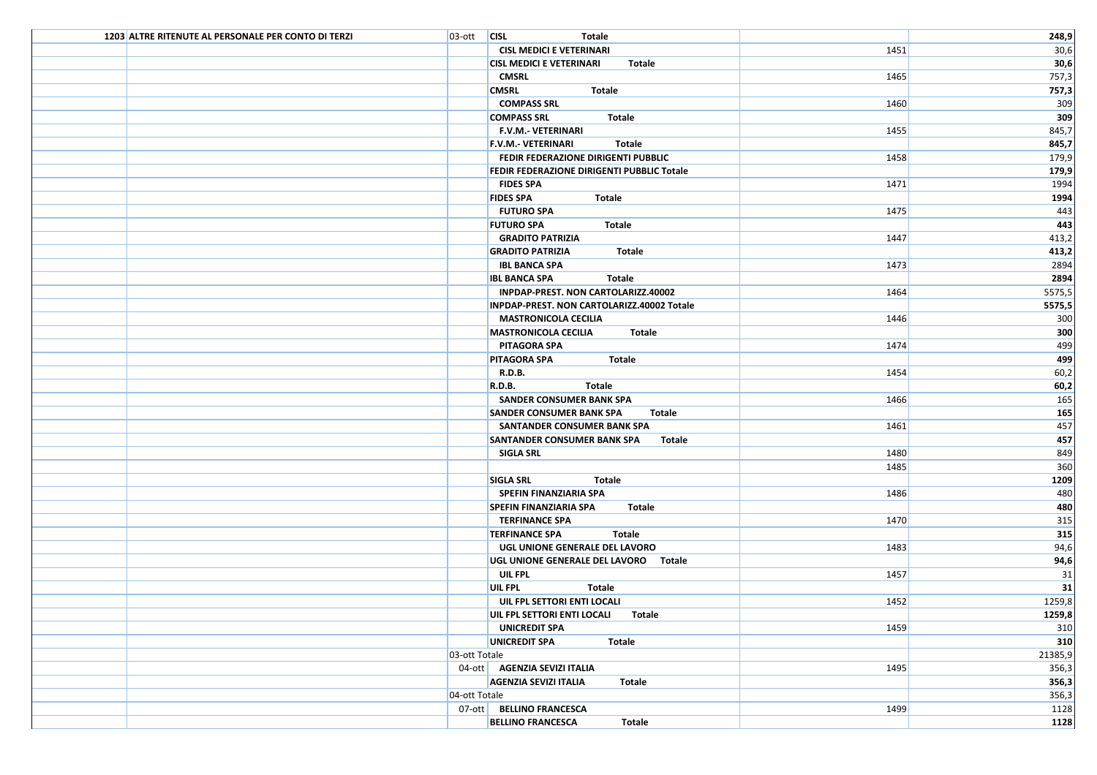| 1203 ALTRE RITENUTE AL PERSONALE PER CONTO DI TERZI | $O3$ -ott $ClSL$ | Totale                                       |      | 248,9   |
|-----------------------------------------------------|------------------|----------------------------------------------|------|---------|
|                                                     |                  | <b>CISL MEDICI E VETERINARI</b>              | 1451 | 30,6    |
|                                                     |                  | <b>CISL MEDICI E VETERINARI</b><br>Totale    |      | 30,6    |
|                                                     |                  | CMSRL                                        | 1465 | 757,3   |
|                                                     |                  | <b>CMSRL</b><br>Totale                       |      | 757,3   |
|                                                     |                  | <b>COMPASS SRL</b>                           | 1460 | 309     |
|                                                     |                  | <b>COMPASS SRL</b><br>Totale                 |      | 309     |
|                                                     |                  | F.V.M.- VETERINARI                           | 1455 | 845,7   |
|                                                     |                  | <b>F.V.M.- VETERINARI</b><br>Totale          |      | 845,7   |
|                                                     |                  | FEDIR FEDERAZIONE DIRIGENTI PUBBLIC          | 1458 | 179,9   |
|                                                     |                  | FEDIR FEDERAZIONE DIRIGENTI PUBBLIC Totale   |      | 179,9   |
|                                                     |                  | <b>FIDES SPA</b>                             | 1471 | 1994    |
|                                                     |                  | <b>FIDES SPA</b><br>Totale                   |      | 1994    |
|                                                     |                  | <b>FUTURO SPA</b>                            | 1475 | 443     |
|                                                     |                  | <b>FUTURO SPA</b><br>Totale                  |      | 443     |
|                                                     |                  | <b>GRADITO PATRIZIA</b>                      | 1447 | 413,2   |
|                                                     |                  | <b>GRADITO PATRIZIA</b><br>Totale            |      | 413,2   |
|                                                     |                  | <b>IBL BANCA SPA</b>                         | 1473 | 2894    |
|                                                     |                  | <b>IBL BANCA SPA</b><br>Totale               |      | 2894    |
|                                                     |                  | INPDAP-PREST. NON CARTOLARIZZ.40002          | 1464 | 5575,5  |
|                                                     |                  | INPDAP-PREST. NON CARTOLARIZZ.40002 Totale   |      | 5575,5  |
|                                                     |                  | <b>MASTRONICOLA CECILIA</b>                  | 1446 | 300     |
|                                                     |                  | <b>MASTRONICOLA CECILIA</b><br>Totale        |      | 300     |
|                                                     |                  | PITAGORA SPA                                 | 1474 | 499     |
|                                                     |                  | <b>PITAGORA SPA</b><br>Totale                |      | 499     |
|                                                     |                  | <b>R.D.B.</b>                                | 1454 | 60,2    |
|                                                     |                  | <b>R.D.B.</b><br>Totale                      |      | 60,2    |
|                                                     |                  | SANDER CONSUMER BANK SPA                     | 1466 | 165     |
|                                                     |                  | <b>SANDER CONSUMER BANK SPA</b><br>Totale    |      | 165     |
|                                                     |                  | SANTANDER CONSUMER BANK SPA                  | 1461 | 457     |
|                                                     |                  | <b>SANTANDER CONSUMER BANK SPA</b><br>Totale |      | 457     |
|                                                     |                  | SIGLA SRL                                    | 1480 | 849     |
|                                                     |                  |                                              | 1485 | 360     |
|                                                     |                  | <b>SIGLA SRL</b><br>Totale                   |      | 1209    |
|                                                     |                  | SPEFIN FINANZIARIA SPA                       | 1486 | 480     |
|                                                     |                  | <b>SPEFIN FINANZIARIA SPA</b><br>Totale      |      | 480     |
|                                                     |                  | <b>TERFINANCE SPA</b>                        | 1470 | 315     |
|                                                     |                  | <b>TERFINANCE SPA</b><br>Totale              |      | 315     |
|                                                     |                  | UGL UNIONE GENERALE DEL LAVORO               | 1483 | 94,6    |
|                                                     |                  | UGL UNIONE GENERALE DEL LAVORO Totale        |      | 94,6    |
|                                                     |                  | UIL FPL                                      | 1457 | 31      |
|                                                     |                  | UIL FPL<br>Totale                            |      | 31      |
|                                                     |                  | UIL FPL SETTORI ENTI LOCALI                  | 1452 | 1259,8  |
|                                                     |                  | UIL FPL SETTORI ENTI LOCALI Totale           |      | 1259,8  |
|                                                     |                  | UNICREDIT SPA                                | 1459 | 310     |
|                                                     |                  | <b>UNICREDIT SPA</b><br>Totale               |      | 310     |
|                                                     | 03-ott Totale    |                                              |      | 21385,9 |
|                                                     |                  | 04-ott   AGENZIA SEVIZI ITALIA               | 1495 | 356,3   |
|                                                     |                  | <b>AGENZIA SEVIZI ITALIA</b><br>Totale       |      | 356,3   |
|                                                     | 04-ott Totale    |                                              |      | 356,3   |
|                                                     |                  | 07-ott BELLINO FRANCESCA                     | 1499 | 1128    |
|                                                     |                  | <b>BELLINO FRANCESCA</b><br>Totale           |      | 1128    |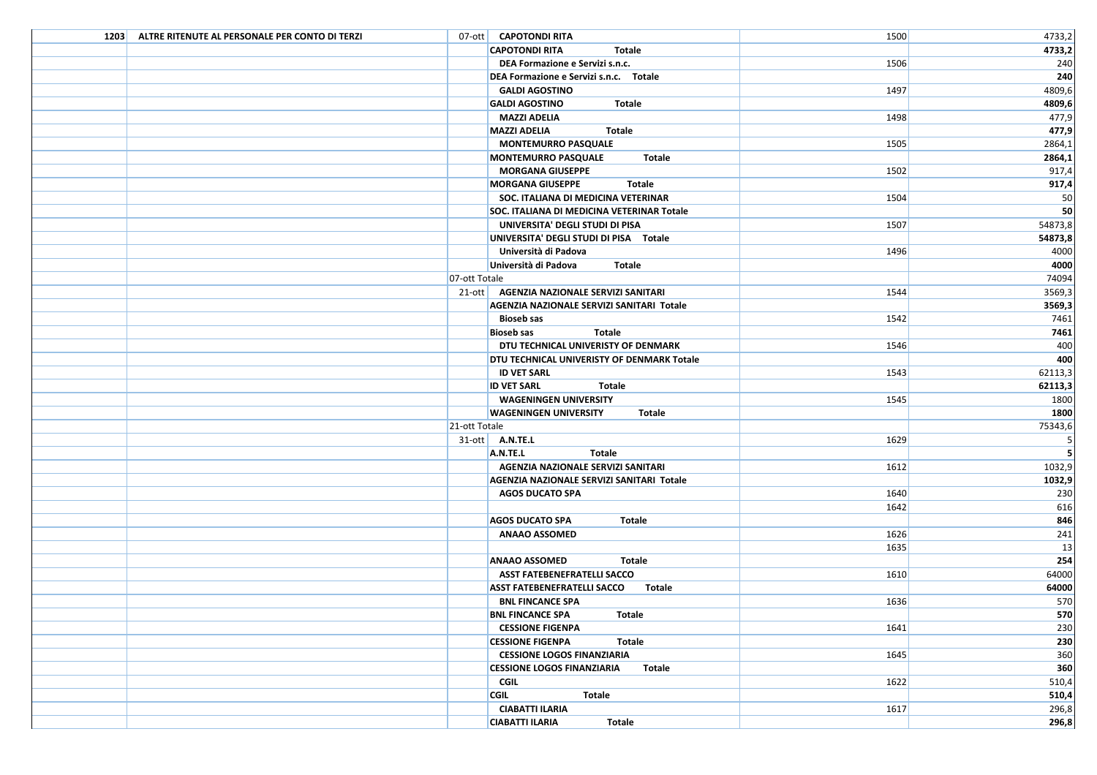| 1203 ALTRE RITENUTE AL PERSONALE PER CONTO DI TERZI | 07-ott   CAPOTONDI RITA                      | 1500 | 4733,2  |
|-----------------------------------------------------|----------------------------------------------|------|---------|
|                                                     | <b>CAPOTONDI RITA</b><br><b>Totale</b>       |      | 4733,2  |
|                                                     | DEA Formazione e Servizi s.n.c.              | 1506 | 240     |
|                                                     | DEA Formazione e Servizi s.n.c. Totale       |      | 240     |
|                                                     | <b>GALDI AGOSTINO</b>                        | 1497 | 4809,6  |
|                                                     | <b>GALDI AGOSTINO</b><br>Totale              |      | 4809,6  |
|                                                     | <b>MAZZI ADELIA</b>                          | 1498 | 477,9   |
|                                                     | <b>Totale</b><br><b>MAZZI ADELIA</b>         |      | 477,9   |
|                                                     | <b>MONTEMURRO PASQUALE</b>                   | 1505 | 2864,1  |
|                                                     | <b>MONTEMURRO PASQUALE</b><br>Totale         |      | 2864,1  |
|                                                     | <b>MORGANA GIUSEPPE</b>                      | 1502 | 917,4   |
|                                                     | <b>MORGANA GIUSEPPE</b><br>Totale            |      | 917,4   |
|                                                     | SOC. ITALIANA DI MEDICINA VETERINAR          | 1504 | 50      |
|                                                     | SOC. ITALIANA DI MEDICINA VETERINAR Totale   |      | 50      |
|                                                     | UNIVERSITA' DEGLI STUDI DI PISA              | 1507 | 54873,8 |
|                                                     | UNIVERSITA' DEGLI STUDI DI PISA Totale       |      | 54873,8 |
|                                                     | Università di Padova                         | 1496 | 4000    |
|                                                     | Università di Padova<br>Totale               |      | 4000    |
|                                                     | 07-ott Totale                                |      | 74094   |
|                                                     | 21-ott   AGENZIA NAZIONALE SERVIZI SANITARI  | 1544 | 3569,3  |
|                                                     | AGENZIA NAZIONALE SERVIZI SANITARI Totale    |      | 3569,3  |
|                                                     | <b>Bioseb sas</b>                            | 1542 | 7461    |
|                                                     | <b>Bioseb sas</b><br>Totale                  |      | 7461    |
|                                                     | DTU TECHNICAL UNIVERISTY OF DENMARK          | 1546 | 400     |
|                                                     | DTU TECHNICAL UNIVERISTY OF DENMARK Totale   |      | 400     |
|                                                     | <b>ID VET SARL</b>                           | 1543 | 62113,3 |
|                                                     | <b>ID VET SARL</b><br><b>Totale</b>          |      | 62113,3 |
|                                                     | <b>WAGENINGEN UNIVERSITY</b>                 | 1545 | 1800    |
|                                                     | <b>WAGENINGEN UNIVERSITY</b><br>Totale       |      | 1800    |
|                                                     | 21-ott Totale                                |      | 75343,6 |
|                                                     | $31$ -ott $\overline{A}$ .N.TE.L             | 1629 | 5       |
|                                                     | A.N.TE.L<br>Totale                           |      | 5       |
|                                                     | AGENZIA NAZIONALE SERVIZI SANITARI           | 1612 | 1032,9  |
|                                                     | AGENZIA NAZIONALE SERVIZI SANITARI Totale    |      | 1032,9  |
|                                                     | <b>AGOS DUCATO SPA</b>                       | 1640 | 230     |
|                                                     |                                              | 1642 | 616     |
|                                                     | <b>AGOS DUCATO SPA</b><br>Totale             |      | 846     |
|                                                     | <b>ANAAO ASSOMED</b>                         | 1626 | 241     |
|                                                     |                                              | 1635 | 13      |
|                                                     | <b>ANAAO ASSOMED</b><br>Totale               |      | 254     |
|                                                     | <b>ASST FATEBENEFRATELLI SACCO</b>           | 1610 | 64000   |
|                                                     | <b>ASST FATEBENEFRATELLI SACCO</b><br>Totale |      | 64000   |
|                                                     | <b>BNL FINCANCE SPA</b>                      | 1636 | 570     |
|                                                     | <b>BNL FINCANCE SPA</b><br><b>Totale</b>     |      | 570     |
|                                                     | <b>CESSIONE FIGENPA</b>                      | 1641 | 230     |
|                                                     | <b>CESSIONE FIGENPA</b><br>Totale            |      | 230     |
|                                                     | <b>CESSIONE LOGOS FINANZIARIA</b>            | 1645 | 360     |
|                                                     | <b>CESSIONE LOGOS FINANZIARIA</b><br>Totale  |      | 360     |
|                                                     | CGIL                                         | 1622 | 510,4   |
|                                                     | <b>CGIL</b><br>Totale                        |      | 510,4   |
|                                                     | <b>CIABATTI ILARIA</b>                       | 1617 | 296,8   |
|                                                     | <b>CIABATTI ILARIA</b><br>Totale             |      | 296,8   |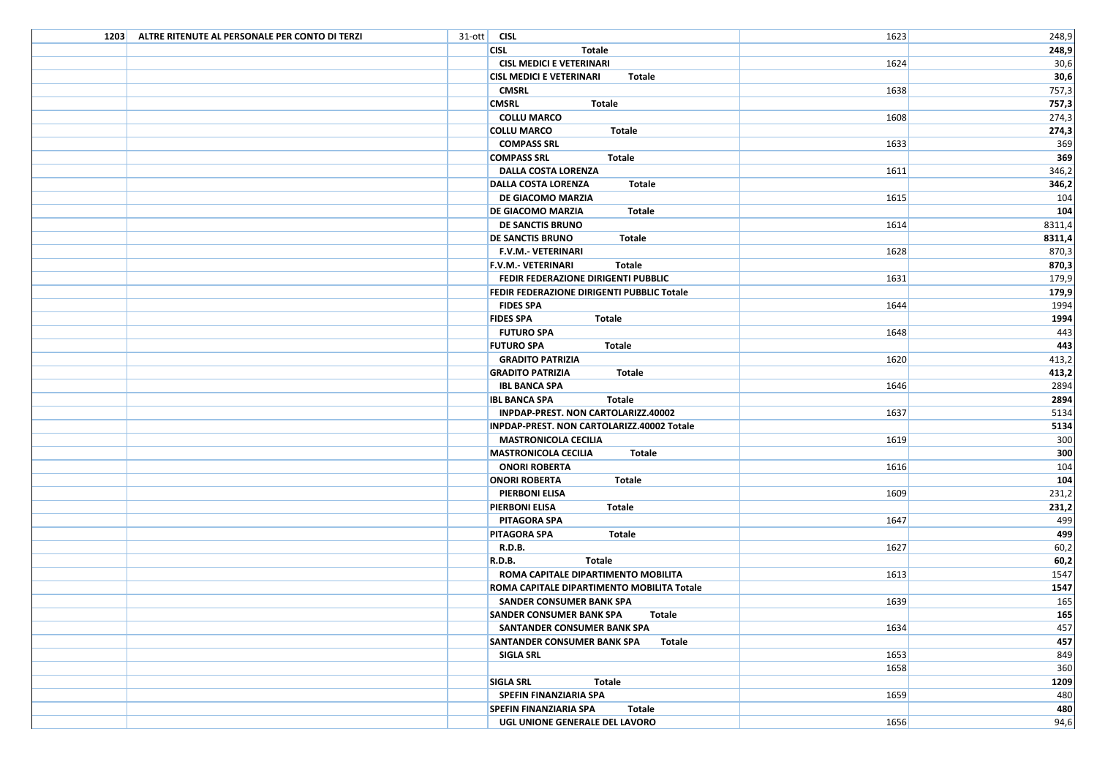| 1203 ALTRE RITENUTE AL PERSONALE PER CONTO DI TERZI | $31$ -ott CISL                               | 1623 | 248,9  |
|-----------------------------------------------------|----------------------------------------------|------|--------|
|                                                     | <b>CISL</b><br>Totale                        |      | 248,9  |
|                                                     | <b>CISL MEDICI E VETERINARI</b>              | 1624 | 30,6   |
|                                                     | <b>CISL MEDICI E VETERINARI</b><br>Totale    |      | 30,6   |
|                                                     | <b>CMSRL</b>                                 | 1638 | 757,3  |
|                                                     | <b>CMSRL</b><br>Totale                       |      | 757,3  |
|                                                     | <b>COLLU MARCO</b>                           | 1608 | 274,3  |
|                                                     | <b>COLLU MARCO</b><br>Totale                 |      | 274,3  |
|                                                     | <b>COMPASS SRL</b>                           | 1633 | 369    |
|                                                     | <b>COMPASS SRL</b><br>Totale                 |      | 369    |
|                                                     | <b>DALLA COSTA LORENZA</b>                   | 1611 | 346,2  |
|                                                     | <b>DALLA COSTA LORENZA</b><br>Totale         |      | 346,2  |
|                                                     | DE GIACOMO MARZIA                            | 1615 | 104    |
|                                                     | <b>DE GIACOMO MARZIA</b><br>Totale           |      | 104    |
|                                                     | DE SANCTIS BRUNO                             | 1614 | 8311,4 |
|                                                     | <b>DE SANCTIS BRUNO</b><br>Totale            |      | 8311,4 |
|                                                     | <b>F.V.M.- VETERINARI</b>                    | 1628 | 870,3  |
|                                                     | <b>F.V.M.- VETERINARI</b><br>Totale          |      | 870,3  |
|                                                     | FEDIR FEDERAZIONE DIRIGENTI PUBBLIC          | 1631 | 179,9  |
|                                                     | FEDIR FEDERAZIONE DIRIGENTI PUBBLIC Totale   |      | 179,9  |
|                                                     | <b>FIDES SPA</b>                             | 1644 | 1994   |
|                                                     | <b>FIDES SPA</b><br>Totale                   |      | 1994   |
|                                                     | <b>FUTURO SPA</b>                            | 1648 | 443    |
|                                                     | <b>FUTURO SPA</b><br>Totale                  |      | 443    |
|                                                     | <b>GRADITO PATRIZIA</b>                      | 1620 | 413,2  |
|                                                     | <b>GRADITO PATRIZIA</b><br>Totale            |      | 413,2  |
|                                                     | <b>IBL BANCA SPA</b>                         | 1646 | 2894   |
|                                                     | <b>IBL BANCA SPA</b><br>Totale               |      | 2894   |
|                                                     | INPDAP-PREST. NON CARTOLARIZZ.40002          | 1637 | 5134   |
|                                                     | INPDAP-PREST. NON CARTOLARIZZ.40002 Totale   |      | 5134   |
|                                                     | <b>MASTRONICOLA CECILIA</b>                  | 1619 | 300    |
|                                                     | <b>MASTRONICOLA CECILIA</b><br>Totale        |      | 300    |
|                                                     | <b>ONORI ROBERTA</b>                         | 1616 | 104    |
|                                                     | <b>ONORI ROBERTA</b><br>Totale               |      | 104    |
|                                                     | PIERBONI ELISA                               | 1609 | 231,2  |
|                                                     | <b>PIERBONI ELISA</b><br>Totale              |      | 231,2  |
|                                                     | <b>PITAGORA SPA</b>                          | 1647 | 499    |
|                                                     | <b>PITAGORA SPA</b><br>Totale                |      | 499    |
|                                                     | <b>R.D.B.</b>                                | 1627 | 60,2   |
|                                                     | R.D.B.<br>Totale                             |      | 60,2   |
|                                                     | ROMA CAPITALE DIPARTIMENTO MOBILITA          | 1613 | 1547   |
|                                                     | ROMA CAPITALE DIPARTIMENTO MOBILITA Totale   |      | 1547   |
|                                                     | SANDER CONSUMER BANK SPA                     | 1639 | 165    |
|                                                     | SANDER CONSUMER BANK SPA Totale              |      | 165    |
|                                                     | SANTANDER CONSUMER BANK SPA                  | 1634 | 457    |
|                                                     | <b>SANTANDER CONSUMER BANK SPA</b><br>Totale |      | 457    |
|                                                     | <b>SIGLA SRL</b>                             | 1653 | 849    |
|                                                     |                                              | 1658 | 360    |
|                                                     | <b>SIGLA SRL</b><br>Totale                   |      | 1209   |
|                                                     | SPEFIN FINANZIARIA SPA                       | 1659 | 480    |
|                                                     | <b>SPEFIN FINANZIARIA SPA</b><br>Totale      |      | 480    |
|                                                     | UGL UNIONE GENERALE DEL LAVORO               | 1656 | 94,6   |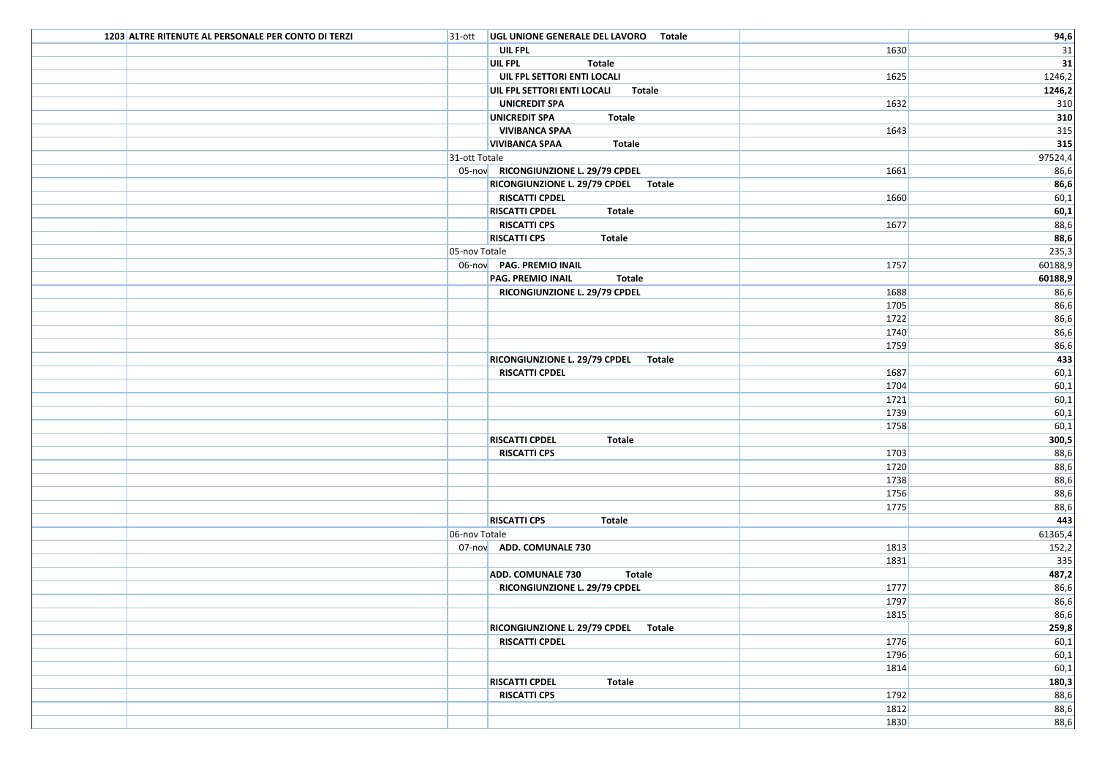| 1203 ALTRE RITENUTE AL PERSONALE PER CONTO DI TERZI | 31-ott   UGL UNIONE GENERALE DEL LAVORO Totale |              | 94,6             |
|-----------------------------------------------------|------------------------------------------------|--------------|------------------|
|                                                     | UIL FPL                                        | 1630         | 31               |
|                                                     | UIL FPL<br>Totale                              |              | $\overline{31}$  |
|                                                     | UIL FPL SETTORI ENTI LOCALI                    | 1625         | 1246,2           |
|                                                     | UIL FPL SETTORI ENTI LOCALI Totale             |              | 1246,2           |
|                                                     | <b>UNICREDIT SPA</b>                           | 1632         | 310              |
|                                                     | UNICREDIT SPA<br>Totale                        |              | 310              |
|                                                     | <b>VIVIBANCA SPAA</b>                          | 1643         | 315              |
|                                                     | <b>VIVIBANCA SPAA</b><br><b>Totale</b>         |              | 315              |
|                                                     | 31-ott Totale                                  |              | 97524,4          |
|                                                     | 05-nov RICONGIUNZIONE L. 29/79 CPDEL           | 1661         | 86,6             |
|                                                     | RICONGIUNZIONE L. 29/79 CPDEL Totale           |              | 86,6             |
|                                                     | <b>RISCATTI CPDEL</b>                          | 1660         | 60,1             |
|                                                     | <b>RISCATTI CPDEL</b><br>Totale                |              | 60,1             |
|                                                     | <b>RISCATTI CPS</b>                            | 1677         | 88,6             |
|                                                     | <b>RISCATTI CPS</b><br>Totale                  |              | 88,6             |
|                                                     | 05-nov Totale                                  |              | 235,3            |
|                                                     | 06-nov PAG. PREMIO INAIL                       | 1757         | 60188,9          |
|                                                     | <b>PAG. PREMIO INAIL</b><br>Totale             |              | 60188,9          |
|                                                     | RICONGIUNZIONE L. 29/79 CPDEL                  | 1688         | 86,6             |
|                                                     |                                                | 1705         | 86,6             |
|                                                     |                                                | 1722         | 86,6             |
|                                                     |                                                | 1740         | 86,6             |
|                                                     |                                                | 1759         | 86,6             |
|                                                     | RICONGIUNZIONE L. 29/79 CPDEL Totale           |              | 433              |
|                                                     | <b>RISCATTI CPDEL</b>                          | 1687         | 60,1             |
|                                                     |                                                | 1704         | 60,1             |
|                                                     |                                                | 1721         | 60,1             |
|                                                     |                                                | 1739         | 60,1             |
|                                                     |                                                | 1758         | 60,1             |
|                                                     | <b>RISCATTI CPDEL</b><br>Totale                |              | 300,5            |
|                                                     | <b>RISCATTI CPS</b>                            | 1703         | 88,6             |
|                                                     |                                                | 1720         | 88,6             |
|                                                     |                                                | 1738         | 88,6             |
|                                                     |                                                | 1756         | 88,6             |
|                                                     |                                                | 1775         | 88,6             |
|                                                     | <b>RISCATTI CPS</b><br>Totale                  |              | 443              |
|                                                     | 06-nov Totale                                  |              | 61365,4<br>152,2 |
|                                                     | 07-nov ADD. COMUNALE 730                       | 1813<br>1831 | 335              |
|                                                     | <b>ADD. COMUNALE 730</b><br>Totale             |              | 487,2            |
|                                                     | RICONGIUNZIONE L. 29/79 CPDEL                  | 1777         | 86,6             |
|                                                     |                                                | 1797         | 86,6             |
|                                                     |                                                | 1815         | 86,6             |
|                                                     | RICONGIUNZIONE L. 29/79 CPDEL Totale           |              | 259,8            |
|                                                     | <b>RISCATTI CPDEL</b>                          | 1776         | 60,1             |
|                                                     |                                                | 1796         | 60,1             |
|                                                     |                                                | 1814         | 60,1             |
|                                                     | <b>RISCATTI CPDEL</b><br>Totale                |              | 180,3            |
|                                                     | <b>RISCATTI CPS</b>                            | 1792         | 88,6             |
|                                                     |                                                | 1812         | 88,6             |
|                                                     |                                                | 1830         | 88,6             |
|                                                     |                                                |              |                  |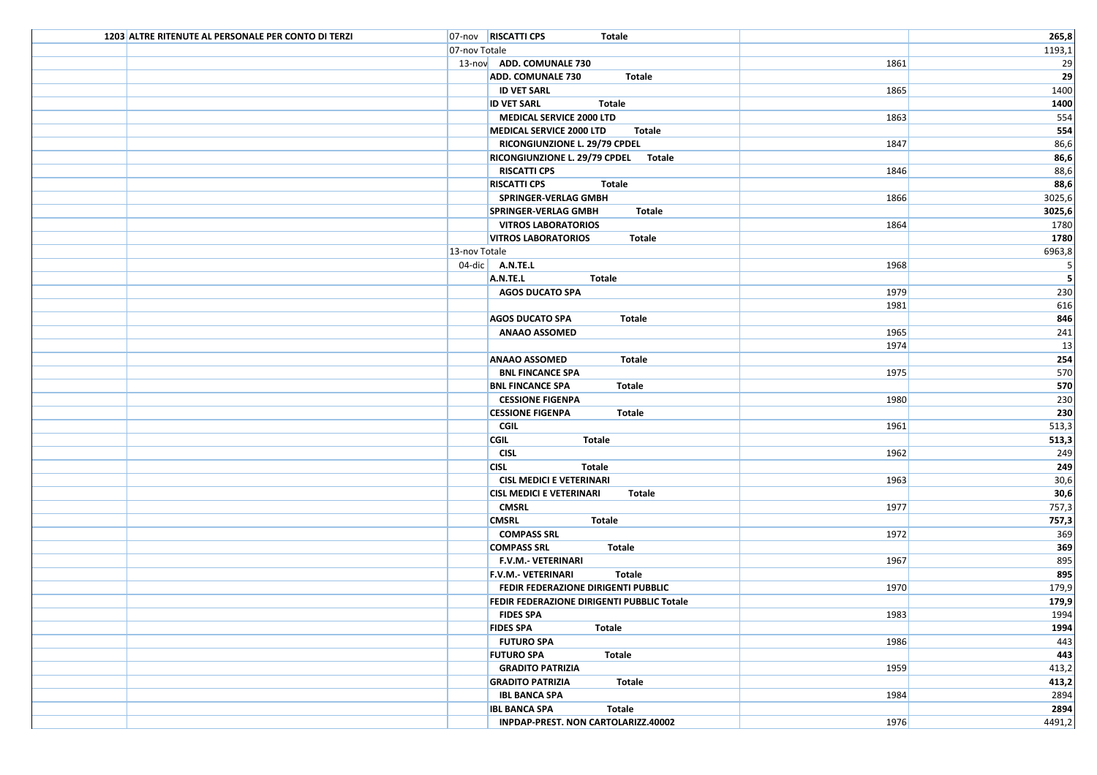| 1203 ALTRE RITENUTE AL PERSONALE PER CONTO DI TERZI | 07-nov RISCATTI CPS<br>Totale              |      | 265,8                    |
|-----------------------------------------------------|--------------------------------------------|------|--------------------------|
|                                                     | 07-nov Totale                              |      | 1193,1                   |
|                                                     | 13-nov ADD. COMUNALE 730                   | 1861 | 29                       |
|                                                     | <b>ADD. COMUNALE 730</b><br><b>Totale</b>  |      | 29                       |
|                                                     | <b>ID VET SARL</b>                         | 1865 | 1400                     |
|                                                     | <b>ID VET SARL</b><br><b>Totale</b>        |      | 1400                     |
|                                                     | <b>MEDICAL SERVICE 2000 LTD</b>            | 1863 | 554                      |
|                                                     | MEDICAL SERVICE 2000 LTD<br>Totale         |      | 554                      |
|                                                     | RICONGIUNZIONE L. 29/79 CPDEL              | 1847 | 86,6                     |
|                                                     | RICONGIUNZIONE L. 29/79 CPDEL Totale       |      | 86,6                     |
|                                                     | <b>RISCATTI CPS</b>                        | 1846 | 88,6                     |
|                                                     | <b>RISCATTI CPS</b><br>Totale              |      | 88,6                     |
|                                                     | <b>SPRINGER-VERLAG GMBH</b>                | 1866 | 3025,6                   |
|                                                     | <b>SPRINGER-VERLAG GMBH</b><br>Totale      |      | 3025,6                   |
|                                                     | <b>VITROS LABORATORIOS</b>                 | 1864 | 1780                     |
|                                                     | <b>VITROS LABORATORIOS</b><br>Totale       |      | 1780                     |
|                                                     | 13-nov Totale                              |      | 6963,8                   |
|                                                     | $04$ -dic A.N.TE.L                         | 1968 | $\overline{\phantom{0}}$ |
|                                                     | A.N.TE.L<br>Totale                         |      | $\overline{\phantom{a}}$ |
|                                                     | <b>AGOS DUCATO SPA</b>                     | 1979 | 230                      |
|                                                     |                                            | 1981 | 616                      |
|                                                     | <b>AGOS DUCATO SPA</b><br>Totale           |      | 846                      |
|                                                     | <b>ANAAO ASSOMED</b>                       | 1965 | 241                      |
|                                                     |                                            | 1974 | 13                       |
|                                                     | <b>ANAAO ASSOMED</b><br>Totale             |      | 254                      |
|                                                     | <b>BNL FINCANCE SPA</b>                    | 1975 | 570                      |
|                                                     | <b>BNL FINCANCE SPA</b><br>Totale          |      | 570                      |
|                                                     | <b>CESSIONE FIGENPA</b>                    | 1980 | 230                      |
|                                                     | <b>CESSIONE FIGENPA</b><br><b>Totale</b>   |      | 230                      |
|                                                     | <b>CGIL</b>                                | 1961 | 513,3                    |
|                                                     | <b>CGIL</b><br>Totale                      |      | 513,3                    |
|                                                     | <b>CISL</b>                                | 1962 | 249                      |
|                                                     | <b>CISL</b><br>Totale                      |      | 249                      |
|                                                     | <b>CISL MEDICI E VETERINARI</b>            | 1963 | 30,6                     |
|                                                     | <b>CISL MEDICI E VETERINARI</b><br>Totale  |      | 30,6                     |
|                                                     | <b>CMSRL</b>                               | 1977 | 757,3                    |
|                                                     | <b>Totale</b><br><b>CMSRL</b>              |      | 757,3                    |
|                                                     | <b>COMPASS SRL</b>                         | 1972 | 369                      |
|                                                     | <b>COMPASS SRL</b><br>Totale               |      | 369                      |
|                                                     | <b>F.V.M.- VETERINARI</b>                  | 1967 | 895                      |
|                                                     | <b>F.V.M.- VETERINARI</b><br>Totale        |      | 895                      |
|                                                     | FEDIR FEDERAZIONE DIRIGENTI PUBBLIC        | 1970 | 179,9                    |
|                                                     | FEDIR FEDERAZIONE DIRIGENTI PUBBLIC Totale |      | 179,9                    |
|                                                     | <b>FIDES SPA</b>                           | 1983 | 1994                     |
|                                                     | <b>FIDES SPA</b><br>Totale                 |      | 1994                     |
|                                                     | <b>FUTURO SPA</b>                          | 1986 | 443                      |
|                                                     | <b>FUTURO SPA</b><br>Totale                |      | 443                      |
|                                                     | <b>GRADITO PATRIZIA</b>                    | 1959 | 413,2                    |
|                                                     | <b>GRADITO PATRIZIA</b><br>Totale          |      | 413,2                    |
|                                                     | <b>IBL BANCA SPA</b>                       | 1984 | 2894                     |
|                                                     | <b>IBL BANCA SPA</b><br>Totale             |      | 2894                     |
|                                                     | INPDAP-PREST. NON CARTOLARIZZ.40002        | 1976 | 4491,2                   |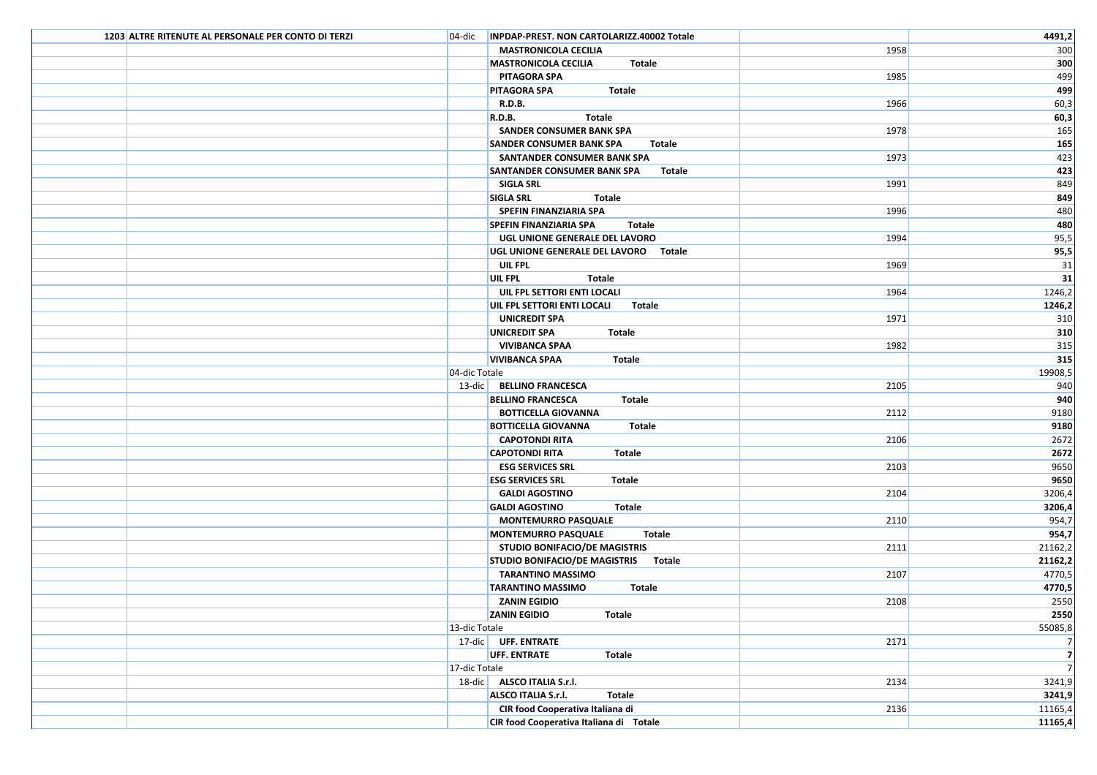| 1203 ALTRE RITENUTE AL PERSONALE PER CONTO DI TERZI | 04-dic  INPDAP-PREST. NON CARTOLARIZZ.40002 Totale |      | 4491,2         |
|-----------------------------------------------------|----------------------------------------------------|------|----------------|
|                                                     | <b>MASTRONICOLA CECILIA</b>                        | 1958 | 300            |
|                                                     | <b>MASTRONICOLA CECILIA</b><br>Totale              |      | 300            |
|                                                     | PITAGORA SPA                                       | 1985 | 499            |
|                                                     | <b>PITAGORA SPA</b><br>Totale                      |      | 499            |
|                                                     | <b>R.D.B.</b>                                      | 1966 | 60,3           |
|                                                     | <b>R.D.B.</b><br>Totale                            |      | 60,3           |
|                                                     | SANDER CONSUMER BANK SPA                           | 1978 | 165            |
|                                                     | <b>SANDER CONSUMER BANK SPA</b><br>Totale          |      | 165            |
|                                                     | SANTANDER CONSUMER BANK SPA                        | 1973 | 423            |
|                                                     | <b>SANTANDER CONSUMER BANK SPA</b><br>Totale       |      | 423            |
|                                                     | SIGLA SRL                                          | 1991 | 849            |
|                                                     | <b>SIGLA SRL</b><br>Totale                         |      | 849            |
|                                                     | SPEFIN FINANZIARIA SPA                             | 1996 | 480            |
|                                                     | <b>SPEFIN FINANZIARIA SPA</b><br>Totale            |      | 480            |
|                                                     | UGL UNIONE GENERALE DEL LAVORO                     | 1994 | 95,5           |
|                                                     | UGL UNIONE GENERALE DEL LAVORO Totale              |      | 95,5           |
|                                                     | UIL FPL                                            | 1969 | 31             |
|                                                     | <b>UIL FPL</b><br>Totale                           |      | 31             |
|                                                     | UIL FPL SETTORI ENTI LOCALI                        | 1964 | 1246,2         |
|                                                     | UIL FPL SETTORI ENTI LOCALI Totale                 |      | 1246,2         |
|                                                     | <b>UNICREDIT SPA</b>                               | 1971 | 310            |
|                                                     | <b>UNICREDIT SPA</b><br>Totale                     |      | 310            |
|                                                     | <b>VIVIBANCA SPAA</b>                              | 1982 | 315            |
|                                                     | <b>VIVIBANCA SPAA</b><br>Totale                    |      | 315            |
|                                                     | 04-dic Totale                                      |      | 19908,5        |
|                                                     | 13-dic BELLINO FRANCESCA                           | 2105 | 940            |
|                                                     | <b>BELLINO FRANCESCA</b><br>Totale                 |      | 940            |
|                                                     | <b>BOTTICELLA GIOVANNA</b>                         | 2112 | 9180           |
|                                                     | <b>BOTTICELLA GIOVANNA</b><br><b>Totale</b>        |      | 9180           |
|                                                     | <b>CAPOTONDI RITA</b>                              | 2106 | 2672           |
|                                                     | <b>CAPOTONDI RITA</b><br>Totale                    |      | 2672           |
|                                                     | <b>ESG SERVICES SRL</b>                            | 2103 | 9650           |
|                                                     | <b>ESG SERVICES SRL</b><br>Totale                  |      | 9650           |
|                                                     | <b>GALDI AGOSTINO</b>                              | 2104 | 3206,4         |
|                                                     | <b>GALDI AGOSTINO</b><br>Totale                    |      | 3206,4         |
|                                                     | <b>MONTEMURRO PASQUALE</b>                         | 2110 | 954,7          |
|                                                     | <b>MONTEMURRO PASQUALE</b><br>Totale               |      | 954,7          |
|                                                     | <b>STUDIO BONIFACIO/DE MAGISTRIS</b>               | 2111 | 21162,2        |
|                                                     | STUDIO BONIFACIO/DE MAGISTRIS Totale               |      | 21162,2        |
|                                                     | <b>TARANTINO MASSIMO</b>                           | 2107 | 4770,5         |
|                                                     | <b>TARANTINO MASSIMO</b><br>Totale                 |      | 4770,5         |
|                                                     | ZANIN EGIDIO                                       | 2108 | 2550           |
|                                                     | <b>ZANIN EGIDIO</b><br><b>Totale</b>               |      | 2550           |
|                                                     | 13-dic Totale                                      |      | 55085,8        |
|                                                     | 17-dic UFF. ENTRATE                                | 2171 | $\overline{7}$ |
|                                                     | UFF. ENTRATE<br><b>Totale</b>                      |      | $\overline{z}$ |
|                                                     | 17-dic Totale                                      |      | $\overline{7}$ |
|                                                     | 18-dic ALSCO ITALIA S.r.l.                         | 2134 | 3241,9         |
|                                                     | ALSCO ITALIA S.r.l.<br>Totale                      |      | 3241,9         |
|                                                     | CIR food Cooperativa Italiana di                   | 2136 | 11165,4        |
|                                                     | CIR food Cooperativa Italiana di Totale            |      | 11165,4        |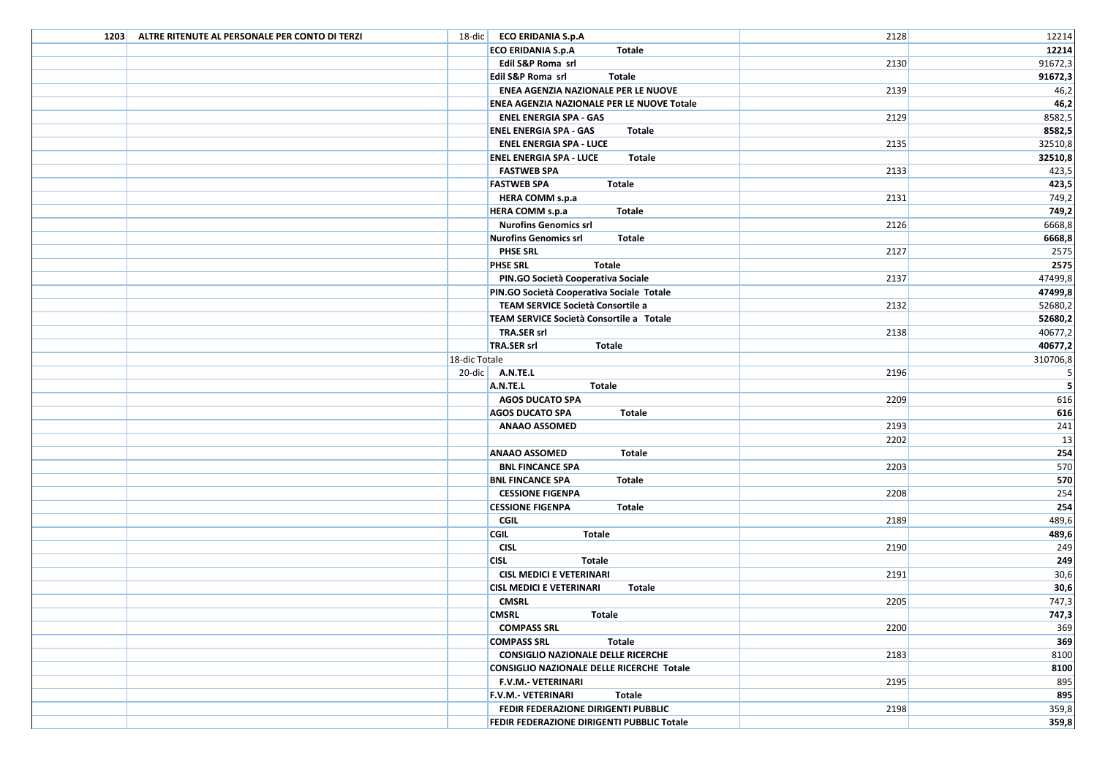| 1203 ALTRE RITENUTE AL PERSONALE PER CONTO DI TERZI | 18-dic ECO ERIDANIA S.p.A                                 | 2128 | 12214         |
|-----------------------------------------------------|-----------------------------------------------------------|------|---------------|
|                                                     | <b>ECO ERIDANIA S.p.A</b><br>Totale                       |      | 12214         |
|                                                     | Edil S&P Roma srl                                         | 2130 | 91672,3       |
|                                                     | Edil S&P Roma srl<br>Totale                               |      | 91672,3       |
|                                                     | ENEA AGENZIA NAZIONALE PER LE NUOVE                       | 2139 | 46,2          |
|                                                     | ENEA AGENZIA NAZIONALE PER LE NUOVE Totale                |      | 46,2          |
|                                                     | <b>ENEL ENERGIA SPA - GAS</b>                             | 2129 | 8582,5        |
|                                                     | <b>ENEL ENERGIA SPA - GAS</b><br>Totale                   |      | 8582,5        |
|                                                     | <b>ENEL ENERGIA SPA - LUCE</b>                            | 2135 | 32510,8       |
|                                                     | <b>ENEL ENERGIA SPA - LUCE</b><br><b>Totale</b>           |      | 32510,8       |
|                                                     | <b>FASTWEB SPA</b>                                        | 2133 | 423,5         |
|                                                     | <b>FASTWEB SPA</b><br>Totale                              |      | 423,5         |
|                                                     | HERA COMM s.p.a                                           | 2131 | 749,2         |
|                                                     | <b>Totale</b><br><b>HERA COMM s.p.a</b>                   |      | 749,2         |
|                                                     | <b>Nurofins Genomics srl</b>                              | 2126 | 6668,8        |
|                                                     | <b>Totale</b><br><b>Nurofins Genomics srl</b>             |      | 6668,8        |
|                                                     | <b>PHSE SRL</b>                                           | 2127 | 2575          |
|                                                     | <b>PHSE SRL</b><br>Totale                                 |      | 2575          |
|                                                     | PIN.GO Società Cooperativa Sociale                        | 2137 | 47499,8       |
|                                                     | PIN.GO Società Cooperativa Sociale Totale                 |      | 47499,8       |
|                                                     | TEAM SERVICE Società Consortile a                         | 2132 | 52680,2       |
|                                                     | TEAM SERVICE Società Consortile a Totale                  |      | 52680,2       |
|                                                     | <b>TRA.SER srl</b>                                        | 2138 | 40677,2       |
|                                                     | TRA.SER srl<br>Totale                                     |      | 40677,2       |
|                                                     | 18-dic Totale                                             |      | 310706,8      |
|                                                     | 20-dic $A.N.$ TE.L                                        | 2196 | 5             |
|                                                     | A.N.TE.L<br><b>Totale</b>                                 |      | 5             |
|                                                     | <b>AGOS DUCATO SPA</b>                                    | 2209 | 616           |
|                                                     | <b>Totale</b><br><b>AGOS DUCATO SPA</b>                   |      | 616           |
|                                                     | <b>ANAAO ASSOMED</b>                                      | 2193 | 241           |
|                                                     |                                                           | 2202 | 13            |
|                                                     | <b>ANAAO ASSOMED</b><br>Totale                            |      | 254           |
|                                                     | <b>BNL FINCANCE SPA</b>                                   | 2203 | 570           |
|                                                     | <b>BNL FINCANCE SPA</b><br><b>Totale</b>                  |      | 570           |
|                                                     | <b>CESSIONE FIGENPA</b>                                   | 2208 | 254           |
|                                                     | <b>CESSIONE FIGENPA</b><br>Totale                         |      | 254           |
|                                                     | <b>CGIL</b>                                               | 2189 | 489,6         |
|                                                     | <b>CGIL</b><br>Totale                                     |      | 489,6         |
|                                                     | <b>CISL</b><br><b>CISL</b><br><b>Totale</b>               | 2190 | 249<br>249    |
|                                                     | <b>CISL MEDICI E VETERINARI</b>                           | 2191 |               |
|                                                     |                                                           |      | 30,6          |
|                                                     | <b>CISL MEDICI E VETERINARI</b><br>Totale<br><b>CMSRL</b> | 2205 | 30,6<br>747,3 |
|                                                     | <b>CMSRL</b><br><b>Totale</b>                             |      | 747,3         |
|                                                     | <b>COMPASS SRL</b>                                        | 2200 | 369           |
|                                                     | <b>COMPASS SRL</b><br>Totale                              |      | 369           |
|                                                     | <b>CONSIGLIO NAZIONALE DELLE RICERCHE</b>                 | 2183 | 8100          |
|                                                     | CONSIGLIO NAZIONALE DELLE RICERCHE Totale                 |      | 8100          |
|                                                     | F.V.M.- VETERINARI                                        | 2195 | 895           |
|                                                     | <b>F.V.M.- VETERINARI</b><br>Totale                       |      | 895           |
|                                                     | FEDIR FEDERAZIONE DIRIGENTI PUBBLIC                       | 2198 | 359,8         |
|                                                     | FEDIR FEDERAZIONE DIRIGENTI PUBBLIC Totale                |      | 359,8         |
|                                                     |                                                           |      |               |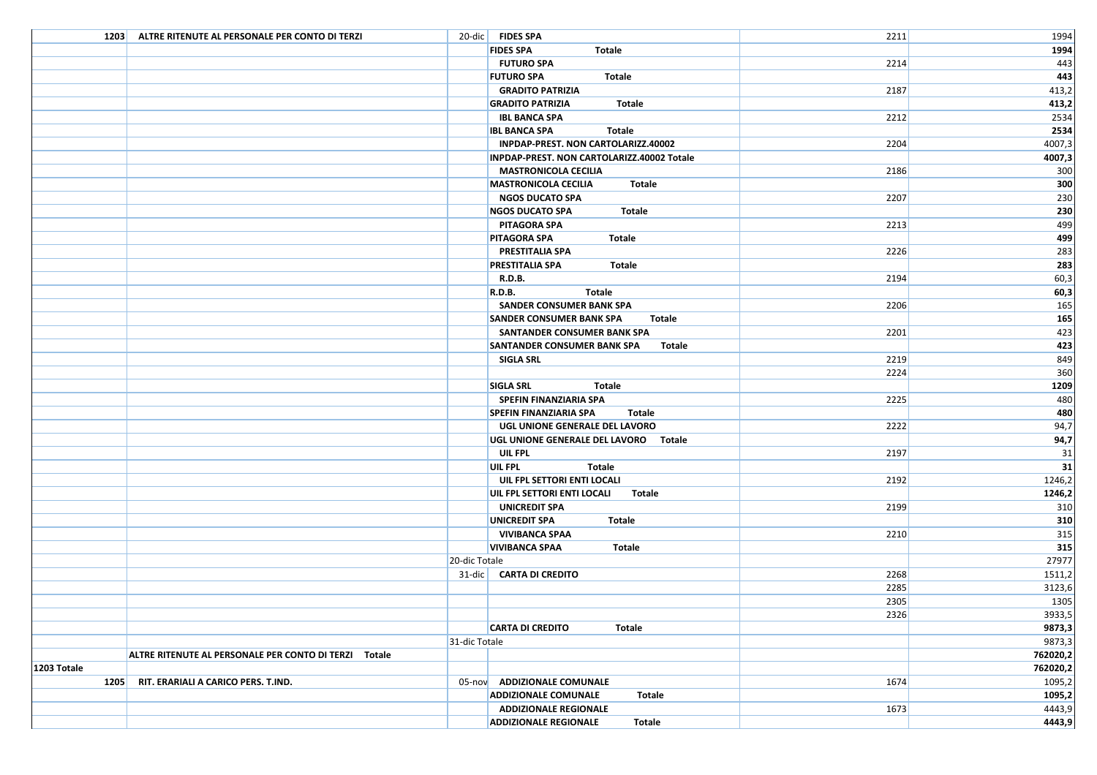|             | 1203 ALTRE RITENUTE AL PERSONALE PER CONTO DI TERZI   |               | 20-dic FIDES SPA                             | 2211 | 1994            |
|-------------|-------------------------------------------------------|---------------|----------------------------------------------|------|-----------------|
|             |                                                       |               | <b>FIDES SPA</b><br>Totale                   |      | 1994            |
|             |                                                       |               | <b>FUTURO SPA</b>                            | 2214 | 443             |
|             |                                                       |               | <b>FUTURO SPA</b><br>Totale                  |      | 443             |
|             |                                                       |               | <b>GRADITO PATRIZIA</b>                      | 2187 | 413,2           |
|             |                                                       |               | <b>GRADITO PATRIZIA</b><br><b>Totale</b>     |      | 413,2           |
|             |                                                       |               | <b>IBL BANCA SPA</b>                         | 2212 | 2534            |
|             |                                                       |               | <b>IBL BANCA SPA</b><br>Totale               |      | 2534            |
|             |                                                       |               | INPDAP-PREST. NON CARTOLARIZZ.40002          | 2204 | 4007,3          |
|             |                                                       |               | INPDAP-PREST. NON CARTOLARIZZ.40002 Totale   |      | 4007,3          |
|             |                                                       |               | <b>MASTRONICOLA CECILIA</b>                  | 2186 | 300             |
|             |                                                       |               | <b>MASTRONICOLA CECILIA</b><br>Totale        |      | 300             |
|             |                                                       |               | <b>NGOS DUCATO SPA</b>                       | 2207 | 230             |
|             |                                                       |               | <b>Totale</b><br><b>NGOS DUCATO SPA</b>      |      | 230             |
|             |                                                       |               | PITAGORA SPA                                 | 2213 | 499             |
|             |                                                       |               | <b>PITAGORA SPA</b><br>Totale                |      | 499             |
|             |                                                       |               | PRESTITALIA SPA                              | 2226 | 283             |
|             |                                                       |               | <b>PRESTITALIA SPA</b><br>Totale             |      | 283             |
|             |                                                       |               | <b>R.D.B.</b>                                | 2194 | 60,3            |
|             |                                                       |               | R.D.B.<br>Totale                             |      | 60,3            |
|             |                                                       |               | SANDER CONSUMER BANK SPA                     | 2206 | 165             |
|             |                                                       |               | <b>SANDER CONSUMER BANK SPA</b><br>Totale    |      | 165             |
|             |                                                       |               | SANTANDER CONSUMER BANK SPA                  | 2201 | 423             |
|             |                                                       |               | <b>SANTANDER CONSUMER BANK SPA</b><br>Totale |      | 423             |
|             |                                                       |               | SIGLA SRL                                    | 2219 | 849             |
|             |                                                       |               |                                              | 2224 | 360             |
|             |                                                       |               | <b>SIGLA SRL</b><br>Totale                   |      | 1209            |
|             |                                                       |               | <b>SPEFIN FINANZIARIA SPA</b>                | 2225 | 480             |
|             |                                                       |               | <b>SPEFIN FINANZIARIA SPA</b><br>Totale      |      | 480             |
|             |                                                       |               | UGL UNIONE GENERALE DEL LAVORO               | 2222 | 94,7            |
|             |                                                       |               | UGL UNIONE GENERALE DEL LAVORO Totale        |      | 94,7            |
|             |                                                       |               | UIL FPL                                      | 2197 | 31              |
|             |                                                       |               | <b>UIL FPL</b><br>Totale                     |      | $\overline{31}$ |
|             |                                                       |               | UIL FPL SETTORI ENTI LOCALI                  | 2192 | 1246,2          |
|             |                                                       |               | UIL FPL SETTORI ENTI LOCALI<br>Totale        |      | 1246,2          |
|             |                                                       |               | <b>UNICREDIT SPA</b>                         | 2199 | 310             |
|             |                                                       |               | <b>UNICREDIT SPA</b><br>Totale               |      | 310             |
|             |                                                       |               | <b>VIVIBANCA SPAA</b>                        | 2210 | 315             |
|             |                                                       |               | <b>VIVIBANCA SPAA</b><br>Totale              |      | 315             |
|             |                                                       | 20-dic Totale |                                              |      | 27977           |
|             |                                                       |               | 31-dic   CARTA DI CREDITO                    | 2268 | 1511,2          |
|             |                                                       |               |                                              | 2285 | 3123,6          |
|             |                                                       |               |                                              | 2305 | 1305            |
|             |                                                       |               |                                              | 2326 | 3933,5          |
|             |                                                       |               | <b>CARTA DI CREDITO</b><br>Totale            |      | 9873,3          |
|             |                                                       | 31-dic Totale |                                              |      | 9873,3          |
|             | ALTRE RITENUTE AL PERSONALE PER CONTO DI TERZI Totale |               |                                              |      | 762020,2        |
| 1203 Totale |                                                       |               |                                              |      | 762020,2        |
| 1205        | RIT. ERARIALI A CARICO PERS. T.IND.                   |               | 05-nov ADDIZIONALE COMUNALE                  | 1674 | 1095,2          |
|             |                                                       |               | <b>ADDIZIONALE COMUNALE</b><br>Totale        |      | 1095,2          |
|             |                                                       |               | <b>ADDIZIONALE REGIONALE</b>                 | 1673 | 4443,9          |
|             |                                                       |               | <b>ADDIZIONALE REGIONALE</b><br>Totale       |      | 4443,9          |
|             |                                                       |               |                                              |      |                 |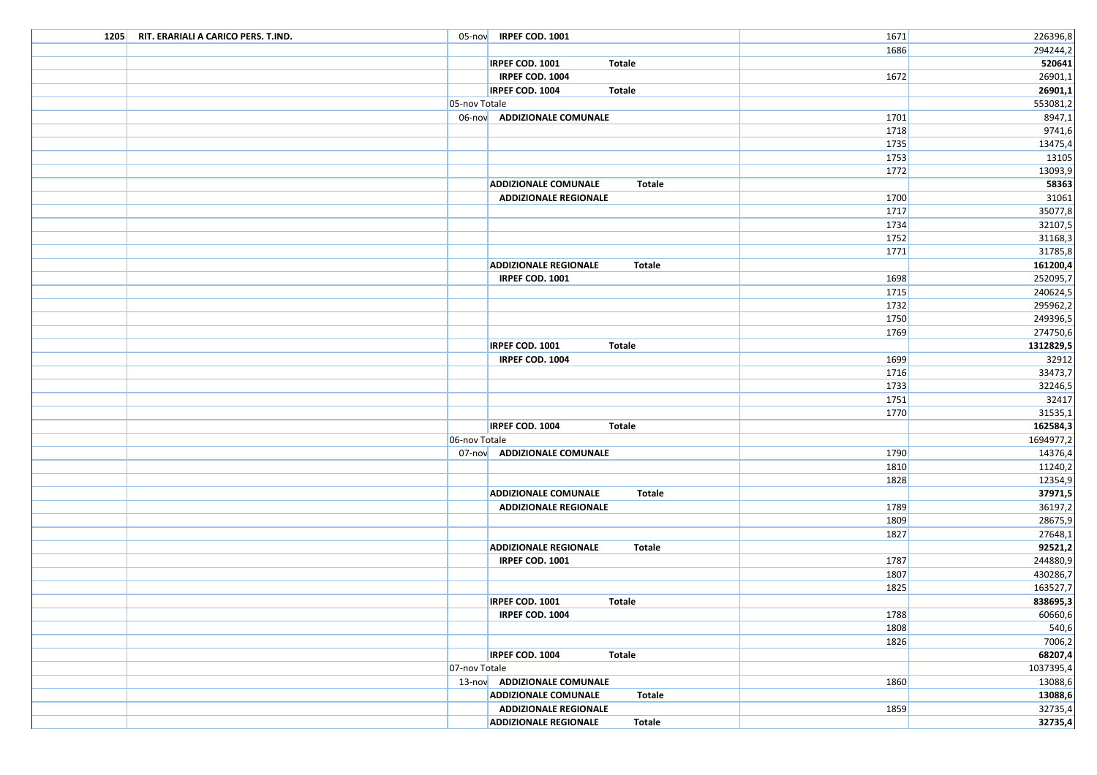| 1205 RIT. ERARIALI A CARICO PERS. T.IND. |               | 05-nov IRPEF COD. 1001                        | 1671 | 226396,8            |
|------------------------------------------|---------------|-----------------------------------------------|------|---------------------|
|                                          |               |                                               | 1686 | 294244,2            |
|                                          |               | IRPEF COD. 1001<br>Totale                     |      | 520641              |
|                                          |               | IRPEF COD. 1004                               | 1672 | 26901,1             |
|                                          |               | IRPEF COD. 1004<br>Totale                     |      | 26901,1             |
|                                          | 05-nov Totale |                                               |      | 553081,2            |
|                                          |               | 06-nov ADDIZIONALE COMUNALE                   | 1701 | 8947,1              |
|                                          |               |                                               | 1718 | 9741,6              |
|                                          |               |                                               | 1735 | 13475,4             |
|                                          |               |                                               | 1753 | 13105               |
|                                          |               |                                               | 1772 | 13093,9             |
|                                          |               | <b>ADDIZIONALE COMUNALE</b><br><b>Totale</b>  |      | 58363               |
|                                          |               | <b>ADDIZIONALE REGIONALE</b>                  | 1700 | 31061               |
|                                          |               |                                               | 1717 | 35077,8             |
|                                          |               |                                               | 1734 | 32107,5             |
|                                          |               |                                               | 1752 | 31168,3             |
|                                          |               |                                               | 1771 | 31785,8             |
|                                          |               | <b>ADDIZIONALE REGIONALE</b><br>Totale        |      | 161200,4            |
|                                          |               | IRPEF COD. 1001                               | 1698 | 252095,7            |
|                                          |               |                                               | 1715 | 240624,5            |
|                                          |               |                                               | 1732 | 295962,2            |
|                                          |               |                                               | 1750 | 249396,5            |
|                                          |               |                                               | 1769 | 274750,6            |
|                                          |               | IRPEF COD. 1001<br>Totale                     |      | 1312829,5           |
|                                          |               | IRPEF COD. 1004                               | 1699 | 32912               |
|                                          |               |                                               | 1716 | 33473,7             |
|                                          |               |                                               | 1733 | 32246,5             |
|                                          |               |                                               | 1751 | 32417               |
|                                          |               | <b>IRPEF COD. 1004</b><br>Totale              | 1770 | 31535,1<br>162584,3 |
|                                          | 06-nov Totale |                                               |      | 1694977,2           |
|                                          |               | 07-nov ADDIZIONALE COMUNALE                   | 1790 | 14376,4             |
|                                          |               |                                               | 1810 | 11240,2             |
|                                          |               |                                               | 1828 | 12354,9             |
|                                          |               | <b>ADDIZIONALE COMUNALE</b><br><b>Totale</b>  |      | 37971,5             |
|                                          |               | <b>ADDIZIONALE REGIONALE</b>                  | 1789 | 36197,2             |
|                                          |               |                                               | 1809 | 28675,9             |
|                                          |               |                                               | 1827 | 27648,1             |
|                                          |               | <b>ADDIZIONALE REGIONALE</b><br><b>Totale</b> |      | 92521,2             |
|                                          |               | IRPEF COD. 1001                               | 1787 | 244880,9            |
|                                          |               |                                               | 1807 | 430286,7            |
|                                          |               |                                               | 1825 | 163527,7            |
|                                          |               | IRPEF COD. 1001<br>Totale                     |      | 838695,3            |
|                                          |               | IRPEF COD. 1004                               | 1788 | 60660,6             |
|                                          |               |                                               | 1808 | 540,6               |
|                                          |               |                                               | 1826 | 7006,2              |
|                                          |               | <b>IRPEF COD. 1004</b><br>Totale              |      | 68207,4             |
|                                          | 07-nov Totale |                                               |      | 1037395,4           |
|                                          |               | 13-nov ADDIZIONALE COMUNALE                   | 1860 | 13088,6             |
|                                          |               | <b>ADDIZIONALE COMUNALE</b><br>Totale         |      | 13088,6             |
|                                          |               | <b>ADDIZIONALE REGIONALE</b>                  | 1859 | 32735,4             |
|                                          |               | <b>ADDIZIONALE REGIONALE</b><br><b>Totale</b> |      | 32735,4             |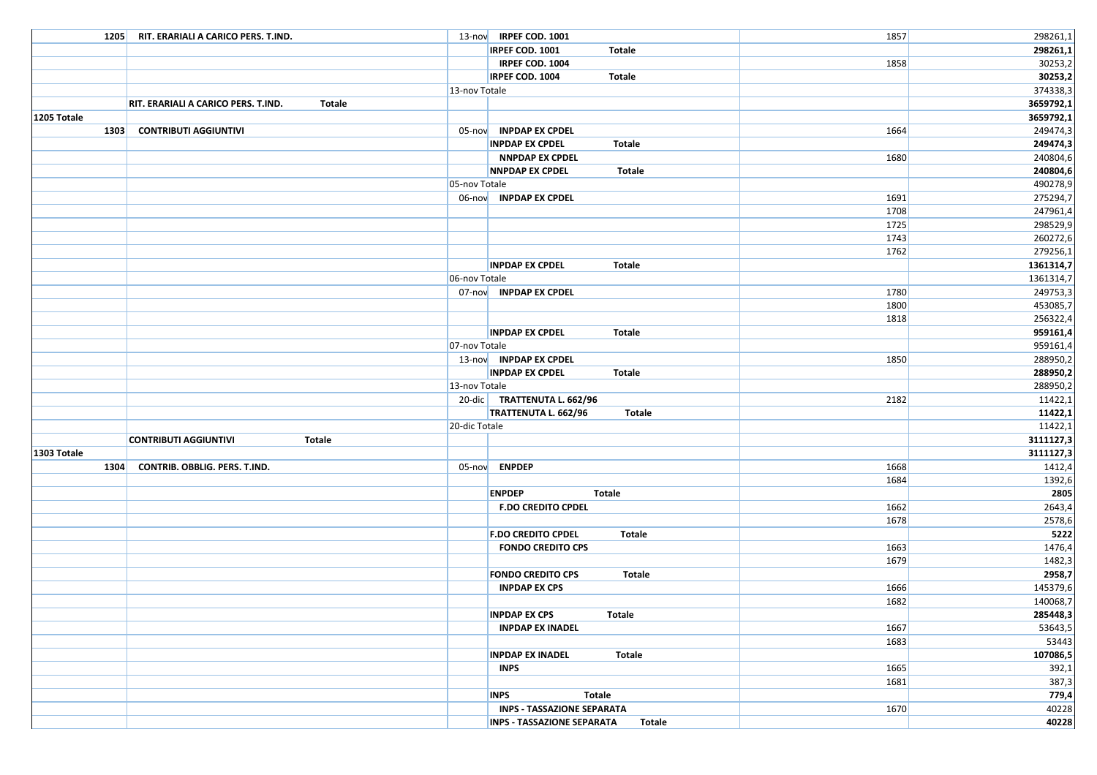| 1205 RIT. ERARIALI A CARICO PERS. T.IND.             |               | 13-nov IRPEF COD. 1001                             | 1857 | 298261,1           |
|------------------------------------------------------|---------------|----------------------------------------------------|------|--------------------|
|                                                      |               | IRPEF COD. 1001<br>Totale                          |      | 298261,1           |
|                                                      |               | IRPEF COD. 1004                                    | 1858 | 30253,2            |
|                                                      |               | <b>IRPEF COD. 1004</b><br>Totale                   |      | 30253,2            |
|                                                      | 13-nov Totale |                                                    |      | 374338,3           |
| <b>Totale</b><br>RIT. ERARIALI A CARICO PERS. T.IND. |               |                                                    |      | 3659792,1          |
| 1205 Totale                                          |               |                                                    |      | 3659792,1          |
| <b>CONTRIBUTI AGGIUNTIVI</b><br>1303                 |               | 05-nov INPDAP EX CPDEL                             | 1664 | 249474,3           |
|                                                      |               | <b>INPDAP EX CPDEL</b><br><b>Totale</b>            |      | 249474,3           |
|                                                      |               | <b>NNPDAP EX CPDEL</b>                             | 1680 | 240804,6           |
|                                                      |               | <b>NNPDAP EX CPDEL</b><br>Totale                   |      | 240804,6           |
|                                                      | 05-nov Totale |                                                    |      | 490278,9           |
|                                                      |               | 06-nov INPDAP EX CPDEL                             | 1691 | 275294,7           |
|                                                      |               |                                                    | 1708 | 247961,4           |
|                                                      |               |                                                    | 1725 | 298529,9           |
|                                                      |               |                                                    | 1743 | 260272,6           |
|                                                      |               |                                                    | 1762 | 279256,1           |
|                                                      |               | <b>INPDAP EX CPDEL</b><br>Totale                   |      | 1361314,7          |
|                                                      | 06-nov Totale |                                                    |      | 1361314,7          |
|                                                      |               | 07-nov INPDAP EX CPDEL                             | 1780 | 249753,3           |
|                                                      |               |                                                    | 1800 | 453085,7           |
|                                                      |               |                                                    | 1818 | 256322,4           |
|                                                      |               | <b>INPDAP EX CPDEL</b><br>Totale                   |      | 959161,4           |
|                                                      | 07-nov Totale |                                                    |      | 959161,4           |
|                                                      |               | 13-nov INPDAP EX CPDEL                             | 1850 | 288950,2           |
|                                                      |               | <b>INPDAP EX CPDEL</b><br>Totale                   |      | 288950,2           |
|                                                      | 13-nov Totale |                                                    |      | 288950,2           |
|                                                      |               | 20-dic TRATTENUTA L. 662/96                        | 2182 | 11422,1            |
|                                                      | 20-dic Totale | TRATTENUTA L. 662/96<br>Totale                     |      | 11422,1<br>11422,1 |
| <b>CONTRIBUTI AGGIUNTIVI</b><br><b>Totale</b>        |               |                                                    |      | 3111127,3          |
| 1303 Totale                                          |               |                                                    |      | 3111127,3          |
| 1304<br>CONTRIB. OBBLIG. PERS. T.IND.                |               | 05-nov ENPDEP                                      | 1668 | 1412,4             |
|                                                      |               |                                                    | 1684 | 1392,6             |
|                                                      |               | <b>ENPDEP</b><br>Totale                            |      | 2805               |
|                                                      |               | <b>F.DO CREDITO CPDEL</b>                          | 1662 | 2643,4             |
|                                                      |               |                                                    | 1678 | 2578,6             |
|                                                      |               | <b>F.DO CREDITO CPDEL</b><br><b>Totale</b>         |      | 5222               |
|                                                      |               | <b>FONDO CREDITO CPS</b>                           | 1663 | 1476,4             |
|                                                      |               |                                                    | 1679 | 1482,3             |
|                                                      |               | <b>FONDO CREDITO CPS</b><br>Totale                 |      | 2958,7             |
|                                                      |               | <b>INPDAP EX CPS</b>                               | 1666 | 145379,6           |
|                                                      |               |                                                    | 1682 | 140068,7           |
|                                                      |               | <b>INPDAP EX CPS</b><br><b>Totale</b>              |      | 285448,3           |
|                                                      |               | <b>INPDAP EX INADEL</b>                            | 1667 | 53643,5            |
|                                                      |               |                                                    | 1683 | 53443              |
|                                                      |               | <b>Totale</b><br><b>INPDAP EX INADEL</b>           |      | 107086,5           |
|                                                      |               | <b>INPS</b>                                        | 1665 | 392,1              |
|                                                      |               |                                                    | 1681 | 387,3              |
|                                                      |               | <b>INPS</b><br><b>Totale</b>                       |      | 779,4              |
|                                                      |               | INPS - TASSAZIONE SEPARATA                         | 1670 | 40228              |
|                                                      |               | <b>INPS - TASSAZIONE SEPARATA</b><br><b>Totale</b> |      | 40228              |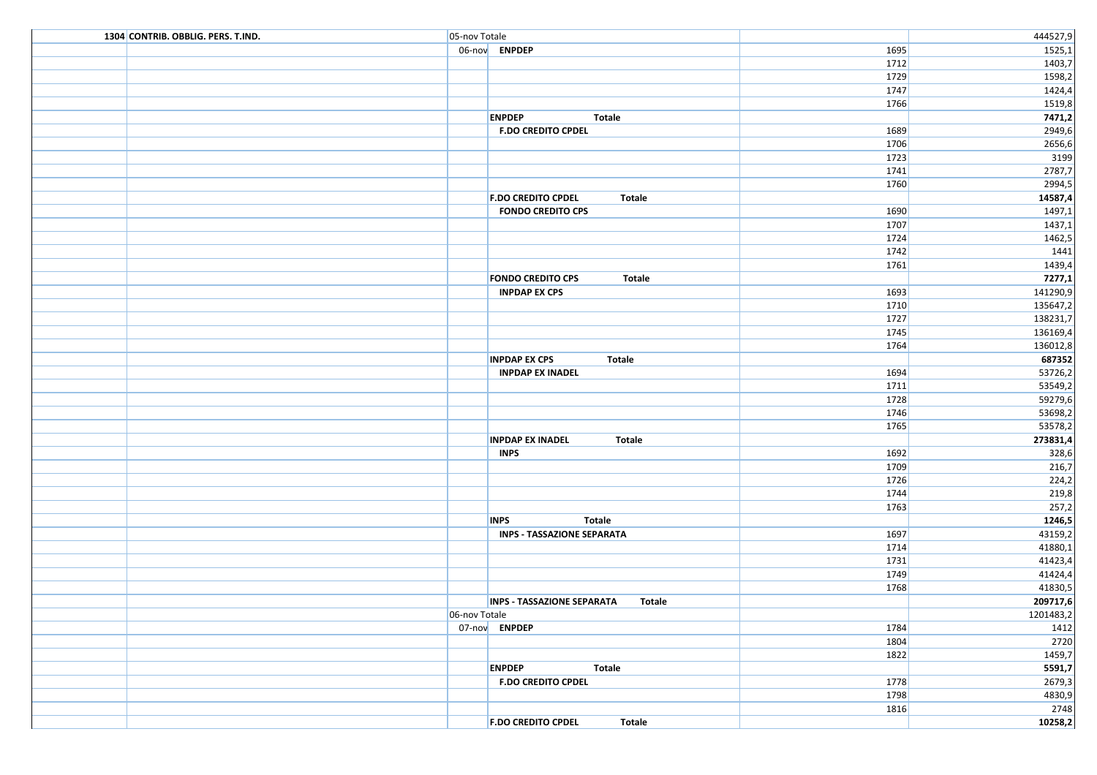| 1304 CONTRIB. OBBLIG. PERS. T.IND. | 05-nov Totale |                                             |              | 444527,9             |
|------------------------------------|---------------|---------------------------------------------|--------------|----------------------|
|                                    |               | 06-nov ENPDEP                               | 1695         | 1525,1               |
|                                    |               |                                             | 1712         | 1403,7               |
|                                    |               |                                             | 1729         | 1598,2               |
|                                    |               |                                             | 1747         | 1424,4               |
|                                    |               |                                             | 1766         | 1519,8               |
|                                    |               | <b>ENPDEP</b><br>Totale                     |              | 7471,2               |
|                                    |               | <b>F.DO CREDITO CPDEL</b>                   | 1689         | 2949,6               |
|                                    |               |                                             | 1706         | 2656,6               |
|                                    |               |                                             | 1723         | 3199                 |
|                                    |               |                                             | 1741         | 2787,7               |
|                                    |               |                                             | 1760         | 2994,5               |
|                                    |               | <b>F.DO CREDITO CPDEL</b><br>Totale         |              | 14587,4              |
|                                    |               | <b>FONDO CREDITO CPS</b>                    | 1690         | 1497,1               |
|                                    |               |                                             | 1707         | 1437,1               |
|                                    |               |                                             | 1724         | 1462,5               |
|                                    |               |                                             | 1742         | 1441                 |
|                                    |               |                                             | 1761         | 1439,4               |
|                                    |               | <b>FONDO CREDITO CPS</b><br><b>Totale</b>   |              | 7277,1               |
|                                    |               | <b>INPDAP EX CPS</b>                        | 1693<br>1710 | 141290,9<br>135647,2 |
|                                    |               |                                             | 1727         | 138231,7             |
|                                    |               |                                             | 1745         | 136169,4             |
|                                    |               |                                             | 1764         | 136012,8             |
|                                    |               | <b>INPDAP EX CPS</b><br>Totale              |              | 687352               |
|                                    |               | <b>INPDAP EX INADEL</b>                     | 1694         | 53726,2              |
|                                    |               |                                             | 1711         | 53549,2              |
|                                    |               |                                             | 1728         | 59279,6              |
|                                    |               |                                             | 1746         | 53698,2              |
|                                    |               |                                             | 1765         | 53578,2              |
|                                    |               | <b>INPDAP EX INADEL</b><br><b>Totale</b>    |              | 273831,4             |
|                                    |               | <b>INPS</b>                                 | 1692         | 328,6                |
|                                    |               |                                             | 1709         | 216,7                |
|                                    |               |                                             | 1726         | 224,2                |
|                                    |               |                                             | 1744         | 219,8                |
|                                    |               |                                             | 1763         | 257,2                |
|                                    |               | <b>INPS</b><br><b>Totale</b>                |              | 1246,5               |
|                                    |               | <b>INPS - TASSAZIONE SEPARATA</b>           | 1697         | 43159,2              |
|                                    |               |                                             | 1714         | 41880,1              |
|                                    |               |                                             | 1731         | 41423,4              |
|                                    |               |                                             | 1749         | 41424,4              |
|                                    |               |                                             | 1768         | 41830,5              |
|                                    |               | <b>INPS - TASSAZIONE SEPARATA</b><br>Totale |              | 209717,6             |
|                                    | 06-nov Totale |                                             |              | 1201483,2            |
|                                    |               | 07-nov ENPDEP                               | 1784         | 1412                 |
|                                    |               |                                             | 1804         | 2720                 |
|                                    |               |                                             | 1822         | 1459,7               |
|                                    |               | <b>ENPDEP</b><br>Totale                     |              | 5591,7               |
|                                    |               | <b>F.DO CREDITO CPDEL</b>                   | 1778         | 2679,3               |
|                                    |               |                                             | 1798         | 4830,9               |
|                                    |               |                                             | 1816         | 2748                 |
|                                    |               | <b>F.DO CREDITO CPDEL</b><br><b>Totale</b>  |              | 10258,2              |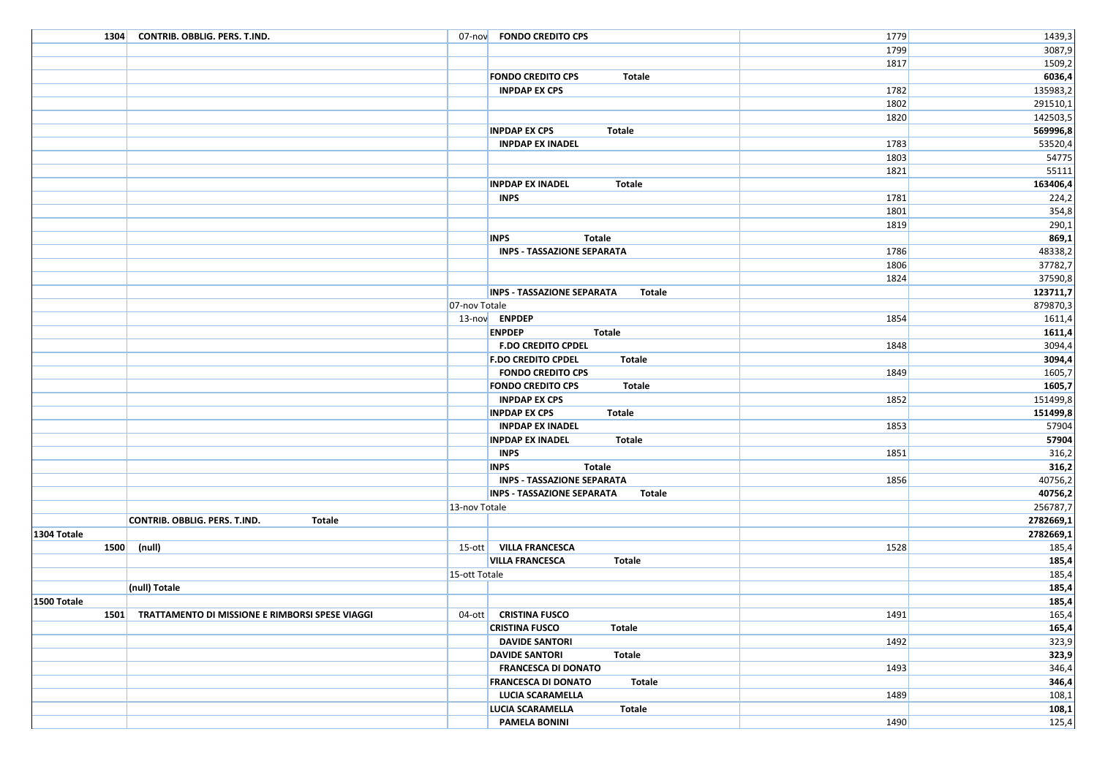|             | 1304 CONTRIB. OBBLIG. PERS. T.IND.                   |               | 07-nov FONDO CREDITO CPS                           | 1779 | 1439,3         |
|-------------|------------------------------------------------------|---------------|----------------------------------------------------|------|----------------|
|             |                                                      |               |                                                    | 1799 | 3087,9         |
|             |                                                      |               |                                                    | 1817 | 1509,2         |
|             |                                                      |               | <b>FONDO CREDITO CPS</b><br>Totale                 |      | 6036,4         |
|             |                                                      |               | <b>INPDAP EX CPS</b>                               | 1782 | 135983,2       |
|             |                                                      |               |                                                    | 1802 | 291510,1       |
|             |                                                      |               |                                                    | 1820 | 142503,5       |
|             |                                                      |               | Totale<br><b>INPDAP EX CPS</b>                     |      | 569996,8       |
|             |                                                      |               | <b>INPDAP EX INADEL</b>                            | 1783 | 53520,4        |
|             |                                                      |               |                                                    | 1803 | 54775          |
|             |                                                      |               |                                                    | 1821 | 55111          |
|             |                                                      |               | <b>INPDAP EX INADEL</b><br>Totale                  |      | 163406,4       |
|             |                                                      |               | <b>INPS</b>                                        | 1781 | 224,2          |
|             |                                                      |               |                                                    | 1801 | 354,8          |
|             |                                                      |               |                                                    | 1819 | 290,1          |
|             |                                                      |               | <b>INPS</b><br>Totale                              |      | 869,1          |
|             |                                                      |               | <b>INPS - TASSAZIONE SEPARATA</b>                  | 1786 | 48338,2        |
|             |                                                      |               |                                                    | 1806 | 37782,7        |
|             |                                                      |               |                                                    | 1824 | 37590,8        |
|             |                                                      |               | <b>INPS - TASSAZIONE SEPARATA</b><br>Totale        |      | 123711,7       |
|             |                                                      | 07-nov Totale |                                                    |      | 879870,3       |
|             |                                                      |               | 13-nov ENPDEP                                      | 1854 | 1611,4         |
|             |                                                      |               | <b>ENPDEP</b><br>Totale                            |      | 1611,4         |
|             |                                                      |               | <b>F.DO CREDITO CPDEL</b>                          | 1848 | 3094,4         |
|             |                                                      |               | <b>F.DO CREDITO CPDEL</b><br>Totale                |      | 3094,4         |
|             |                                                      |               | <b>FONDO CREDITO CPS</b>                           | 1849 | 1605,7         |
|             |                                                      |               | <b>FONDO CREDITO CPS</b><br>Totale                 |      | 1605,7         |
|             |                                                      |               | <b>INPDAP EX CPS</b>                               | 1852 | 151499,8       |
|             |                                                      |               | <b>INPDAP EX CPS</b><br>Totale                     |      | 151499,8       |
|             |                                                      |               | <b>INPDAP EX INADEL</b>                            | 1853 | 57904          |
|             |                                                      |               | <b>INPDAP EX INADEL</b><br>Totale                  |      | 57904          |
|             |                                                      |               | <b>INPS</b>                                        | 1851 | 316,2          |
|             |                                                      |               | <b>INPS</b><br>Totale                              |      | 316,2          |
|             |                                                      |               | <b>INPS - TASSAZIONE SEPARATA</b>                  | 1856 | 40756,2        |
|             |                                                      |               | <b>INPS - TASSAZIONE SEPARATA</b><br><b>Totale</b> |      | 40756,2        |
|             |                                                      | 13-nov Totale |                                                    |      | 256787,7       |
|             | CONTRIB. OBBLIG. PERS. T.IND.<br><b>Totale</b>       |               |                                                    |      | 2782669,1      |
| 1304 Totale |                                                      |               |                                                    |      | 2782669,1      |
|             | 1500 (null)                                          |               | 15-ott   VILLA FRANCESCA                           | 1528 | 185,4          |
|             |                                                      | 15-ott Totale | <b>VILLA FRANCESCA</b><br>Totale                   |      | 185,4<br>185,4 |
|             | (null) Totale                                        |               |                                                    |      | 185,4          |
| 1500 Totale |                                                      |               |                                                    |      |                |
|             | 1501 TRATTAMENTO DI MISSIONE E RIMBORSI SPESE VIAGGI |               | 04-ott CRISTINA FUSCO                              | 1491 | 185,4<br>165,4 |
|             |                                                      |               | <b>CRISTINA FUSCO</b><br>Totale                    |      | 165,4          |
|             |                                                      |               | <b>DAVIDE SANTORI</b>                              | 1492 | 323,9          |
|             |                                                      |               | <b>DAVIDE SANTORI</b><br>Totale                    |      | 323,9          |
|             |                                                      |               | <b>FRANCESCA DI DONATO</b>                         | 1493 | 346,4          |
|             |                                                      |               | <b>FRANCESCA DI DONATO</b><br>Totale               |      | 346,4          |
|             |                                                      |               | LUCIA SCARAMELLA                                   | 1489 | 108,1          |
|             |                                                      |               | <b>LUCIA SCARAMELLA</b><br>Totale                  |      | 108,1          |
|             |                                                      |               | <b>PAMELA BONINI</b>                               | 1490 | 125,4          |
|             |                                                      |               |                                                    |      |                |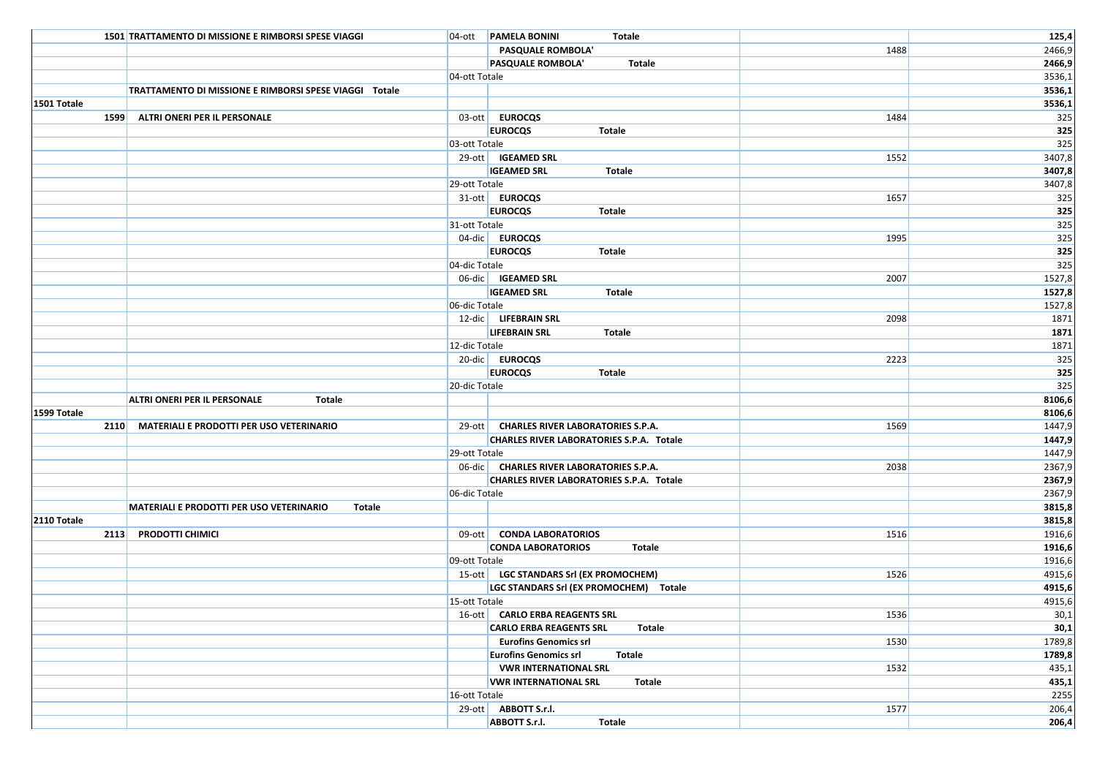|             | 1501 TRATTAMENTO DI MISSIONE E RIMBORSI SPESE VIAGGI      |               | 04-ott <b>PAMELA BONINI</b><br>Totale                                    |      | 125,4            |
|-------------|-----------------------------------------------------------|---------------|--------------------------------------------------------------------------|------|------------------|
|             |                                                           |               | PASQUALE ROMBOLA'                                                        | 1488 | 2466,9           |
|             |                                                           |               | PASQUALE ROMBOLA'<br><b>Totale</b>                                       |      | 2466,9           |
|             |                                                           | 04-ott Totale |                                                                          |      | 3536,1           |
|             | TRATTAMENTO DI MISSIONE E RIMBORSI SPESE VIAGGI Totale    |               |                                                                          |      | 3536,1           |
| 1501 Totale |                                                           |               |                                                                          |      | 3536,1           |
|             | 1599 ALTRI ONERI PER IL PERSONALE                         |               | 03-ott EUROCQS                                                           | 1484 | 325              |
|             |                                                           |               | <b>EUROCQS</b><br>Totale                                                 |      | 325              |
|             |                                                           | 03-ott Totale |                                                                          |      | 325              |
|             |                                                           |               | 29-ott   IGEAMED SRL                                                     | 1552 | 3407,8           |
|             |                                                           |               | <b>IGEAMED SRL</b><br>Totale                                             |      | 3407,8           |
|             |                                                           | 29-ott Totale |                                                                          |      | 3407,8           |
|             |                                                           |               | 31-ott EUROCQS                                                           | 1657 | 325              |
|             |                                                           |               | <b>EUROCQS</b><br>Totale                                                 |      | 325              |
|             |                                                           | 31-ott Totale |                                                                          |      | 325              |
|             |                                                           |               | 04-dic EUROCQS                                                           | 1995 | 325              |
|             |                                                           |               | <b>EUROCQS</b><br><b>Totale</b>                                          |      | 325              |
|             |                                                           | 04-dic Totale |                                                                          |      | 325              |
|             |                                                           |               | 06-dic   IGEAMED SRL                                                     | 2007 | 1527,8           |
|             |                                                           |               | <b>IGEAMED SRL</b><br>Totale                                             |      | 1527,8           |
|             |                                                           | 06-dic Totale |                                                                          |      | 1527,8           |
|             |                                                           |               | 12-dic LIFEBRAIN SRL                                                     | 2098 | 1871             |
|             |                                                           |               | <b>LIFEBRAIN SRL</b><br>Totale                                           |      | 1871             |
|             |                                                           | 12-dic Totale |                                                                          |      | 1871             |
|             |                                                           |               | 20-dic EUROCQS                                                           | 2223 | 325              |
|             |                                                           |               | <b>EUROCQS</b><br><b>Totale</b>                                          |      | 325              |
|             |                                                           | 20-dic Totale |                                                                          |      | 325              |
|             | <b>ALTRI ONERI PER IL PERSONALE</b><br><b>Totale</b>      |               |                                                                          |      | 8106,6           |
| 1599 Totale |                                                           |               |                                                                          |      | 8106,6           |
|             | 2110 MATERIALI E PRODOTTI PER USO VETERINARIO             |               | 29-ott   CHARLES RIVER LABORATORIES S.P.A.                               | 1569 | 1447,9           |
|             |                                                           |               | <b>CHARLES RIVER LABORATORIES S.P.A. Totale</b>                          |      | 1447,9           |
|             |                                                           | 29-ott Totale |                                                                          |      | 1447,9           |
|             |                                                           |               | 06-dic   CHARLES RIVER LABORATORIES S.P.A.                               | 2038 | 2367,9           |
|             |                                                           |               | CHARLES RIVER LABORATORIES S.P.A. Totale                                 |      | 2367,9           |
|             |                                                           | 06-dic Totale |                                                                          |      | 2367,9           |
|             | <b>MATERIALI E PRODOTTI PER USO VETERINARIO</b><br>Totale |               |                                                                          |      | 3815,8           |
| 2110 Totale |                                                           |               |                                                                          |      | 3815,8           |
|             | 2113 PRODOTTI CHIMICI                                     |               | 09-ott CONDA LABORATORIOS                                                | 1516 | 1916,6           |
|             |                                                           |               | <b>CONDA LABORATORIOS</b><br><b>Totale</b>                               |      | 1916,6           |
|             |                                                           | 09-ott Totale | 15-ott   LGC STANDARS Srl (EX PROMOCHEM)                                 |      | 1916,6<br>4915,6 |
|             |                                                           |               |                                                                          | 1526 |                  |
|             |                                                           | 15-ott Totale | LGC STANDARS Srl (EX PROMOCHEM) Totale                                   |      | 4915,6<br>4915,6 |
|             |                                                           |               | 16-ott CARLO ERBA REAGENTS SRL                                           | 1536 | 30,1             |
|             |                                                           |               |                                                                          |      |                  |
|             |                                                           |               | <b>CARLO ERBA REAGENTS SRL</b><br>Totale<br><b>Eurofins Genomics srl</b> | 1530 | 30,1<br>1789,8   |
|             |                                                           |               | <b>Eurofins Genomics srl</b><br><b>Totale</b>                            |      | 1789,8           |
|             |                                                           |               | <b>VWR INTERNATIONAL SRL</b>                                             | 1532 | 435,1            |
|             |                                                           |               | <b>VWR INTERNATIONAL SRL</b><br>Totale                                   |      | 435,1            |
|             |                                                           | 16-ott Totale |                                                                          |      | 2255             |
|             |                                                           |               | 29-ott ABBOTT S.r.I.                                                     | 1577 | 206,4            |
|             |                                                           |               | ABBOTT S.r.l.<br><b>Totale</b>                                           |      | 206,4            |
|             |                                                           |               |                                                                          |      |                  |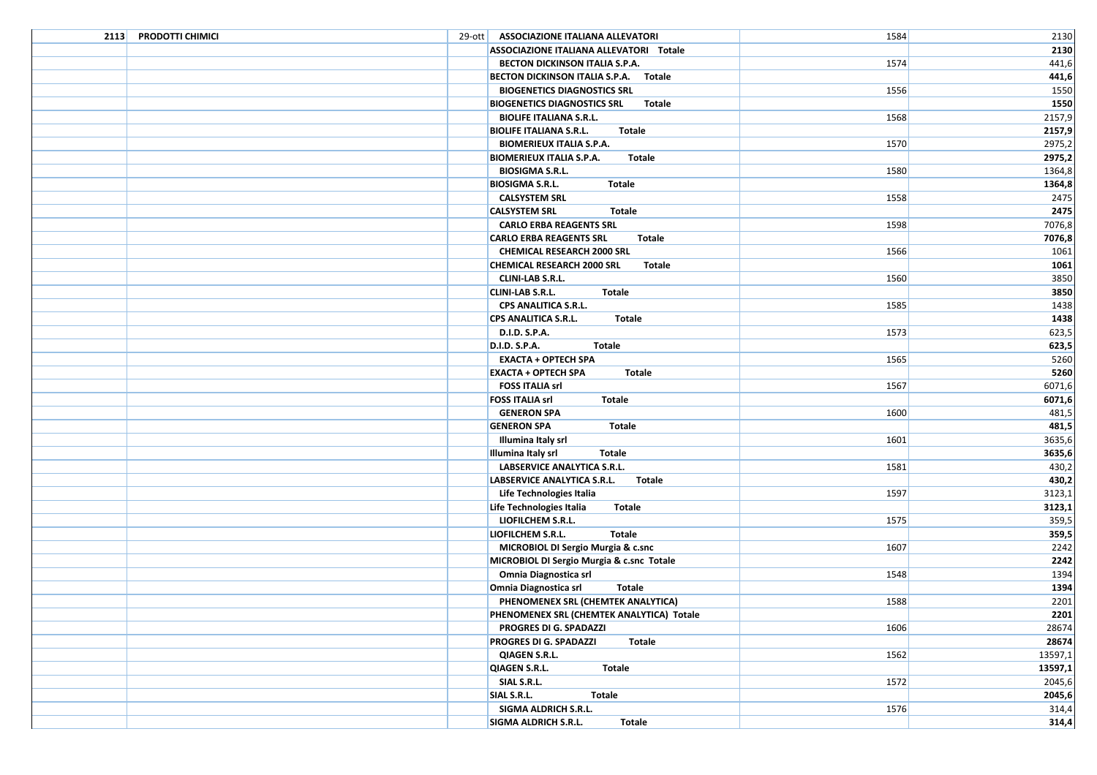| 2113 PRODOTTI CHIMICI | 29-ott   ASSOCIAZIONE ITALIANA ALLEVATORI       | 1584 | 2130    |
|-----------------------|-------------------------------------------------|------|---------|
|                       | ASSOCIAZIONE ITALIANA ALLEVATORI Totale         |      | 2130    |
|                       | BECTON DICKINSON ITALIA S.P.A.                  | 1574 | 441,6   |
|                       | BECTON DICKINSON ITALIA S.P.A. Totale           |      | 441,6   |
|                       | <b>BIOGENETICS DIAGNOSTICS SRL</b>              | 1556 | 1550    |
|                       | <b>BIOGENETICS DIAGNOSTICS SRL</b><br>Totale    |      | 1550    |
|                       | <b>BIOLIFE ITALIANA S.R.L.</b>                  | 1568 | 2157,9  |
|                       | <b>BIOLIFE ITALIANA S.R.L.</b><br>Totale        |      | 2157,9  |
|                       | <b>BIOMERIEUX ITALIA S.P.A.</b>                 | 1570 | 2975,2  |
|                       | <b>BIOMERIEUX ITALIA S.P.A.</b><br>Totale       |      | 2975,2  |
|                       | <b>BIOSIGMA S.R.L.</b>                          | 1580 | 1364,8  |
|                       | <b>BIOSIGMA S.R.L.</b><br>Totale                |      | 1364,8  |
|                       | <b>CALSYSTEM SRL</b>                            | 1558 | 2475    |
|                       | <b>CALSYSTEM SRL</b><br>Totale                  |      | 2475    |
|                       | <b>CARLO ERBA REAGENTS SRL</b>                  | 1598 | 7076,8  |
|                       | <b>Totale</b><br><b>CARLO ERBA REAGENTS SRL</b> |      | 7076,8  |
|                       | <b>CHEMICAL RESEARCH 2000 SRL</b>               | 1566 | 1061    |
|                       | <b>CHEMICAL RESEARCH 2000 SRL</b><br>Totale     |      | 1061    |
|                       | <b>CLINI-LAB S.R.L.</b>                         | 1560 | 3850    |
|                       | <b>CLINI-LAB S.R.L.</b><br><b>Totale</b>        |      | 3850    |
|                       | CPS ANALITICA S.R.L.                            | 1585 | 1438    |
|                       | CPS ANALITICA S.R.L.<br>Totale                  |      | 1438    |
|                       | D.I.D. S.P.A.                                   | 1573 | 623,5   |
|                       | <b>D.I.D. S.P.A.</b><br><b>Totale</b>           |      | 623,5   |
|                       | <b>EXACTA + OPTECH SPA</b>                      | 1565 | 5260    |
|                       | <b>EXACTA + OPTECH SPA</b><br><b>Totale</b>     |      | 5260    |
|                       | <b>FOSS ITALIA srl</b>                          | 1567 | 6071,6  |
|                       | <b>FOSS ITALIA srl</b><br><b>Totale</b>         |      | 6071,6  |
|                       | <b>GENERON SPA</b>                              | 1600 | 481,5   |
|                       | <b>GENERON SPA</b><br>Totale                    |      | 481,5   |
|                       | Illumina Italy srl                              | 1601 | 3635,6  |
|                       | Illumina Italy srl<br><b>Totale</b>             |      | 3635,6  |
|                       | LABSERVICE ANALYTICA S.R.L.                     | 1581 | 430,2   |
|                       | LABSERVICE ANALYTICA S.R.L.<br>Totale           |      | 430,2   |
|                       | Life Technologies Italia                        | 1597 | 3123,1  |
|                       | Life Technologies Italia<br>Totale              |      | 3123,1  |
|                       | LIOFILCHEM S.R.L.                               | 1575 | 359,5   |
|                       | LIOFILCHEM S.R.L.<br><b>Totale</b>              |      | 359,5   |
|                       | MICROBIOL DI Sergio Murgia & c.snc              | 1607 | 2242    |
|                       | MICROBIOL DI Sergio Murgia & c.snc Totale       |      | 2242    |
|                       | Omnia Diagnostica srl                           | 1548 | 1394    |
|                       | Omnia Diagnostica srl<br><b>Totale</b>          |      | 1394    |
|                       | PHENOMENEX SRL (CHEMTEK ANALYTICA)              | 1588 | 2201    |
|                       | PHENOMENEX SRL (CHEMTEK ANALYTICA) Totale       |      | 2201    |
|                       | PROGRES DI G. SPADAZZI                          | 1606 | 28674   |
|                       | <b>PROGRES DI G. SPADAZZI</b><br>Totale         |      | 28674   |
|                       | QIAGEN S.R.L.                                   | 1562 | 13597,1 |
|                       | <b>QIAGEN S.R.L.</b><br>Totale                  |      | 13597,1 |
|                       | SIAL S.R.L.                                     | 1572 | 2045,6  |
|                       | SIAL S.R.L.<br>Totale                           |      | 2045,6  |
|                       | SIGMA ALDRICH S.R.L.                            | 1576 | 314,4   |
|                       | SIGMA ALDRICH S.R.L.<br>Totale                  |      | 314,4   |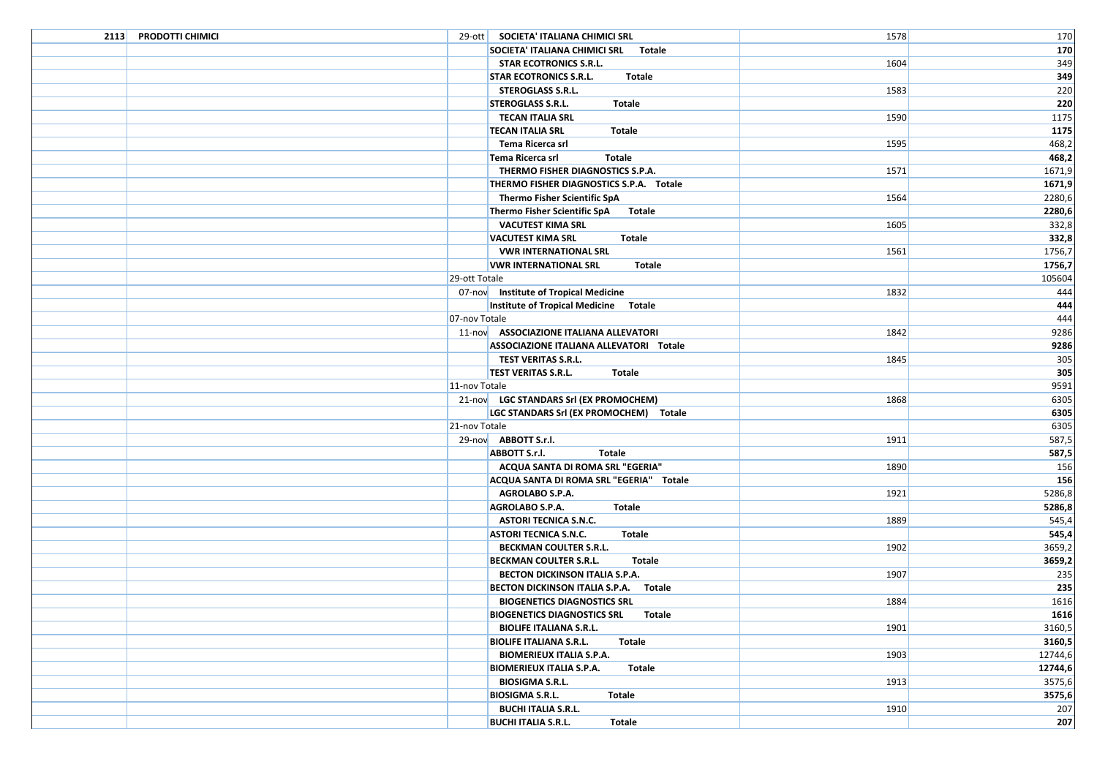| 2113 PRODOTTI CHIMICI | 29-ott   SOCIETA' ITALIANA CHIMICI SRL        | 1578 | 170     |
|-----------------------|-----------------------------------------------|------|---------|
|                       | SOCIETA' ITALIANA CHIMICI SRL Totale          |      | 170     |
|                       | <b>STAR ECOTRONICS S.R.L.</b>                 | 1604 | 349     |
|                       | <b>STAR ECOTRONICS S.R.L.</b><br>Totale       |      | 349     |
|                       | <b>STEROGLASS S.R.L.</b>                      | 1583 | 220     |
|                       | <b>STEROGLASS S.R.L.</b><br>Totale            |      | 220     |
|                       | <b>TECAN ITALIA SRL</b>                       | 1590 | 1175    |
|                       | <b>TECAN ITALIA SRL</b><br>Totale             |      | 1175    |
|                       | Tema Ricerca srl                              | 1595 | 468,2   |
|                       | Tema Ricerca srl<br>Totale                    |      | 468,2   |
|                       | THERMO FISHER DIAGNOSTICS S.P.A.              | 1571 | 1671,9  |
|                       | THERMO FISHER DIAGNOSTICS S.P.A. Totale       |      | 1671,9  |
|                       | Thermo Fisher Scientific SpA                  | 1564 | 2280,6  |
|                       | Thermo Fisher Scientific SpA<br>Totale        |      | 2280,6  |
|                       | <b>VACUTEST KIMA SRL</b>                      | 1605 | 332,8   |
|                       | <b>VACUTEST KIMA SRL</b><br><b>Totale</b>     |      | 332,8   |
|                       | <b>VWR INTERNATIONAL SRL</b>                  | 1561 | 1756,7  |
|                       | <b>VWR INTERNATIONAL SRL</b><br>Totale        |      | 1756,7  |
|                       | 29-ott Totale                                 |      | 105604  |
|                       | 07-nov Institute of Tropical Medicine         | 1832 | 444     |
|                       | Institute of Tropical Medicine Totale         |      | 444     |
|                       | 07-nov Totale                                 |      | 444     |
|                       | 11-nov ASSOCIAZIONE ITALIANA ALLEVATORI       | 1842 | 9286    |
|                       | ASSOCIAZIONE ITALIANA ALLEVATORI Totale       |      | 9286    |
|                       | TEST VERITAS S.R.L.                           | 1845 | 305     |
|                       | <b>TEST VERITAS S.R.L.</b><br>Totale          |      | 305     |
|                       | 11-nov Totale                                 |      | 9591    |
|                       | 21-nov LGC STANDARS Srl (EX PROMOCHEM)        | 1868 | 6305    |
|                       | LGC STANDARS Srl (EX PROMOCHEM) Totale        |      | 6305    |
|                       | 21-nov Totale                                 |      | 6305    |
|                       | 29-nov ABBOTT S.r.I.                          | 1911 | 587,5   |
|                       | <b>ABBOTT S.r.I.</b><br><b>Totale</b>         |      | 587,5   |
|                       | ACQUA SANTA DI ROMA SRL "EGERIA"              | 1890 | 156     |
|                       | ACQUA SANTA DI ROMA SRL "EGERIA" Totale       |      | 156     |
|                       | AGROLABO S.P.A.                               | 1921 | 5286,8  |
|                       | AGROLABO S.P.A.<br>Totale                     |      | 5286,8  |
|                       | <b>ASTORI TECNICA S.N.C.</b>                  | 1889 | 545,4   |
|                       | <b>ASTORI TECNICA S.N.C.</b><br><b>Totale</b> |      | 545,4   |
|                       | <b>BECKMAN COULTER S.R.L.</b>                 | 1902 | 3659,2  |
|                       | <b>BECKMAN COULTER S.R.L.</b><br>Totale       |      | 3659,2  |
|                       | BECTON DICKINSON ITALIA S.P.A.                | 1907 | 235     |
|                       | BECTON DICKINSON ITALIA S.P.A. Totale         |      | 235     |
|                       | <b>BIOGENETICS DIAGNOSTICS SRL</b>            | 1884 | 1616    |
|                       | <b>BIOGENETICS DIAGNOSTICS SRL Totale</b>     |      | 1616    |
|                       | <b>BIOLIFE ITALIANA S.R.L.</b>                | 1901 | 3160,5  |
|                       | <b>BIOLIFE ITALIANA S.R.L.</b><br>Totale      |      | 3160,5  |
|                       | <b>BIOMERIEUX ITALIA S.P.A.</b>               | 1903 | 12744,6 |
|                       | <b>BIOMERIEUX ITALIA S.P.A.</b><br>Totale     |      | 12744,6 |
|                       | <b>BIOSIGMA S.R.L.</b>                        | 1913 | 3575,6  |
|                       | <b>BIOSIGMA S.R.L.</b><br>Totale              |      | 3575,6  |
|                       | <b>BUCHI ITALIA S.R.L.</b>                    | 1910 | 207     |
|                       | <b>BUCHI ITALIA S.R.L.</b><br><b>Totale</b>   |      | 207     |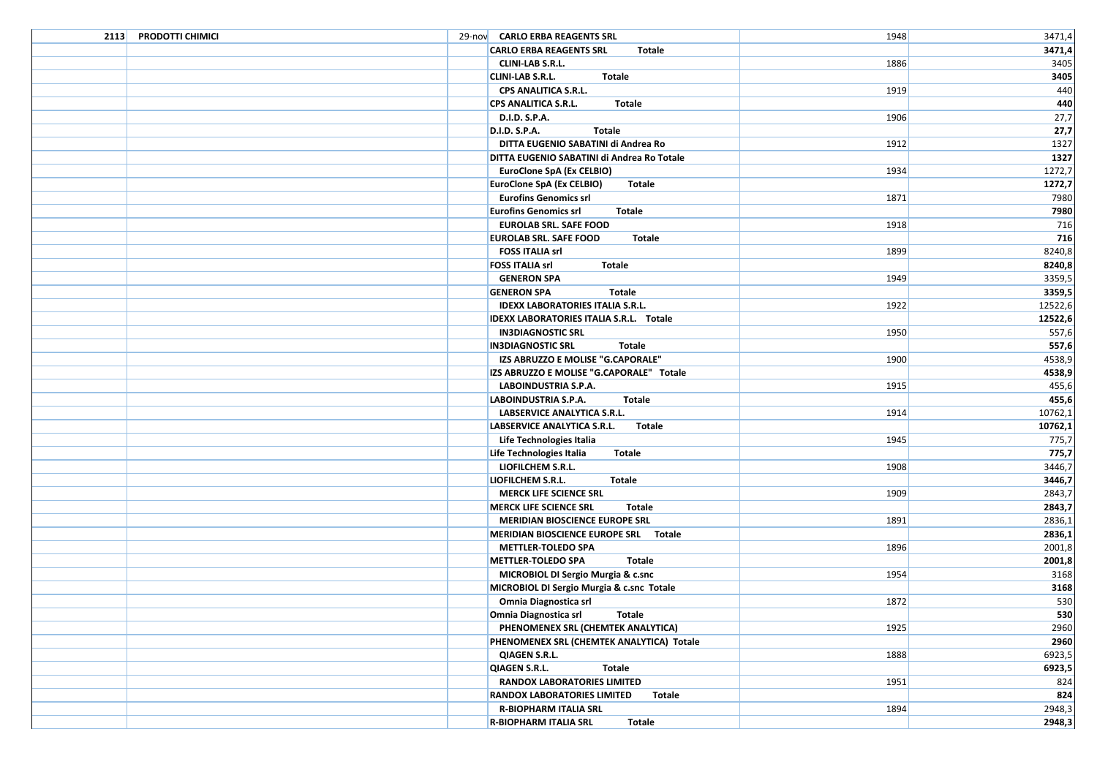| 2113 PRODOTTI CHIMICI | 29-nov CARLO ERBA REAGENTS SRL                 | 1948 | 3471,4  |
|-----------------------|------------------------------------------------|------|---------|
|                       | <b>CARLO ERBA REAGENTS SRL</b><br>Totale       |      | 3471,4  |
|                       | <b>CLINI-LAB S.R.L.</b>                        | 1886 | 3405    |
|                       | <b>CLINI-LAB S.R.L.</b><br><b>Totale</b>       |      | 3405    |
|                       | CPS ANALITICA S.R.L.                           | 1919 | 440     |
|                       | CPS ANALITICA S.R.L.<br><b>Totale</b>          |      | 440     |
|                       | D.I.D. S.P.A.                                  | 1906 | 27,7    |
|                       | <b>Totale</b><br>D.I.D. S.P.A.                 |      | 27,7    |
|                       | DITTA EUGENIO SABATINI di Andrea Ro            | 1912 | 1327    |
|                       | DITTA EUGENIO SABATINI di Andrea Ro Totale     |      | 1327    |
|                       | EuroClone SpA (Ex CELBIO)                      | 1934 | 1272,7  |
|                       | EuroClone SpA (Ex CELBIO)<br>Totale            |      | 1272,7  |
|                       | <b>Eurofins Genomics srl</b>                   | 1871 | 7980    |
|                       | <b>Eurofins Genomics srl</b><br>Totale         |      | 7980    |
|                       | <b>EUROLAB SRL. SAFE FOOD</b>                  | 1918 | 716     |
|                       | <b>EUROLAB SRL. SAFE FOOD</b><br><b>Totale</b> |      | 716     |
|                       | <b>FOSS ITALIA srl</b>                         | 1899 | 8240,8  |
|                       | <b>FOSS ITALIA srl</b><br>Totale               |      | 8240,8  |
|                       | <b>GENERON SPA</b>                             | 1949 | 3359,5  |
|                       | <b>GENERON SPA</b><br>Totale                   |      | 3359,5  |
|                       | <b>IDEXX LABORATORIES ITALIA S.R.L.</b>        | 1922 | 12522,6 |
|                       | <b>IDEXX LABORATORIES ITALIA S.R.L. Totale</b> |      | 12522,6 |
|                       | <b>IN3DIAGNOSTIC SRL</b>                       | 1950 | 557,6   |
|                       | <b>IN3DIAGNOSTIC SRL</b><br>Totale             |      | 557,6   |
|                       | IZS ABRUZZO E MOLISE "G.CAPORALE"              | 1900 | 4538,9  |
|                       | IZS ABRUZZO E MOLISE "G.CAPORALE" Totale       |      | 4538,9  |
|                       | LABOINDUSTRIA S.P.A.                           | 1915 | 455,6   |
|                       | LABOINDUSTRIA S.P.A.<br>Totale                 |      | 455,6   |
|                       | LABSERVICE ANALYTICA S.R.L.                    | 1914 | 10762,1 |
|                       | LABSERVICE ANALYTICA S.R.L.<br>Totale          |      | 10762,1 |
|                       | Life Technologies Italia                       | 1945 | 775,7   |
|                       | <b>Totale</b><br>Life Technologies Italia      |      | 775,7   |
|                       | LIOFILCHEM S.R.L.                              | 1908 | 3446,7  |
|                       | <b>LIOFILCHEM S.R.L.</b><br>Totale             |      | 3446,7  |
|                       | <b>MERCK LIFE SCIENCE SRL</b>                  | 1909 | 2843,7  |
|                       | <b>MERCK LIFE SCIENCE SRL</b><br>Totale        |      | 2843,7  |
|                       | MERIDIAN BIOSCIENCE EUROPE SRL                 | 1891 | 2836,1  |
|                       | MERIDIAN BIOSCIENCE EUROPE SRL Totale          |      | 2836,1  |
|                       | <b>METTLER-TOLEDO SPA</b>                      | 1896 | 2001,8  |
|                       | <b>METTLER-TOLEDO SPA</b><br>Totale            |      | 2001,8  |
|                       | MICROBIOL DI Sergio Murgia & c.snc             | 1954 | 3168    |
|                       | MICROBIOL DI Sergio Murgia & c.snc Totale      |      | 3168    |
|                       | Omnia Diagnostica srl                          | 1872 | 530     |
|                       | Omnia Diagnostica srl Totale                   |      | 530     |
|                       | PHENOMENEX SRL (CHEMTEK ANALYTICA)             | 1925 | 2960    |
|                       | PHENOMENEX SRL (CHEMTEK ANALYTICA) Totale      |      | 2960    |
|                       | <b>QIAGEN S.R.L.</b>                           | 1888 | 6923,5  |
|                       | <b>Totale</b><br><b>QIAGEN S.R.L.</b>          |      | 6923,5  |
|                       | <b>RANDOX LABORATORIES LIMITED</b>             | 1951 | 824     |
|                       | RANDOX LABORATORIES LIMITED<br><b>Totale</b>   |      | 824     |
|                       | <b>R-BIOPHARM ITALIA SRL</b>                   | 1894 | 2948,3  |
|                       | <b>R-BIOPHARM ITALIA SRL</b><br>Totale         |      | 2948,3  |
|                       |                                                |      |         |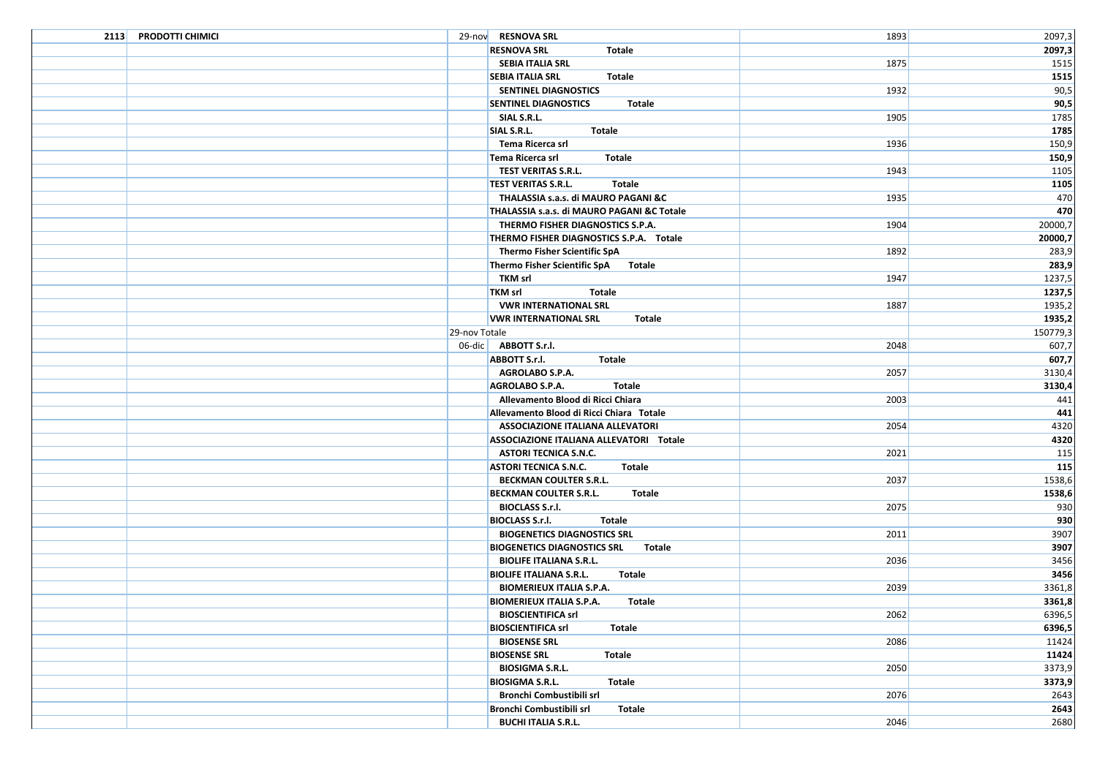| 2113 PRODOTTI CHIMICI | 29-nov RESNOVA SRL                           | 1893 | 2097,3   |
|-----------------------|----------------------------------------------|------|----------|
|                       | <b>RESNOVA SRL</b><br>Totale                 |      | 2097,3   |
|                       | SEBIA ITALIA SRL                             | 1875 | 1515     |
|                       | <b>SEBIA ITALIA SRL</b><br>Totale            |      | 1515     |
|                       | SENTINEL DIAGNOSTICS                         | 1932 | 90,5     |
|                       | <b>SENTINEL DIAGNOSTICS</b><br>Totale        |      | 90,5     |
|                       | SIAL S.R.L.                                  | 1905 | 1785     |
|                       | SIAL S.R.L.<br>Totale                        |      | 1785     |
|                       | Tema Ricerca srl                             | 1936 | 150,9    |
|                       | Tema Ricerca srl<br>Totale                   |      | 150,9    |
|                       | <b>TEST VERITAS S.R.L.</b>                   | 1943 | 1105     |
|                       | <b>TEST VERITAS S.R.L.</b><br>Totale         |      | 1105     |
|                       | THALASSIA s.a.s. di MAURO PAGANI &C          | 1935 | 470      |
|                       | THALASSIA s.a.s. di MAURO PAGANI &C Totale   |      | 470      |
|                       | THERMO FISHER DIAGNOSTICS S.P.A.             | 1904 | 20000,7  |
|                       | THERMO FISHER DIAGNOSTICS S.P.A. Totale      |      | 20000,7  |
|                       | Thermo Fisher Scientific SpA                 | 1892 | 283,9    |
|                       | Thermo Fisher Scientific SpA Totale          |      | 283,9    |
|                       | TKM srl                                      | 1947 | 1237,5   |
|                       | <b>TKM srl</b><br>Totale                     |      | 1237,5   |
|                       | <b>VWR INTERNATIONAL SRL</b>                 | 1887 | 1935,2   |
|                       | <b>VWR INTERNATIONAL SRL</b><br>Totale       |      | 1935,2   |
|                       | 29-nov Totale                                |      | 150779,3 |
|                       | 06-dic <b>ABBOTT S.r.I.</b>                  | 2048 | 607,7    |
|                       | <b>ABBOTT S.r.I.</b><br>Totale               |      | 607,7    |
|                       | <b>AGROLABO S.P.A.</b>                       | 2057 | 3130,4   |
|                       | AGROLABO S.P.A.<br>Totale                    |      | 3130,4   |
|                       | Allevamento Blood di Ricci Chiara            | 2003 | 441      |
|                       | Allevamento Blood di Ricci Chiara Totale     |      | 441      |
|                       | <b>ASSOCIAZIONE ITALIANA ALLEVATORI</b>      | 2054 | 4320     |
|                       | ASSOCIAZIONE ITALIANA ALLEVATORI Totale      |      | 4320     |
|                       | <b>ASTORI TECNICA S.N.C.</b>                 | 2021 | 115      |
|                       | <b>ASTORI TECNICA S.N.C.</b><br>Totale       |      | 115      |
|                       | <b>BECKMAN COULTER S.R.L.</b>                | 2037 | 1538,6   |
|                       | BECKMAN COULTER S.R.L.<br>Totale             |      | 1538,6   |
|                       | <b>BIOCLASS S.r.I.</b>                       | 2075 | 930      |
|                       | <b>BIOCLASS S.r.I.</b><br>Totale             |      | 930      |
|                       | <b>BIOGENETICS DIAGNOSTICS SRL</b>           | 2011 | 3907     |
|                       | <b>BIOGENETICS DIAGNOSTICS SRL</b><br>Totale |      | 3907     |
|                       | <b>BIOLIFE ITALIANA S.R.L.</b>               | 2036 | 3456     |
|                       | <b>BIOLIFE ITALIANA S.R.L.</b><br>Totale     |      | 3456     |
|                       | <b>BIOMERIEUX ITALIA S.P.A.</b>              | 2039 | 3361,8   |
|                       | <b>BIOMERIEUX ITALIA S.P.A.</b><br>Totale    |      | 3361,8   |
|                       | <b>BIOSCIENTIFICA srl</b>                    | 2062 | 6396,5   |
|                       | <b>BIOSCIENTIFICA srl</b><br>Totale          |      | 6396,5   |
|                       | <b>BIOSENSE SRL</b>                          | 2086 | 11424    |
|                       | <b>BIOSENSE SRL</b><br>Totale                |      | 11424    |
|                       | <b>BIOSIGMA S.R.L.</b>                       | 2050 | 3373,9   |
|                       | <b>BIOSIGMA S.R.L.</b><br>Totale             |      | 3373,9   |
|                       | Bronchi Combustibili srl                     | 2076 | 2643     |
|                       | Bronchi Combustibili srl<br>Totale           |      | 2643     |
|                       | <b>BUCHI ITALIA S.R.L.</b>                   | 2046 | 2680     |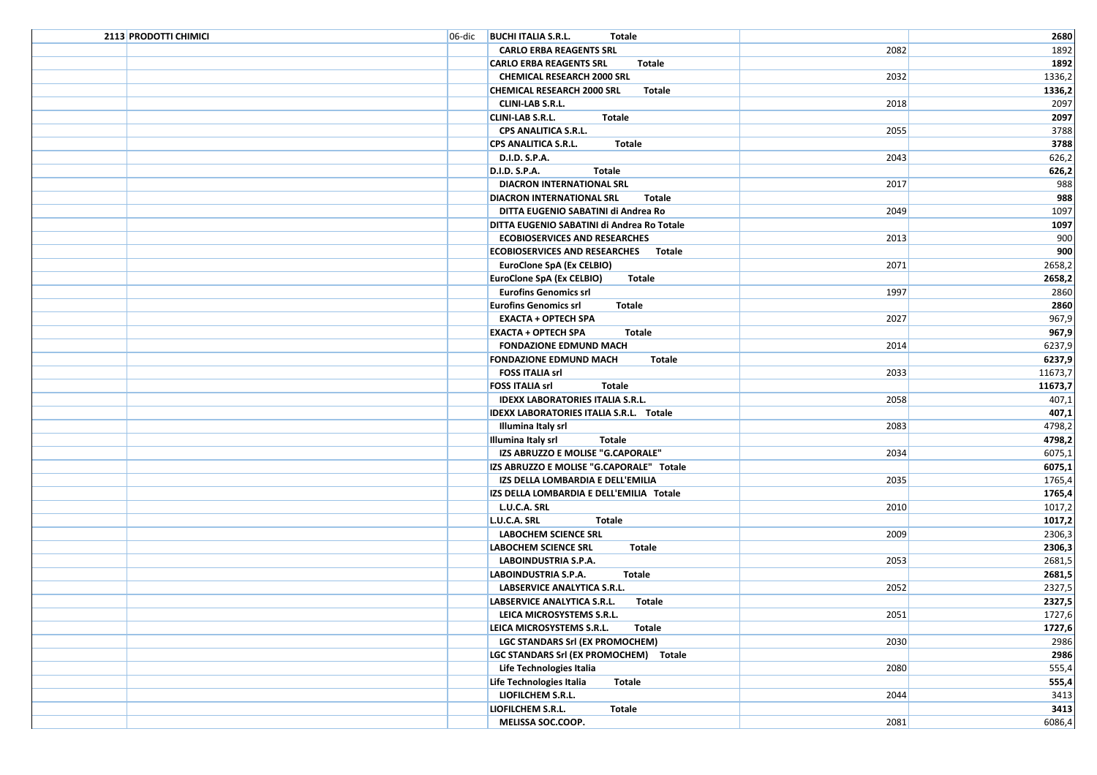| 2113 PRODOTTI CHIMICI | 06-dic BUCHI ITALIA S.R.L.<br>Totale        |      | 2680    |
|-----------------------|---------------------------------------------|------|---------|
|                       | <b>CARLO ERBA REAGENTS SRL</b>              | 2082 | 1892    |
|                       | <b>CARLO ERBA REAGENTS SRL</b><br>Totale    |      | 1892    |
|                       | <b>CHEMICAL RESEARCH 2000 SRL</b>           | 2032 | 1336,2  |
|                       | <b>CHEMICAL RESEARCH 2000 SRL</b><br>Totale |      | 1336,2  |
|                       | <b>CLINI-LAB S.R.L.</b>                     | 2018 | 2097    |
|                       | <b>CLINI-LAB S.R.L.</b><br>Totale           |      | 2097    |
|                       | CPS ANALITICA S.R.L.                        | 2055 | 3788    |
|                       | <b>CPS ANALITICA S.R.L.</b><br>Totale       |      | 3788    |
|                       | D.I.D. S.P.A.                               | 2043 | 626,2   |
|                       | <b>D.I.D. S.P.A.</b><br>Totale              |      | 626,2   |
|                       | DIACRON INTERNATIONAL SRL                   | 2017 | 988     |
|                       | <b>DIACRON INTERNATIONAL SRL</b><br>Totale  |      | 988     |
|                       | DITTA EUGENIO SABATINI di Andrea Ro         | 2049 | 1097    |
|                       | DITTA EUGENIO SABATINI di Andrea Ro Totale  |      | 1097    |
|                       | <b>ECOBIOSERVICES AND RESEARCHES</b>        | 2013 | 900     |
|                       | ECOBIOSERVICES AND RESEARCHES Totale        |      | 900     |
|                       | EuroClone SpA (Ex CELBIO)                   | 2071 | 2658,2  |
|                       | EuroClone SpA (Ex CELBIO)<br>Totale         |      | 2658,2  |
|                       | <b>Eurofins Genomics srl</b>                | 1997 | 2860    |
|                       | <b>Eurofins Genomics srl</b><br>Totale      |      | 2860    |
|                       | <b>EXACTA + OPTECH SPA</b>                  | 2027 | 967,9   |
|                       | <b>EXACTA + OPTECH SPA</b><br><b>Totale</b> |      | 967,9   |
|                       | <b>FONDAZIONE EDMUND MACH</b>               | 2014 | 6237,9  |
|                       | <b>FONDAZIONE EDMUND MACH</b><br>Totale     |      | 6237,9  |
|                       | <b>FOSS ITALIA srl</b>                      | 2033 | 11673,7 |
|                       | <b>FOSS ITALIA srl</b><br><b>Totale</b>     |      | 11673,7 |
|                       | <b>IDEXX LABORATORIES ITALIA S.R.L.</b>     | 2058 | 407,1   |
|                       | IDEXX LABORATORIES ITALIA S.R.L. Totale     |      | 407,1   |
|                       | Illumina Italy srl                          | 2083 | 4798,2  |
|                       | Illumina Italy srl<br>Totale                |      | 4798,2  |
|                       | IZS ABRUZZO E MOLISE "G.CAPORALE"           | 2034 | 6075,1  |
|                       | IZS ABRUZZO E MOLISE "G.CAPORALE" Totale    |      | 6075,1  |
|                       | IZS DELLA LOMBARDIA E DELL'EMILIA           | 2035 | 1765,4  |
|                       | IZS DELLA LOMBARDIA E DELL'EMILIA Totale    |      | 1765,4  |
|                       | L.U.C.A. SRL                                | 2010 | 1017,2  |
|                       | L.U.C.A. SRL<br>Totale                      |      | 1017,2  |
|                       | <b>LABOCHEM SCIENCE SRL</b>                 | 2009 | 2306,3  |
|                       | <b>LABOCHEM SCIENCE SRL</b><br>Totale       |      | 2306,3  |
|                       | LABOINDUSTRIA S.P.A.                        | 2053 | 2681,5  |
|                       | LABOINDUSTRIA S.P.A.<br>Totale              |      | 2681,5  |
|                       | LABSERVICE ANALYTICA S.R.L.                 | 2052 | 2327,5  |
|                       | LABSERVICE ANALYTICA S.R.L.<br>Totale       |      | 2327,5  |
|                       | LEICA MICROSYSTEMS S.R.L.                   | 2051 | 1727,6  |
|                       | LEICA MICROSYSTEMS S.R.L.<br><b>Totale</b>  |      | 1727,6  |
|                       | LGC STANDARS Srl (EX PROMOCHEM)             | 2030 | 2986    |
|                       | LGC STANDARS Srl (EX PROMOCHEM) Totale      |      | 2986    |
|                       | Life Technologies Italia                    | 2080 | 555,4   |
|                       | Life Technologies Italia<br>Totale          |      | 555,4   |
|                       | LIOFILCHEM S.R.L.                           | 2044 | 3413    |
|                       | <b>LIOFILCHEM S.R.L.</b><br><b>Totale</b>   |      | 3413    |
|                       | MELISSA SOC.COOP.                           | 2081 | 6086,4  |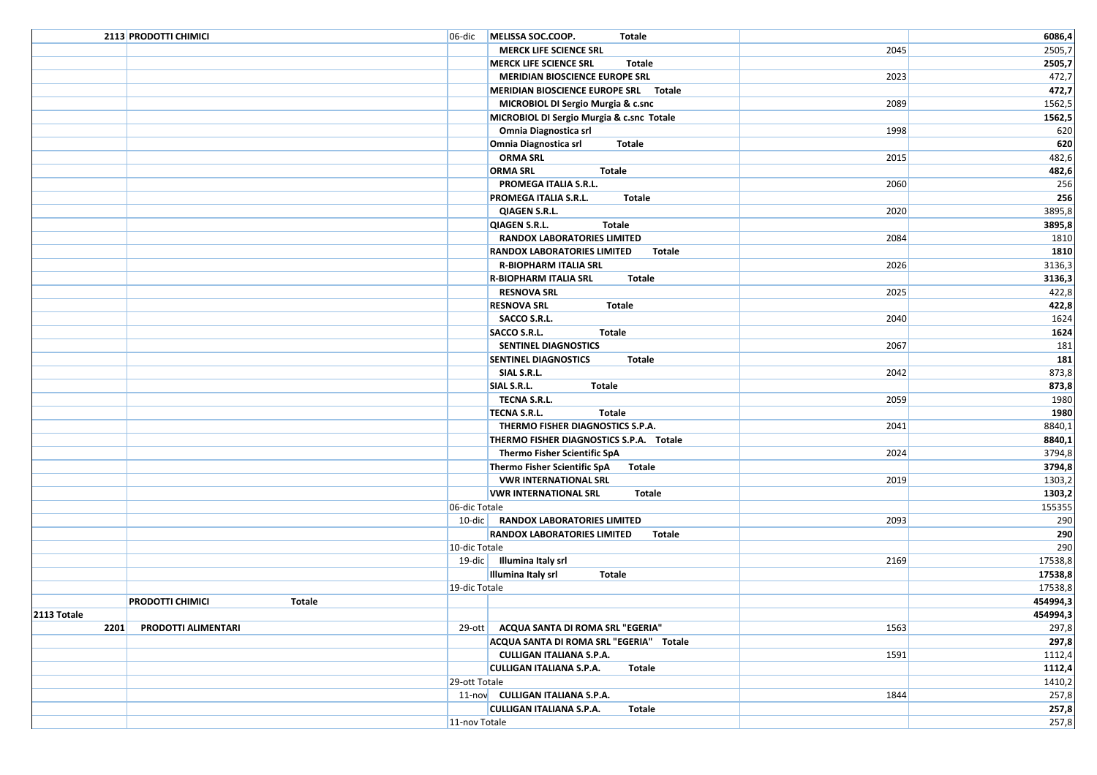|             | 2113 PRODOTTI CHIMICI             | 06-dic                                        | MELISSA SOC.COOP.<br>Totale                         |      | 6086,4        |
|-------------|-----------------------------------|-----------------------------------------------|-----------------------------------------------------|------|---------------|
|             |                                   |                                               | <b>MERCK LIFE SCIENCE SRL</b>                       | 2045 | 2505,7        |
|             |                                   |                                               | <b>MERCK LIFE SCIENCE SRL</b><br>Totale             |      | 2505,7        |
|             |                                   |                                               | MERIDIAN BIOSCIENCE EUROPE SRL                      | 2023 | 472,7         |
|             |                                   |                                               | MERIDIAN BIOSCIENCE EUROPE SRL Totale               |      | 472,7         |
|             |                                   |                                               | MICROBIOL DI Sergio Murgia & c.snc                  | 2089 | 1562,5        |
|             |                                   |                                               | MICROBIOL DI Sergio Murgia & c.snc Totale           |      | 1562,5        |
|             |                                   |                                               | Omnia Diagnostica srl                               | 1998 | 620           |
|             |                                   |                                               | Omnia Diagnostica srl<br>Totale                     |      | 620           |
|             |                                   |                                               | <b>ORMA SRL</b>                                     | 2015 | 482,6         |
|             |                                   |                                               | <b>ORMA SRL</b><br>Totale                           |      | 482,6         |
|             |                                   |                                               | PROMEGA ITALIA S.R.L.                               | 2060 | 256           |
|             |                                   |                                               | <b>Totale</b><br>PROMEGA ITALIA S.R.L.              |      | 256           |
|             |                                   |                                               | <b>QIAGEN S.R.L.</b>                                | 2020 | 3895,8        |
|             |                                   |                                               | <b>Totale</b><br>QIAGEN S.R.L.                      |      | 3895,8        |
|             |                                   |                                               | <b>RANDOX LABORATORIES LIMITED</b>                  | 2084 | 1810          |
|             |                                   |                                               | RANDOX LABORATORIES LIMITED<br>Totale               |      | 1810          |
|             |                                   |                                               | <b>R-BIOPHARM ITALIA SRL</b>                        | 2026 | 3136,3        |
|             |                                   |                                               | <b>R-BIOPHARM ITALIA SRL</b><br><b>Totale</b>       |      | 3136,3        |
|             |                                   |                                               | <b>RESNOVA SRL</b>                                  | 2025 | 422,8         |
|             |                                   |                                               | <b>RESNOVA SRL</b><br><b>Totale</b><br>SACCO S.R.L. |      | 422,8<br>1624 |
|             |                                   |                                               | SACCO S.R.L.<br><b>Totale</b>                       | 2040 | 1624          |
|             |                                   |                                               | SENTINEL DIAGNOSTICS                                | 2067 | 181           |
|             |                                   |                                               | <b>SENTINEL DIAGNOSTICS</b><br>Totale               |      | 181           |
|             |                                   |                                               | SIAL S.R.L.                                         | 2042 | 873,8         |
|             |                                   |                                               | SIAL S.R.L.<br><b>Totale</b>                        |      | 873,8         |
|             |                                   |                                               | TECNA S.R.L.                                        | 2059 | 1980          |
|             |                                   |                                               | <b>TECNA S.R.L.</b><br>Totale                       |      | 1980          |
|             |                                   |                                               | THERMO FISHER DIAGNOSTICS S.P.A.                    | 2041 | 8840,1        |
|             |                                   |                                               | THERMO FISHER DIAGNOSTICS S.P.A. Totale             |      | 8840,1        |
|             |                                   |                                               | Thermo Fisher Scientific SpA                        | 2024 | 3794,8        |
|             |                                   |                                               | Thermo Fisher Scientific SpA<br>Totale              |      | 3794,8        |
|             |                                   |                                               | <b>VWR INTERNATIONAL SRL</b>                        | 2019 | 1303,2        |
|             |                                   | <b>VWR INTERNATIONAL SRL</b><br><b>Totale</b> |                                                     |      | 1303,2        |
|             |                                   | 06-dic Totale                                 |                                                     |      | 155355        |
|             |                                   |                                               | 10-dic   RANDOX LABORATORIES LIMITED                | 2093 | 290           |
|             |                                   |                                               | <b>RANDOX LABORATORIES LIMITED</b><br><b>Totale</b> |      | 290           |
|             |                                   | 10-dic Totale                                 |                                                     |      | 290           |
|             |                                   |                                               | 19-dic   Illumina Italy srl                         | 2169 | 17538,8       |
|             |                                   |                                               | Illumina Italy srl<br>Totale                        |      | 17538,8       |
|             |                                   | 19-dic Totale                                 |                                                     |      | 17538,8       |
|             | <b>PRODOTTI CHIMICI</b><br>Totale |                                               |                                                     |      | 454994,3      |
| 2113 Totale |                                   |                                               |                                                     |      | 454994,3      |
| 2201        | PRODOTTI ALIMENTARI               |                                               | 29-ott   ACQUA SANTA DI ROMA SRL "EGERIA"           | 1563 | 297,8         |
|             |                                   |                                               | ACQUA SANTA DI ROMA SRL "EGERIA" Totale             |      | 297,8         |
|             |                                   |                                               | <b>CULLIGAN ITALIANA S.P.A.</b>                     | 1591 | 1112,4        |
|             |                                   |                                               | <b>CULLIGAN ITALIANA S.P.A.</b><br>Totale           |      | 1112,4        |
|             |                                   | 29-ott Totale                                 |                                                     |      | 1410,2        |
|             |                                   |                                               | 11-nov CULLIGAN ITALIANA S.P.A.                     | 1844 | 257,8         |
|             |                                   |                                               | <b>CULLIGAN ITALIANA S.P.A.</b><br>Totale           |      | 257,8         |
|             |                                   | 11-nov Totale                                 |                                                     |      | 257,8         |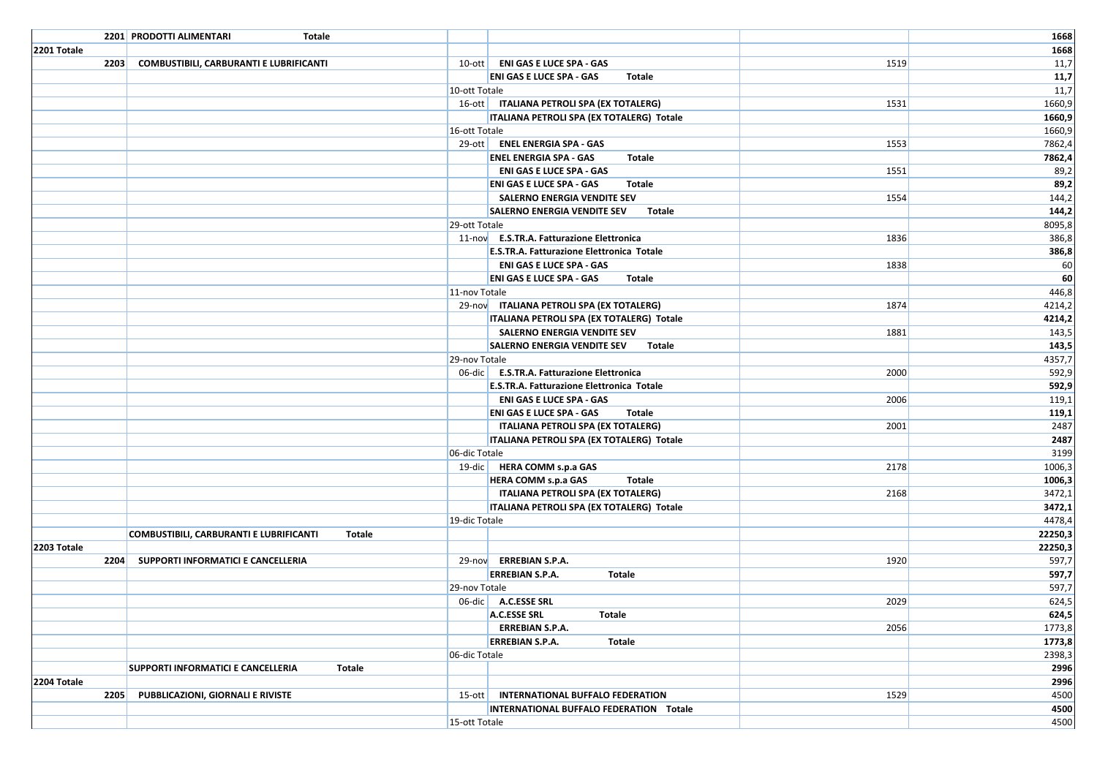|             | 2201 PRODOTTI ALIMENTARI<br>Totale        |               |                                                  |      | 1668             |
|-------------|-------------------------------------------|---------------|--------------------------------------------------|------|------------------|
| 2201 Totale |                                           |               |                                                  |      | 1668             |
| 2203        | COMBUSTIBILI, CARBURANTI E LUBRIFICANTI   |               | 10-ott   ENI GAS E LUCE SPA - GAS                | 1519 | 11,7             |
|             |                                           |               | <b>ENI GAS E LUCE SPA - GAS</b><br>Totale        |      | 11,7             |
|             |                                           | 10-ott Totale |                                                  |      | 11,7             |
|             |                                           |               | 16-ott   ITALIANA PETROLI SPA (EX TOTALERG)      | 1531 | 1660,9           |
|             |                                           |               | ITALIANA PETROLI SPA (EX TOTALERG) Totale        |      | 1660,9           |
|             |                                           | 16-ott Totale |                                                  |      | 1660,9           |
|             |                                           |               | 29-ott   ENEL ENERGIA SPA - GAS                  | 1553 | 7862,4           |
|             |                                           |               | <b>ENEL ENERGIA SPA - GAS</b><br>Totale          |      | 7862,4           |
|             |                                           |               | <b>ENI GAS E LUCE SPA - GAS</b>                  | 1551 | 89,2             |
|             |                                           |               | <b>ENI GAS E LUCE SPA - GAS</b><br>Totale        |      | 89,2             |
|             |                                           |               | SALERNO ENERGIA VENDITE SEV                      | 1554 | 144,2            |
|             |                                           |               | <b>SALERNO ENERGIA VENDITE SEV</b><br>Totale     |      | 144,2            |
|             |                                           | 29-ott Totale |                                                  |      | 8095,8           |
|             |                                           |               | 11-nov E.S.TR.A. Fatturazione Elettronica        | 1836 | 386,8            |
|             |                                           |               | <b>E.S.TR.A. Fatturazione Elettronica Totale</b> |      | 386,8            |
|             |                                           |               | <b>ENI GAS E LUCE SPA - GAS</b>                  | 1838 | 60               |
|             |                                           |               | <b>ENI GAS E LUCE SPA - GAS</b><br>Totale        |      | 60               |
|             |                                           | 11-nov Totale |                                                  |      | 446,8            |
|             |                                           |               | 29-nov ITALIANA PETROLI SPA (EX TOTALERG)        | 1874 | 4214,2           |
|             |                                           |               | ITALIANA PETROLI SPA (EX TOTALERG) Totale        |      | 4214,2           |
|             |                                           |               | SALERNO ENERGIA VENDITE SEV                      | 1881 | 143,5            |
|             |                                           |               | <b>SALERNO ENERGIA VENDITE SEV</b><br>Totale     |      | 143,5            |
|             |                                           | 29-nov Totale |                                                  |      | 4357,7           |
|             |                                           |               | 06-dic   E.S.TR.A. Fatturazione Elettronica      | 2000 | 592,9            |
|             |                                           |               | E.S.TR.A. Fatturazione Elettronica Totale        |      | 592,9            |
|             |                                           |               | <b>ENI GAS E LUCE SPA - GAS</b>                  | 2006 | 119,1            |
|             |                                           |               | <b>ENI GAS E LUCE SPA - GAS</b><br>Totale        |      | 119,1            |
|             |                                           |               | ITALIANA PETROLI SPA (EX TOTALERG)               | 2001 | 2487             |
|             |                                           |               | ITALIANA PETROLI SPA (EX TOTALERG) Totale        |      | 2487             |
|             |                                           | 06-dic Totale |                                                  |      | 3199             |
|             |                                           |               | 19-dic   HERA COMM s.p.a GAS                     | 2178 | 1006,3           |
|             |                                           |               | <b>HERA COMM s.p.a GAS</b><br>Totale             |      | 1006,3           |
|             |                                           |               | ITALIANA PETROLI SPA (EX TOTALERG)               | 2168 | 3472,1           |
|             |                                           | 19-dic Totale | ITALIANA PETROLI SPA (EX TOTALERG) Totale        |      | 3472,1<br>4478,4 |
|             |                                           | <b>Totale</b> |                                                  |      | 22250,3          |
| 2203 Totale | COMBUSTIBILI, CARBURANTI E LUBRIFICANTI   |               |                                                  |      | 22250,3          |
|             | 2204 SUPPORTI INFORMATICI E CANCELLERIA   |               | 29-nov ERREBIAN S.P.A.                           | 1920 | 597,7            |
|             |                                           |               | <b>ERREBIAN S.P.A.</b><br>Totale                 |      | 597,7            |
|             |                                           | 29-nov Totale |                                                  |      | 597,7            |
|             |                                           |               | 06-dic A.C.ESSE SRL                              | 2029 | 624,5            |
|             |                                           |               | A.C.ESSE SRL<br><b>Totale</b>                    |      | 624,5            |
|             |                                           |               | <b>ERREBIAN S.P.A.</b>                           | 2056 | 1773,8           |
|             |                                           |               | <b>ERREBIAN S.P.A.</b><br>Totale                 |      | 1773,8           |
|             |                                           | 06-dic Totale |                                                  |      | 2398,3           |
|             | <b>SUPPORTI INFORMATICI E CANCELLERIA</b> | Totale        |                                                  |      | 2996             |
| 2204 Totale |                                           |               |                                                  |      | 2996             |
| 2205        | PUBBLICAZIONI, GIORNALI E RIVISTE         |               | 15-ott   INTERNATIONAL BUFFALO FEDERATION        | 1529 | 4500             |
|             |                                           |               | INTERNATIONAL BUFFALO FEDERATION Totale          |      | 4500             |
|             |                                           | 15-ott Totale |                                                  |      | 4500             |
|             |                                           |               |                                                  |      |                  |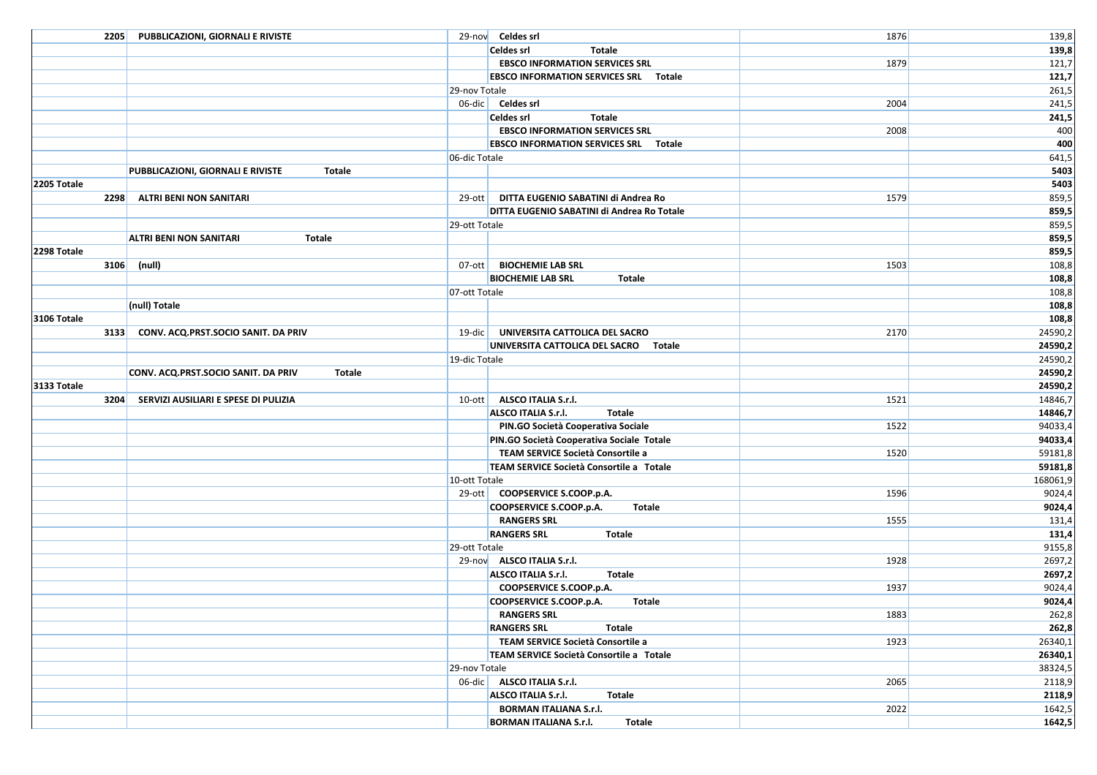| 2205        | <b>PUBBLICAZIONI, GIORNALI E RIVISTE</b>             |               | 29-nov Celdes srl                                                                | 1876 | 139,8              |
|-------------|------------------------------------------------------|---------------|----------------------------------------------------------------------------------|------|--------------------|
|             |                                                      |               | Celdes srl<br>Totale                                                             |      | 139,8              |
|             |                                                      |               | <b>EBSCO INFORMATION SERVICES SRL</b>                                            | 1879 | 121,7              |
|             |                                                      |               | <b>EBSCO INFORMATION SERVICES SRL Totale</b>                                     |      | 121,7              |
|             |                                                      | 29-nov Totale |                                                                                  |      | 261,5              |
|             |                                                      |               | 06-dic Celdes srl                                                                | 2004 | 241,5              |
|             |                                                      |               | <b>Celdes srl</b><br><b>Totale</b>                                               |      | 241,5              |
|             |                                                      |               | <b>EBSCO INFORMATION SERVICES SRL</b>                                            | 2008 | 400                |
|             |                                                      |               | <b>EBSCO INFORMATION SERVICES SRL Totale</b>                                     |      | 400                |
|             |                                                      | 06-dic Totale |                                                                                  |      | 641,5              |
|             | PUBBLICAZIONI, GIORNALI E RIVISTE<br>Totale          |               |                                                                                  |      | 5403               |
| 2205 Totale |                                                      |               |                                                                                  |      | 5403               |
| 2298        | ALTRI BENI NON SANITARI                              | $29$ -ott     | DITTA EUGENIO SABATINI di Andrea Ro                                              | 1579 | 859,5              |
|             |                                                      |               | DITTA EUGENIO SABATINI di Andrea Ro Totale                                       |      | 859,5              |
|             |                                                      | 29-ott Totale |                                                                                  |      | 859,5              |
|             | <b>ALTRI BENI NON SANITARI</b><br>Totale             |               |                                                                                  |      | 859,5              |
| 2298 Totale |                                                      |               |                                                                                  |      | 859,5              |
| 3106        | (null)                                               | $07-$ ott     | <b>BIOCHEMIE LAB SRL</b>                                                         | 1503 | 108,8              |
|             |                                                      |               | <b>BIOCHEMIE LAB SRL</b><br>Totale                                               |      | 108,8              |
|             |                                                      | 07-ott Totale |                                                                                  |      | 108,8              |
|             | (null) Totale                                        |               |                                                                                  |      | 108,8              |
| 3106 Totale |                                                      |               |                                                                                  |      | 108,8              |
| 3133        | CONV. ACQ.PRST.SOCIO SANIT. DA PRIV                  |               | 19-dic   UNIVERSITA CATTOLICA DEL SACRO<br>UNIVERSITA CATTOLICA DEL SACRO Totale | 2170 | 24590,2            |
|             |                                                      |               |                                                                                  |      | 24590,2            |
|             | CONV. ACQ.PRST.SOCIO SANIT. DA PRIV<br><b>Totale</b> | 19-dic Totale |                                                                                  |      | 24590,2<br>24590,2 |
| 3133 Totale |                                                      |               |                                                                                  |      | 24590,2            |
| 3204        | SERVIZI AUSILIARI E SPESE DI PULIZIA                 | $10$ -ott     | ALSCO ITALIA S.r.l.                                                              | 1521 | 14846,7            |
|             |                                                      |               | <b>ALSCO ITALIA S.r.I.</b><br><b>Totale</b>                                      |      | 14846,7            |
|             |                                                      |               | PIN.GO Società Cooperativa Sociale                                               | 1522 | 94033,4            |
|             |                                                      |               | PIN.GO Società Cooperativa Sociale Totale                                        |      | 94033,4            |
|             |                                                      |               | TEAM SERVICE Società Consortile a                                                | 1520 | 59181,8            |
|             |                                                      |               | TEAM SERVICE Società Consortile a Totale                                         |      | 59181,8            |
|             |                                                      | 10-ott Totale |                                                                                  |      | 168061,9           |
|             |                                                      |               | 29-ott COOPSERVICE S.COOP.p.A.                                                   | 1596 | 9024,4             |
|             |                                                      |               | COOPSERVICE S.COOP.p.A.<br>Totale                                                |      | 9024,4             |
|             |                                                      |               | <b>RANGERS SRL</b>                                                               | 1555 | 131,4              |
|             |                                                      |               | <b>RANGERS SRL</b><br>Totale                                                     |      | 131,4              |
|             |                                                      | 29-ott Totale |                                                                                  |      | 9155,8             |
|             |                                                      |               | 29-nov ALSCO ITALIA S.r.I.                                                       | 1928 | 2697,2             |
|             |                                                      |               | <b>ALSCO ITALIA S.r.I.</b><br>Totale                                             |      | 2697,2             |
|             |                                                      |               | COOPSERVICE S.COOP.p.A.                                                          | 1937 | 9024,4             |
|             |                                                      |               | COOPSERVICE S.COOP.p.A.<br>Totale                                                |      | 9024,4             |
|             |                                                      |               | <b>RANGERS SRL</b>                                                               | 1883 | 262,8              |
|             |                                                      |               | <b>RANGERS SRL</b><br>Totale                                                     |      | 262,8              |
|             |                                                      |               | TEAM SERVICE Società Consortile a                                                | 1923 | 26340,1            |
|             |                                                      |               | TEAM SERVICE Società Consortile a Totale                                         |      | 26340,1            |
|             |                                                      | 29-nov Totale |                                                                                  |      | 38324,5            |
|             |                                                      |               | 06-dic ALSCO ITALIA S.r.I.                                                       | 2065 | 2118,9             |
|             |                                                      |               | ALSCO ITALIA S.r.l.<br><b>Totale</b>                                             |      | 2118,9             |
|             |                                                      |               | <b>BORMAN ITALIANA S.r.l.</b>                                                    | 2022 | 1642,5             |
|             |                                                      |               | <b>BORMAN ITALIANA S.r.l.</b><br>Totale                                          |      | 1642,5             |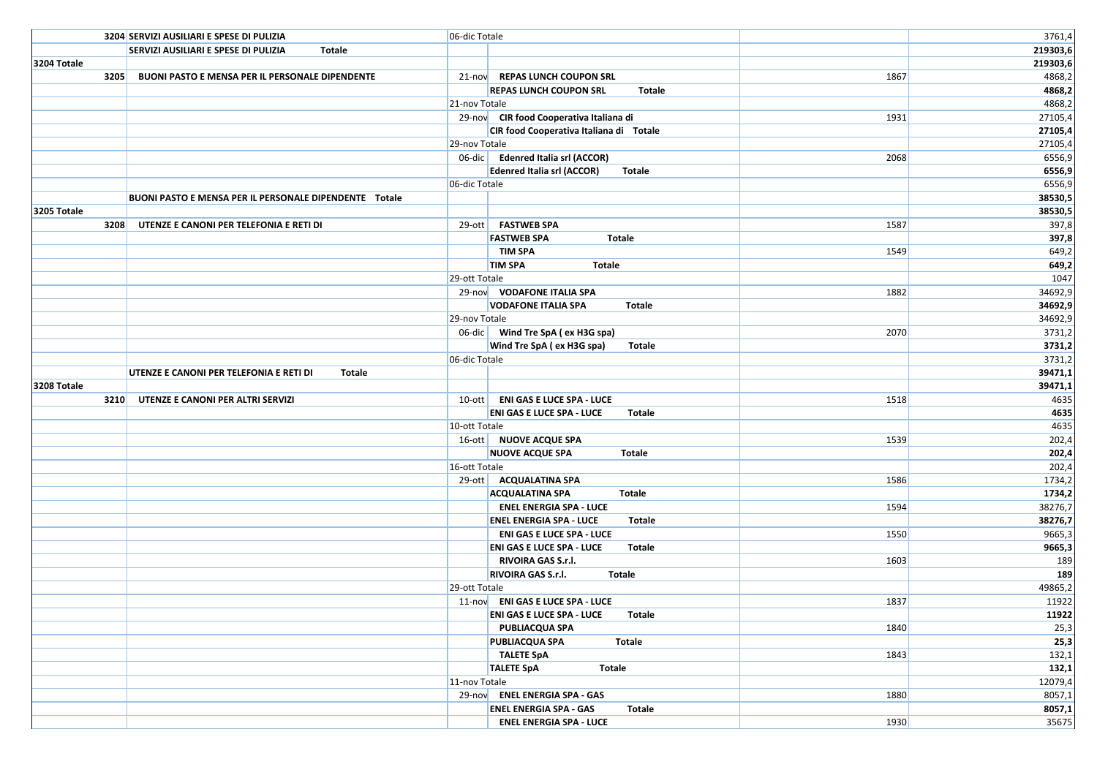|             | 3204 SERVIZI AUSILIARI E SPESE DI PULIZIA              | 06-dic Totale |                                                    |      | 3761,4   |
|-------------|--------------------------------------------------------|---------------|----------------------------------------------------|------|----------|
|             | SERVIZI AUSILIARI E SPESE DI PULIZIA<br>Totale         |               |                                                    |      | 219303,6 |
| 3204 Totale |                                                        |               |                                                    |      | 219303,6 |
| 3205        | <b>BUONI PASTO E MENSA PER IL PERSONALE DIPENDENTE</b> |               | 21-nov REPAS LUNCH COUPON SRL                      | 1867 | 4868,2   |
|             |                                                        |               | <b>REPAS LUNCH COUPON SRL</b><br>Totale            |      | 4868,2   |
|             |                                                        | 21-nov Totale |                                                    |      | 4868,2   |
|             |                                                        |               | 29-nov CIR food Cooperativa Italiana di            | 1931 | 27105,4  |
|             |                                                        |               | CIR food Cooperativa Italiana di Totale            |      | 27105,4  |
|             |                                                        | 29-nov Totale |                                                    |      | 27105,4  |
|             |                                                        |               | 06-dic Edenred Italia srl (ACCOR)                  | 2068 | 6556,9   |
|             |                                                        |               | <b>Edenred Italia srl (ACCOR)</b><br><b>Totale</b> |      | 6556,9   |
|             |                                                        | 06-dic Totale |                                                    |      | 6556,9   |
|             | BUONI PASTO E MENSA PER IL PERSONALE DIPENDENTE Totale |               |                                                    |      | 38530,5  |
| 3205 Totale |                                                        |               |                                                    |      | 38530,5  |
| 3208        | UTENZE E CANONI PER TELEFONIA E RETI DI                |               | 29-ott   FASTWEB SPA                               | 1587 | 397,8    |
|             |                                                        |               | <b>FASTWEB SPA</b><br>Totale                       |      | 397,8    |
|             |                                                        |               | <b>TIM SPA</b>                                     | 1549 | 649,2    |
|             |                                                        |               | <b>TIM SPA</b><br>Totale                           |      | 649,2    |
|             |                                                        | 29-ott Totale |                                                    |      | 1047     |
|             |                                                        |               | 29-nov VODAFONE ITALIA SPA                         | 1882 | 34692,9  |
|             |                                                        |               | <b>VODAFONE ITALIA SPA</b><br><b>Totale</b>        |      | 34692,9  |
|             |                                                        | 29-nov Totale |                                                    |      | 34692,9  |
|             |                                                        |               | 06-dic Wind Tre SpA (ex H3G spa)                   | 2070 | 3731,2   |
|             |                                                        |               | Wind Tre SpA (ex H3G spa)<br>Totale                |      | 3731,2   |
|             |                                                        | 06-dic Totale |                                                    |      | 3731,2   |
|             | UTENZE E CANONI PER TELEFONIA E RETI DI<br>Totale      |               |                                                    |      | 39471,1  |
| 3208 Totale |                                                        |               |                                                    |      | 39471,1  |
| 3210        | UTENZE E CANONI PER ALTRI SERVIZI                      |               | 10-ott   ENI GAS E LUCE SPA - LUCE                 | 1518 | 4635     |
|             |                                                        |               | <b>ENI GAS E LUCE SPA - LUCE</b><br>Totale         |      | 4635     |
|             |                                                        | 10-ott Totale |                                                    |      | 4635     |
|             |                                                        |               | 16-ott NUOVE ACQUE SPA                             | 1539 | 202,4    |
|             |                                                        |               | <b>NUOVE ACQUE SPA</b><br>Totale                   |      | 202,4    |
|             |                                                        | 16-ott Totale |                                                    |      | 202,4    |
|             |                                                        |               | 29-ott   ACQUALATINA SPA                           | 1586 | 1734,2   |
|             |                                                        |               | <b>ACQUALATINA SPA</b><br>Totale                   |      | 1734,2   |
|             |                                                        |               | <b>ENEL ENERGIA SPA - LUCE</b>                     | 1594 | 38276,7  |
|             |                                                        |               | <b>ENEL ENERGIA SPA - LUCE</b><br>Totale           |      | 38276,7  |
|             |                                                        |               | <b>ENI GAS E LUCE SPA - LUCE</b>                   | 1550 | 9665,3   |
|             |                                                        |               | <b>ENI GAS E LUCE SPA - LUCE</b><br>Totale         |      | 9665,3   |
|             |                                                        |               | RIVOIRA GAS S.r.l.                                 | 1603 | 189      |
|             |                                                        |               | <b>RIVOIRA GAS S.r.l.</b><br>Totale                |      | 189      |
|             |                                                        | 29-ott Totale |                                                    |      | 49865,2  |
|             |                                                        |               | 11-nov ENI GAS E LUCE SPA - LUCE                   | 1837 | 11922    |
|             |                                                        |               | <b>ENI GAS E LUCE SPA - LUCE Totale</b>            |      | 11922    |
|             |                                                        |               | <b>PUBLIACQUA SPA</b>                              | 1840 | 25,3     |
|             |                                                        |               | PUBLIACQUA SPA<br>Totale                           |      | 25,3     |
|             |                                                        |               | <b>TALETE SpA</b>                                  | 1843 | 132,1    |
|             |                                                        |               | <b>TALETE SpA</b><br><b>Totale</b>                 |      | 132,1    |
|             |                                                        | 11-nov Totale |                                                    |      | 12079,4  |
|             |                                                        |               | 29-nov ENEL ENERGIA SPA - GAS                      | 1880 | 8057,1   |
|             |                                                        |               | <b>ENEL ENERGIA SPA - GAS</b><br>Totale            |      | 8057,1   |
|             |                                                        |               | <b>ENEL ENERGIA SPA - LUCE</b>                     | 1930 | 35675    |
|             |                                                        |               |                                                    |      |          |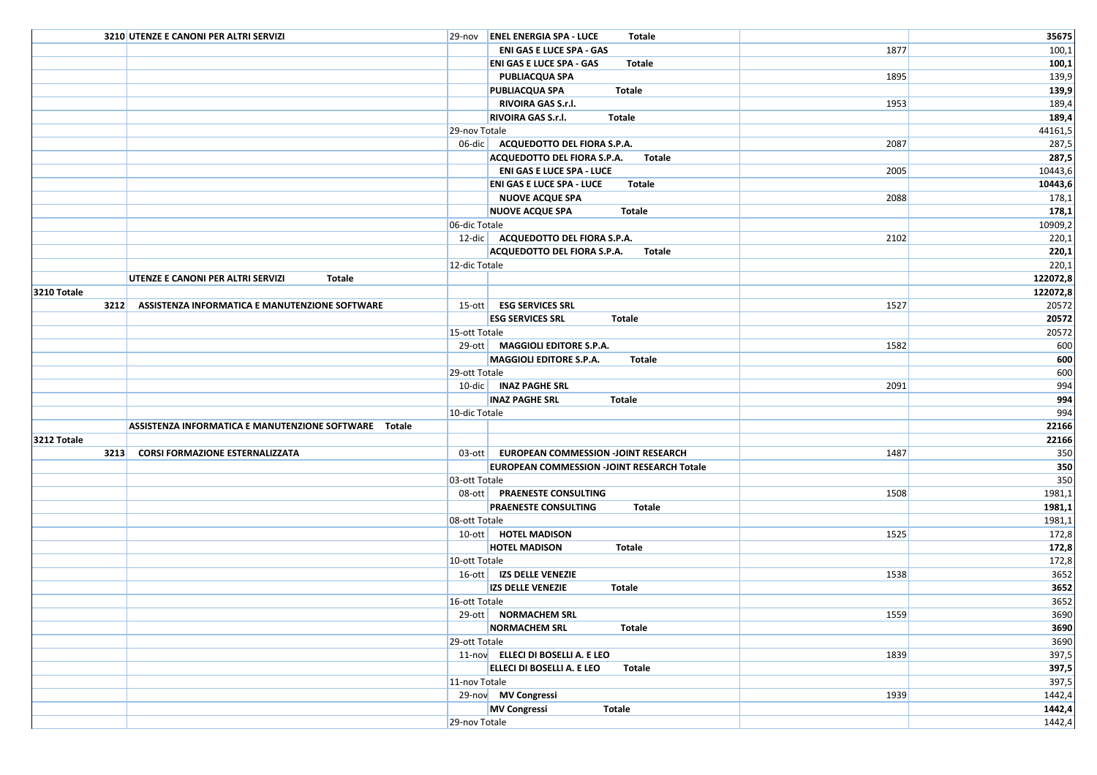|             | 3210 UTENZE E CANONI PER ALTRI SERVIZI                |               | 29-nov <b>ENEL ENERGIA SPA - LUCE</b><br>Totale            |      | 35675      |
|-------------|-------------------------------------------------------|---------------|------------------------------------------------------------|------|------------|
|             |                                                       |               | <b>ENI GAS E LUCE SPA - GAS</b>                            | 1877 | 100,1      |
|             |                                                       |               | <b>ENI GAS E LUCE SPA - GAS</b><br>Totale                  |      | 100,1      |
|             |                                                       |               | PUBLIACQUA SPA                                             | 1895 | 139,9      |
|             |                                                       |               | <b>Totale</b><br><b>PUBLIACQUA SPA</b>                     |      | 139,9      |
|             |                                                       |               | RIVOIRA GAS S.r.l.                                         | 1953 | 189,4      |
|             |                                                       |               | <b>RIVOIRA GAS S.r.I.</b><br>Totale                        |      | 189,4      |
|             |                                                       | 29-nov Totale |                                                            |      | 44161,5    |
|             |                                                       |               | 06-dic   ACQUEDOTTO DEL FIORA S.P.A.                       | 2087 | 287,5      |
|             |                                                       |               | ACQUEDOTTO DEL FIORA S.P.A.<br>Totale                      |      | 287,5      |
|             |                                                       |               | <b>ENI GAS E LUCE SPA - LUCE</b>                           | 2005 | 10443,6    |
|             |                                                       |               | <b>ENI GAS E LUCE SPA - LUCE</b><br>Totale                 |      | 10443,6    |
|             |                                                       |               | <b>NUOVE ACQUE SPA</b>                                     | 2088 | 178,1      |
|             |                                                       |               | <b>NUOVE ACQUE SPA</b><br>Totale                           |      | 178,1      |
|             |                                                       | 06-dic Totale |                                                            |      | 10909,2    |
|             |                                                       |               | 12-dic   ACQUEDOTTO DEL FIORA S.P.A.                       | 2102 | 220,1      |
|             |                                                       |               | ACQUEDOTTO DEL FIORA S.P.A.<br>Totale                      |      | 220,1      |
|             |                                                       | 12-dic Totale |                                                            |      | 220,1      |
|             | UTENZE E CANONI PER ALTRI SERVIZI<br><b>Totale</b>    |               |                                                            |      | 122072,8   |
| 3210 Totale |                                                       |               |                                                            |      | 122072,8   |
|             | 3212 ASSISTENZA INFORMATICA E MANUTENZIONE SOFTWARE   |               | 15-ott   ESG SERVICES SRL                                  | 1527 | 20572      |
|             |                                                       |               | <b>ESG SERVICES SRL</b><br>Totale                          |      | 20572      |
|             |                                                       | 15-ott Totale |                                                            |      | 20572      |
|             |                                                       |               | 29-ott   MAGGIOLI EDITORE S.P.A.                           | 1582 | 600        |
|             |                                                       |               | MAGGIOLI EDITORE S.P.A.<br>Totale                          |      | 600        |
|             |                                                       | 29-ott Totale |                                                            |      | 600        |
|             |                                                       |               | 10-dic   INAZ PAGHE SRL<br><b>INAZ PAGHE SRL</b><br>Totale | 2091 | 994<br>994 |
|             |                                                       | 10-dic Totale |                                                            |      | 994        |
|             | ASSISTENZA INFORMATICA E MANUTENZIONE SOFTWARE Totale |               |                                                            |      | 22166      |
| 3212 Totale |                                                       |               |                                                            |      | 22166      |
|             | 3213 CORSI FORMAZIONE ESTERNALIZZATA                  |               | 03-ott   EUROPEAN COMMESSION -JOINT RESEARCH               | 1487 | 350        |
|             |                                                       |               | EUROPEAN COMMESSION - JOINT RESEARCH Totale                |      | 350        |
|             |                                                       | 03-ott Totale |                                                            |      | 350        |
|             |                                                       |               | 08-ott PRAENESTE CONSULTING                                | 1508 | 1981,1     |
|             |                                                       |               | <b>PRAENESTE CONSULTING</b><br>Totale                      |      | 1981,1     |
|             |                                                       | 08-ott Totale |                                                            |      | 1981,1     |
|             |                                                       |               | 10-ott   HOTEL MADISON                                     | 1525 | 172,8      |
|             |                                                       |               | <b>HOTEL MADISON</b><br>Totale                             |      | 172,8      |
|             |                                                       | 10-ott Totale |                                                            |      | 172,8      |
|             |                                                       |               | 16-ott   IZS DELLE VENEZIE                                 | 1538 | 3652       |
|             |                                                       |               | <b>IZS DELLE VENEZIE</b><br>Totale                         |      | 3652       |
|             |                                                       | 16-ott Totale |                                                            |      | 3652       |
|             |                                                       |               | 29-ott NORMACHEM SRL                                       | 1559 | 3690       |
|             |                                                       |               | <b>NORMACHEM SRL</b><br>Totale                             |      | 3690       |
|             |                                                       | 29-ott Totale |                                                            |      | 3690       |
|             |                                                       |               | 11-nov ELLECI DI BOSELLI A. E LEO                          | 1839 | 397,5      |
|             |                                                       |               | ELLECI DI BOSELLI A. E LEO<br>Totale                       |      | 397,5      |
|             |                                                       | 11-nov Totale |                                                            |      | 397,5      |
|             |                                                       |               | 29-nov MV Congressi                                        | 1939 | 1442,4     |
|             |                                                       |               | <b>MV Congressi</b><br><b>Totale</b>                       |      | 1442,4     |
|             |                                                       | 29-nov Totale |                                                            |      | 1442,4     |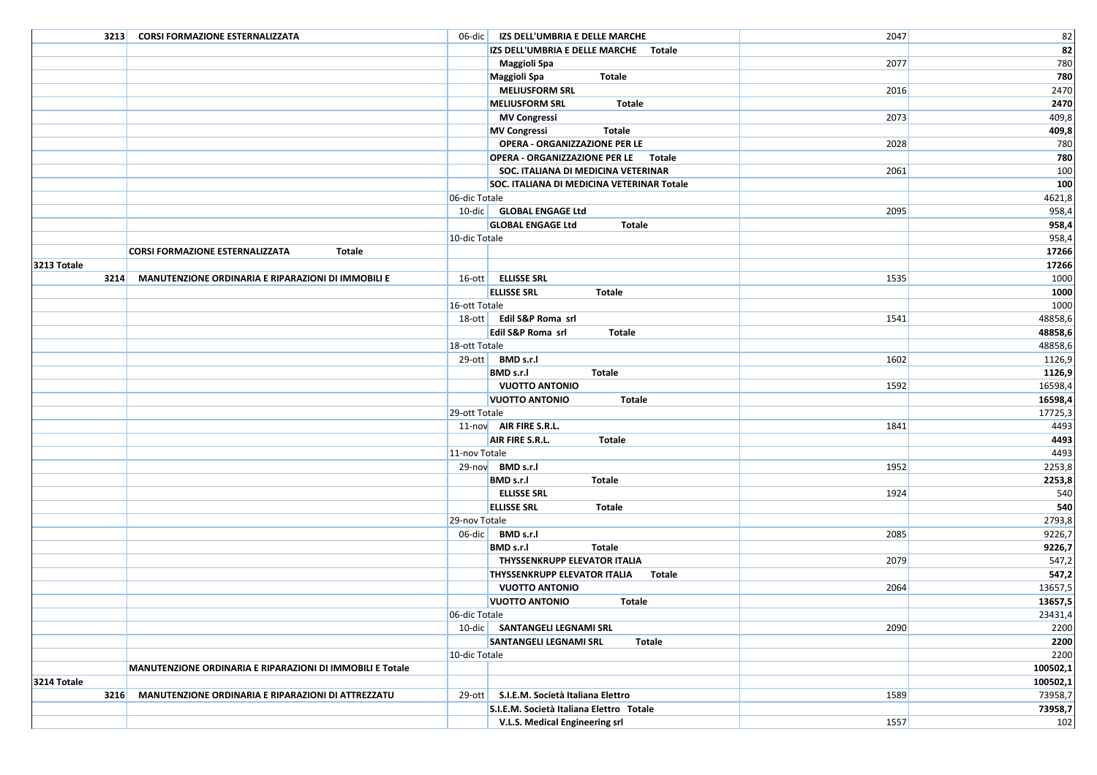|             | 3213 CORSI FORMAZIONE ESTERNALIZZATA                      |               | 06-dic   IZS DELL'UMBRIA E DELLE MARCHE       | 2047 | 82       |
|-------------|-----------------------------------------------------------|---------------|-----------------------------------------------|------|----------|
|             |                                                           |               | IZS DELL'UMBRIA E DELLE MARCHE Totale         |      | 82       |
|             |                                                           |               | <b>Maggioli Spa</b>                           | 2077 | 780      |
|             |                                                           |               | <b>Maggioli Spa</b><br>Totale                 |      | 780      |
|             |                                                           |               | <b>MELIUSFORM SRL</b>                         | 2016 | 2470     |
|             |                                                           |               | <b>MELIUSFORM SRL</b><br>Totale               |      | 2470     |
|             |                                                           |               | <b>MV Congressi</b>                           | 2073 | 409,8    |
|             |                                                           |               | Totale<br><b>MV Congressi</b>                 |      | 409,8    |
|             |                                                           |               | OPERA - ORGANIZZAZIONE PER LE                 | 2028 | 780      |
|             |                                                           |               | OPERA - ORGANIZZAZIONE PER LE Totale          |      | 780      |
|             |                                                           |               | SOC. ITALIANA DI MEDICINA VETERINAR           | 2061 | 100      |
|             |                                                           |               | SOC. ITALIANA DI MEDICINA VETERINAR Totale    |      | 100      |
|             |                                                           | 06-dic Totale |                                               |      | 4621,8   |
|             |                                                           |               | 10-dic   GLOBAL ENGAGE Ltd                    | 2095 | 958,4    |
|             |                                                           |               | <b>GLOBAL ENGAGE Ltd</b><br><b>Totale</b>     |      | 958,4    |
|             |                                                           | 10-dic Totale |                                               |      | 958,4    |
|             | <b>CORSI FORMAZIONE ESTERNALIZZATA</b><br>Totale          |               |                                               |      | 17266    |
| 3213 Totale |                                                           |               |                                               |      | 17266    |
|             | 3214 MANUTENZIONE ORDINARIA E RIPARAZIONI DI IMMOBILI E   |               | 16-ott ELLISSE SRL                            | 1535 | 1000     |
|             |                                                           |               | <b>ELLISSE SRL</b><br><b>Totale</b>           |      | 1000     |
|             |                                                           | 16-ott Totale |                                               |      | 1000     |
|             |                                                           |               | 18-ott Edil S&P Roma srl                      | 1541 | 48858,6  |
|             |                                                           |               | Edil S&P Roma srl<br>Totale                   |      | 48858,6  |
|             |                                                           | 18-ott Totale |                                               |      | 48858,6  |
|             |                                                           |               | 29-ott BMD s.r.l                              | 1602 | 1126,9   |
|             |                                                           |               | <b>BMD</b> s.r.l<br>Totale                    |      | 1126,9   |
|             |                                                           |               | <b>VUOTTO ANTONIO</b>                         | 1592 | 16598,4  |
|             |                                                           |               | <b>VUOTTO ANTONIO</b><br>Totale               |      | 16598,4  |
|             |                                                           | 29-ott Totale |                                               |      | 17725,3  |
|             |                                                           |               | 11-nov AIR FIRE S.R.L.                        | 1841 | 4493     |
|             |                                                           |               | AIR FIRE S.R.L.<br>Totale                     |      | 4493     |
|             |                                                           | 11-nov Totale |                                               |      | 4493     |
|             |                                                           |               | 29-nov BMD s.r.l                              | 1952 | 2253,8   |
|             |                                                           |               | <b>BMD s.r.l</b><br>Totale                    |      | 2253,8   |
|             |                                                           |               | <b>ELLISSE SRL</b>                            | 1924 | 540      |
|             |                                                           |               | <b>ELLISSE SRL</b><br><b>Totale</b>           |      | 540      |
|             |                                                           | 29-nov Totale |                                               |      | 2793,8   |
|             |                                                           |               | 06-dic BMD s.r.l                              | 2085 | 9226,7   |
|             |                                                           |               | <b>BMD s.r.I</b><br>Totale                    |      | 9226,7   |
|             |                                                           |               | THYSSENKRUPP ELEVATOR ITALIA                  | 2079 | 547,2    |
|             |                                                           |               | <b>THYSSENKRUPP ELEVATOR ITALIA</b><br>Totale |      | 547,2    |
|             |                                                           |               | <b>VUOTTO ANTONIO</b>                         | 2064 | 13657,5  |
|             |                                                           |               | <b>VUOTTO ANTONIO</b><br><b>Totale</b>        |      | 13657,5  |
|             |                                                           | 06-dic Totale |                                               |      | 23431,4  |
|             |                                                           |               | 10-dic   SANTANGELI LEGNAMI SRL               | 2090 | 2200     |
|             |                                                           |               | <b>SANTANGELI LEGNAMI SRL</b><br>Totale       |      | 2200     |
|             |                                                           | 10-dic Totale |                                               |      | 2200     |
|             | MANUTENZIONE ORDINARIA E RIPARAZIONI DI IMMOBILI E Totale |               |                                               |      | 100502,1 |
| 3214 Totale |                                                           |               |                                               |      | 100502,1 |
| 3216        | MANUTENZIONE ORDINARIA E RIPARAZIONI DI ATTREZZATU        | $29$ -ott     | S.I.E.M. Società Italiana Elettro             | 1589 | 73958,7  |
|             |                                                           |               | S.I.E.M. Società Italiana Elettro Totale      |      | 73958,7  |
|             |                                                           |               | V.L.S. Medical Engineering srl                | 1557 | 102      |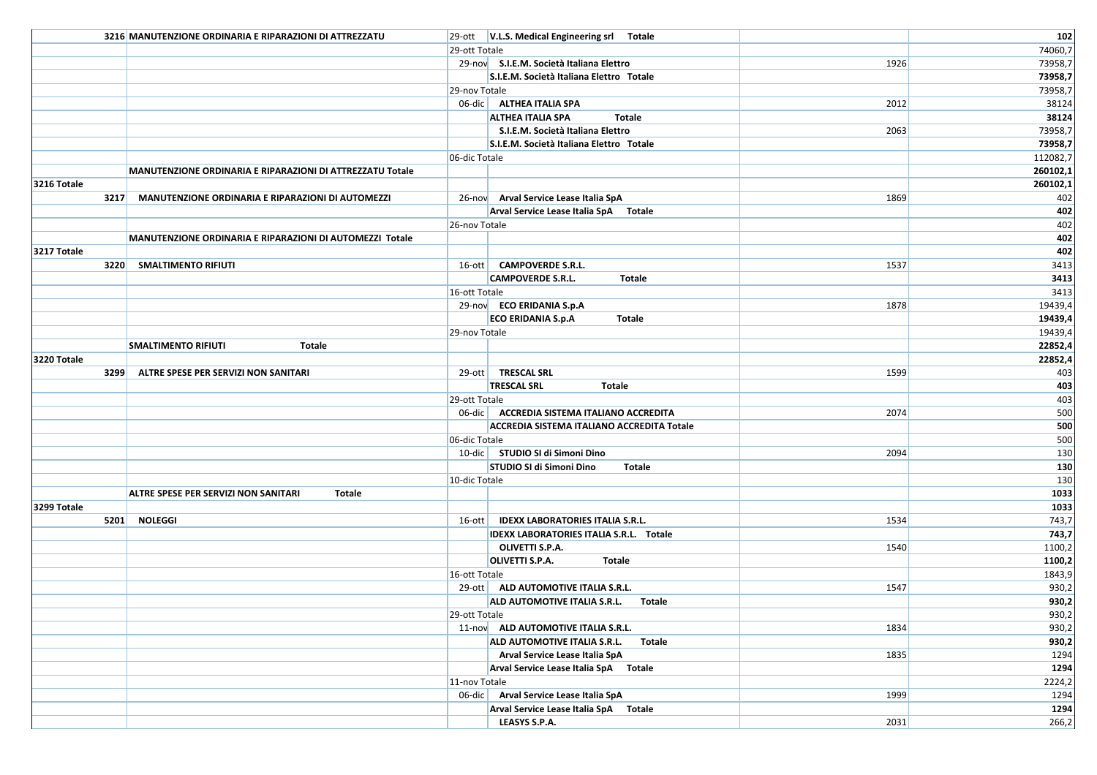|             | 3216 MANUTENZIONE ORDINARIA E RIPARAZIONI DI ATTREZZATU   |               | 29-ott   V.L.S. Medical Engineering srl Totale |      | 102          |
|-------------|-----------------------------------------------------------|---------------|------------------------------------------------|------|--------------|
|             |                                                           | 29-ott Totale |                                                |      | 74060,7      |
|             |                                                           |               | 29-nov S.I.E.M. Società Italiana Elettro       | 1926 | 73958,7      |
|             |                                                           |               | S.I.E.M. Società Italiana Elettro Totale       |      | 73958,7      |
|             |                                                           | 29-nov Totale |                                                |      | 73958,7      |
|             |                                                           |               | 06-dic ALTHEA ITALIA SPA                       | 2012 | 38124        |
|             |                                                           |               | <b>ALTHEA ITALIA SPA</b><br><b>Totale</b>      |      | 38124        |
|             |                                                           |               | S.I.E.M. Società Italiana Elettro              | 2063 | 73958,7      |
|             |                                                           |               | S.I.E.M. Società Italiana Elettro Totale       |      | 73958,7      |
|             |                                                           | 06-dic Totale |                                                |      | 112082,7     |
|             | MANUTENZIONE ORDINARIA E RIPARAZIONI DI ATTREZZATU Totale |               |                                                |      | 260102,1     |
| 3216 Totale |                                                           |               |                                                |      | 260102,1     |
|             | 3217 MANUTENZIONE ORDINARIA E RIPARAZIONI DI AUTOMEZZI    |               | 26-nov Arval Service Lease Italia SpA          | 1869 | 402          |
|             |                                                           |               | Arval Service Lease Italia SpA Totale          |      | 402          |
|             |                                                           | 26-nov Totale |                                                |      | 402          |
|             | MANUTENZIONE ORDINARIA E RIPARAZIONI DI AUTOMEZZI Totale  |               |                                                |      | 402          |
| 3217 Totale |                                                           |               |                                                |      | 402          |
|             | 3220 SMALTIMENTO RIFIUTI                                  |               | 16-ott CAMPOVERDE S.R.L.                       | 1537 | 3413         |
|             |                                                           |               | <b>CAMPOVERDE S.R.L.</b><br><b>Totale</b>      |      | 3413         |
|             |                                                           | 16-ott Totale |                                                |      | 3413         |
|             |                                                           |               | 29-nov ECO ERIDANIA S.p.A                      | 1878 | 19439,4      |
|             |                                                           |               | <b>Totale</b><br><b>ECO ERIDANIA S.p.A</b>     |      | 19439,4      |
|             |                                                           | 29-nov Totale |                                                |      | 19439,4      |
|             | <b>SMALTIMENTO RIFIUTI</b><br><b>Totale</b>               |               |                                                |      | 22852,4      |
| 3220 Totale |                                                           |               |                                                |      | 22852,4      |
|             | 3299 ALTRE SPESE PER SERVIZI NON SANITARI                 |               | 29-ott TRESCAL SRL                             | 1599 | 403          |
|             |                                                           |               | <b>TRESCAL SRL</b><br>Totale                   |      | 403          |
|             |                                                           | 29-ott Totale |                                                |      | 403          |
|             |                                                           |               | 06-dic   ACCREDIA SISTEMA ITALIANO ACCREDITA   | 2074 | 500          |
|             |                                                           |               | ACCREDIA SISTEMA ITALIANO ACCREDITA Totale     |      | 500          |
|             |                                                           | 06-dic Totale |                                                |      | 500          |
|             |                                                           |               | 10-dic   STUDIO SI di Simoni Dino              | 2094 | 130          |
|             |                                                           |               | STUDIO SI di Simoni Dino<br>Totale             |      | 130          |
|             |                                                           | 10-dic Totale |                                                |      | 130          |
| 3299 Totale | <b>ALTRE SPESE PER SERVIZI NON SANITARI</b><br>Totale     |               |                                                |      | 1033<br>1033 |
|             | 5201 NOLEGGI                                              |               | 16-ott   IDEXX LABORATORIES ITALIA S.R.L.      | 1534 | 743,7        |
|             |                                                           |               | IDEXX LABORATORIES ITALIA S.R.L. Totale        |      | 743,7        |
|             |                                                           |               | OLIVETTI S.P.A.                                | 1540 | 1100,2       |
|             |                                                           |               | <b>OLIVETTI S.P.A.</b><br>Totale               |      | 1100,2       |
|             |                                                           | 16-ott Totale |                                                |      | 1843,9       |
|             |                                                           |               | 29-ott ALD AUTOMOTIVE ITALIA S.R.L.            | 1547 | 930,2        |
|             |                                                           |               | ALD AUTOMOTIVE ITALIA S.R.L.<br>Totale         |      | 930,2        |
|             |                                                           | 29-ott Totale |                                                |      | 930,2        |
|             |                                                           |               | 11-nov ALD AUTOMOTIVE ITALIA S.R.L.            | 1834 | 930,2        |
|             |                                                           |               | ALD AUTOMOTIVE ITALIA S.R.L.<br>Totale         |      | 930,2        |
|             |                                                           |               | Arval Service Lease Italia SpA                 | 1835 | 1294         |
|             |                                                           |               | Arval Service Lease Italia SpA Totale          |      | 1294         |
|             |                                                           | 11-nov Totale |                                                |      | 2224,2       |
|             |                                                           |               | 06-dic Arval Service Lease Italia SpA          | 1999 | 1294         |
|             |                                                           |               | Arval Service Lease Italia SpA Totale          |      | 1294         |
|             |                                                           |               | LEASYS S.P.A.                                  | 2031 | 266,2        |
|             |                                                           |               |                                                |      |              |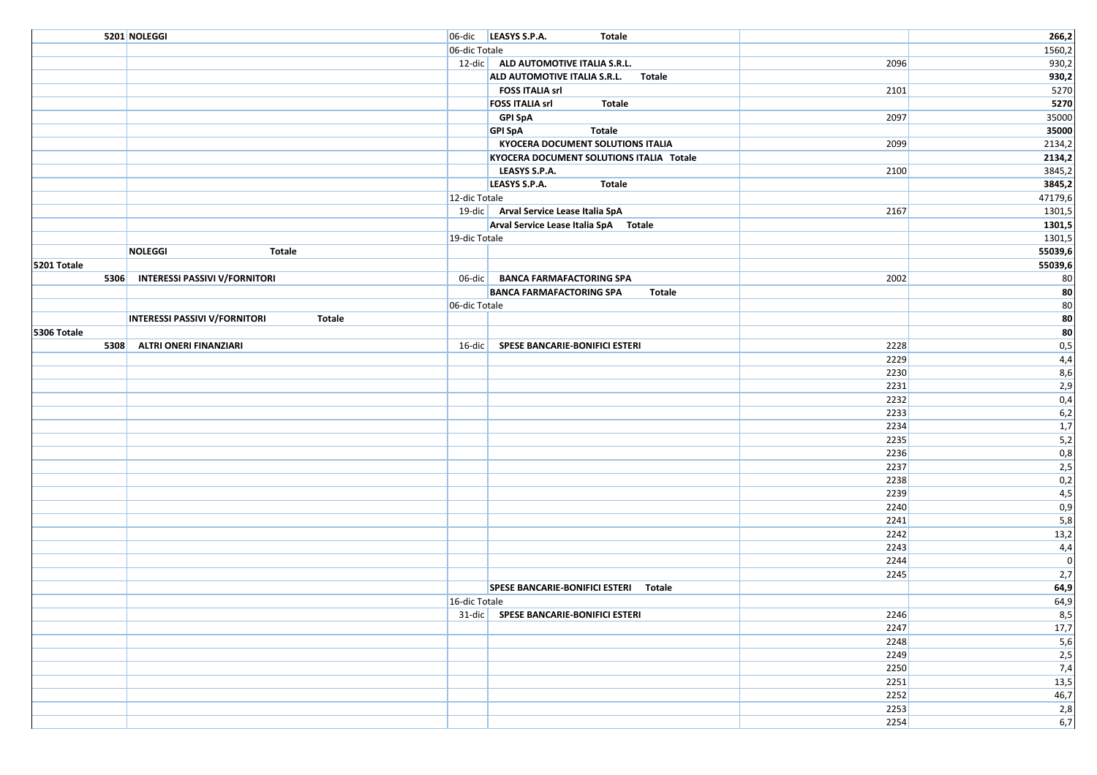|             | 5201 NOLEGGI                                   |                                       | 06-dic LEASYS S.P.A.<br><b>Totale</b>     |              | 266,2                   |
|-------------|------------------------------------------------|---------------------------------------|-------------------------------------------|--------------|-------------------------|
|             |                                                | 06-dic Totale                         |                                           |              | 1560,2                  |
|             |                                                |                                       | 12-dic ALD AUTOMOTIVE ITALIA S.R.L.       | 2096         | 930,2                   |
|             |                                                |                                       | ALD AUTOMOTIVE ITALIA S.R.L. Totale       |              | 930,2                   |
|             |                                                |                                       | <b>FOSS ITALIA srl</b>                    | 2101         | 5270                    |
|             |                                                |                                       | <b>FOSS ITALIA srl</b><br><b>Totale</b>   |              | 5270                    |
|             |                                                |                                       | <b>GPI SpA</b>                            | 2097         | 35000                   |
|             |                                                |                                       | <b>Totale</b><br><b>GPI SpA</b>           |              | 35000                   |
|             |                                                |                                       | <b>KYOCERA DOCUMENT SOLUTIONS ITALIA</b>  | 2099         | 2134,2                  |
|             |                                                |                                       | KYOCERA DOCUMENT SOLUTIONS ITALIA Totale  |              | 2134,2                  |
|             |                                                |                                       | LEASYS S.P.A.                             | 2100         | 3845,2                  |
|             |                                                |                                       | LEASYS S.P.A.<br><b>Totale</b>            |              | 3845,2                  |
|             |                                                | 12-dic Totale                         |                                           |              | 47179,6                 |
|             |                                                |                                       | 19-dic Arval Service Lease Italia SpA     | 2167         | 1301,5                  |
|             |                                                |                                       | Arval Service Lease Italia SpA Totale     |              | 1301,5                  |
|             |                                                | 19-dic Totale                         |                                           |              | 1301,5                  |
|             | <b>NOLEGGI</b><br>Totale                       |                                       |                                           |              | 55039,6                 |
| 5201 Totale |                                                |                                       |                                           |              | 55039,6                 |
|             | 5306 INTERESSI PASSIVI V/FORNITORI             |                                       | 06-dic   BANCA FARMAFACTORING SPA         | 2002         | 80                      |
|             |                                                |                                       | <b>BANCA FARMAFACTORING SPA</b><br>Totale |              | 80                      |
|             |                                                | 06-dic Totale                         |                                           |              | 80                      |
|             | <b>INTERESSI PASSIVI V/FORNITORI</b><br>Totale |                                       |                                           |              | 80                      |
| 5306 Totale |                                                |                                       |                                           |              | 80                      |
| 5308        | ALTRI ONERI FINANZIARI                         |                                       | 16-dic SPESE BANCARIE-BONIFICI ESTERI     | 2228         | 0,5                     |
|             |                                                |                                       |                                           | 2229         | 4,4                     |
|             |                                                |                                       |                                           | 2230         | 8,6                     |
|             |                                                |                                       |                                           | 2231<br>2232 | 2,9                     |
|             |                                                |                                       |                                           |              | 0,4                     |
|             |                                                |                                       |                                           | 2233<br>2234 | 6,2<br>$\overline{1,7}$ |
|             |                                                |                                       |                                           | 2235         | 5,2                     |
|             |                                                |                                       |                                           | 2236         | 0,8                     |
|             |                                                |                                       |                                           | 2237         | 2,5                     |
|             |                                                |                                       |                                           | 2238         | 0,2                     |
|             |                                                |                                       |                                           | 2239         | 4,5                     |
|             |                                                |                                       |                                           | 2240         | 0,9                     |
|             |                                                |                                       |                                           | 2241         | 5,8                     |
|             |                                                |                                       |                                           | 2242         | 13,2                    |
|             |                                                |                                       |                                           | 2243         | 4,4                     |
|             |                                                |                                       |                                           | 2244         | $\mathbf 0$             |
|             |                                                |                                       |                                           | 2245         | 2,7                     |
|             |                                                |                                       | SPESE BANCARIE-BONIFICI ESTERI Totale     |              | 64,9                    |
|             |                                                | 16-dic Totale                         |                                           |              | 64,9                    |
|             |                                                | 31-dic SPESE BANCARIE-BONIFICI ESTERI |                                           | 2246         | 8,5                     |
|             |                                                |                                       |                                           | 2247         | 17,7                    |
|             |                                                |                                       |                                           | 2248         | 5,6                     |
|             |                                                |                                       |                                           | 2249         | 2,5                     |
|             |                                                |                                       |                                           | 2250         | 7,4                     |
|             |                                                |                                       |                                           | 2251         | 13,5                    |
|             |                                                |                                       |                                           | 2252         | 46,7                    |
|             |                                                |                                       |                                           | 2253         | 2,8                     |
|             |                                                |                                       |                                           | 2254         | 6,7                     |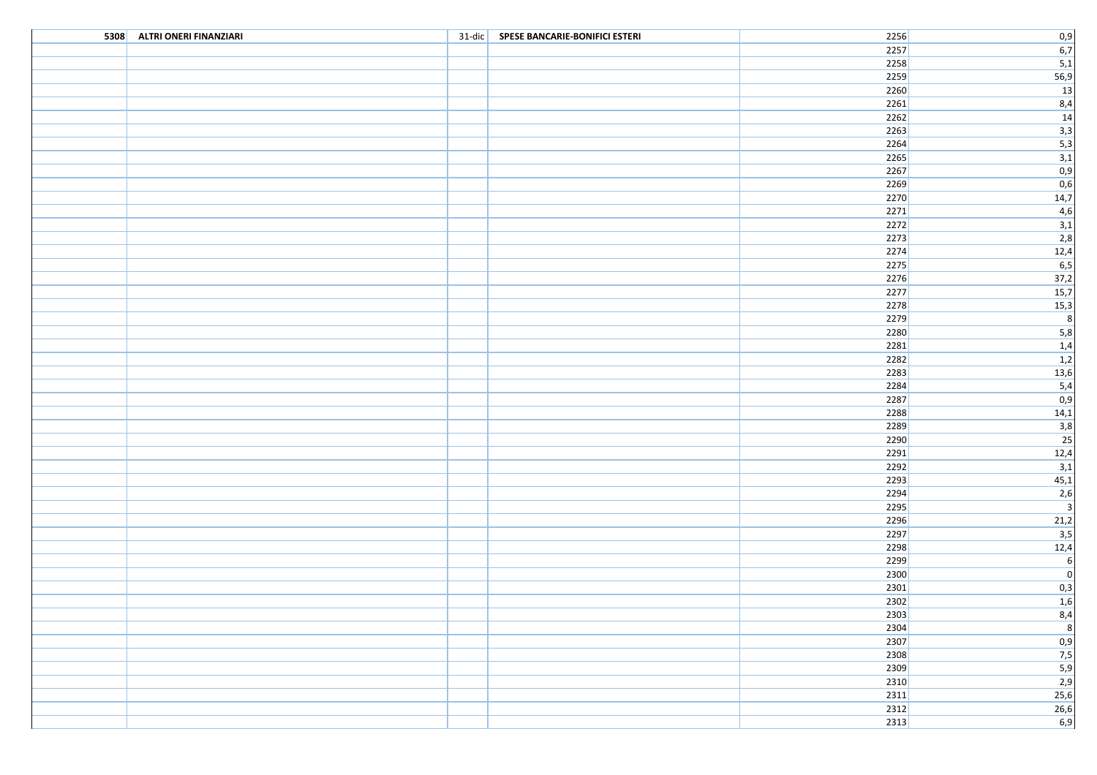| 5308 ALTRI ONERI FINANZIARI | 31-dic SPESE BANCARIE-BONIFICI ESTERI | 2256           |                          |
|-----------------------------|---------------------------------------|----------------|--------------------------|
|                             |                                       | 2257           |                          |
|                             |                                       | 2258           | $\frac{0,9}{6,7}$<br>5,1 |
|                             |                                       | 2259           |                          |
|                             |                                       | $\boxed{2260}$ | $\frac{56,9}{13}$        |
|                             |                                       | 2261           |                          |
|                             |                                       | $2262$         | $\frac{8,4}{14}$         |
|                             |                                       | $2263$         |                          |
|                             |                                       | 2264           | $\frac{3,3}{5,3}$        |
|                             |                                       | $2265$         |                          |
|                             |                                       | 2267           | $\frac{3,1}{0,9}$        |
|                             |                                       | $\boxed{2269}$ | 0,6                      |
|                             |                                       | 2270           | 14,7                     |
|                             |                                       | $\boxed{2271}$ | 4,6                      |
|                             |                                       | $2272$         | 3,1                      |
|                             |                                       | $\boxed{2273}$ | 2,8                      |
|                             |                                       | $2274$         | 12,4                     |
|                             |                                       | $2275$         | 6,5                      |
|                             |                                       | $2276$         | 37,2                     |
|                             |                                       | $2277$         | 15,7                     |
|                             |                                       | 2278           | 15,3                     |
|                             |                                       | 2279           | $\overline{8}$           |
|                             |                                       | 2280           |                          |
|                             |                                       | 2281           | $\overline{5,8}$         |
|                             |                                       |                | 1,4                      |
|                             |                                       | $2282$         | 1,2                      |
|                             |                                       | 2283           | 13,6                     |
|                             |                                       | 2284           | $\overline{5,4}$         |
|                             |                                       | 2287           | 0,9                      |
|                             |                                       | 2288           | 14,1                     |
|                             |                                       | 2289           | 3,8                      |
|                             |                                       | 2290           | 25                       |
|                             |                                       | $2291$         | 12,4                     |
|                             |                                       | $2292$         | 3,1                      |
|                             |                                       | $2293$         | 45,1                     |
|                             |                                       | 2294           | 2,6                      |
|                             |                                       | 2295           | $\overline{\mathbf{3}}$  |
|                             |                                       | 2296           | 21,2                     |
|                             |                                       | 2297           | $\overline{3,5}$         |
|                             |                                       | 2298           | 12,4                     |
|                             |                                       | 2299           | $\frac{6}{0}$            |
|                             |                                       | 2300           |                          |
|                             |                                       | 2301           | 0,3                      |
|                             |                                       | 2302           | $\frac{1,6}{8,4}$        |
|                             |                                       | $2303$         |                          |
|                             |                                       | 2304           | $\overline{\mathbf{8}}$  |
|                             |                                       | 2307           | $\frac{0,9}{7,5}$<br>5,9 |
|                             |                                       | 2308           |                          |
|                             |                                       | 2309           |                          |
|                             |                                       | 2310           | 2,9                      |
|                             |                                       | $\boxed{2311}$ | $\overline{25,6}$        |
|                             |                                       | $\boxed{2312}$ | 26,6                     |
|                             |                                       | $\boxed{2313}$ | 6,9                      |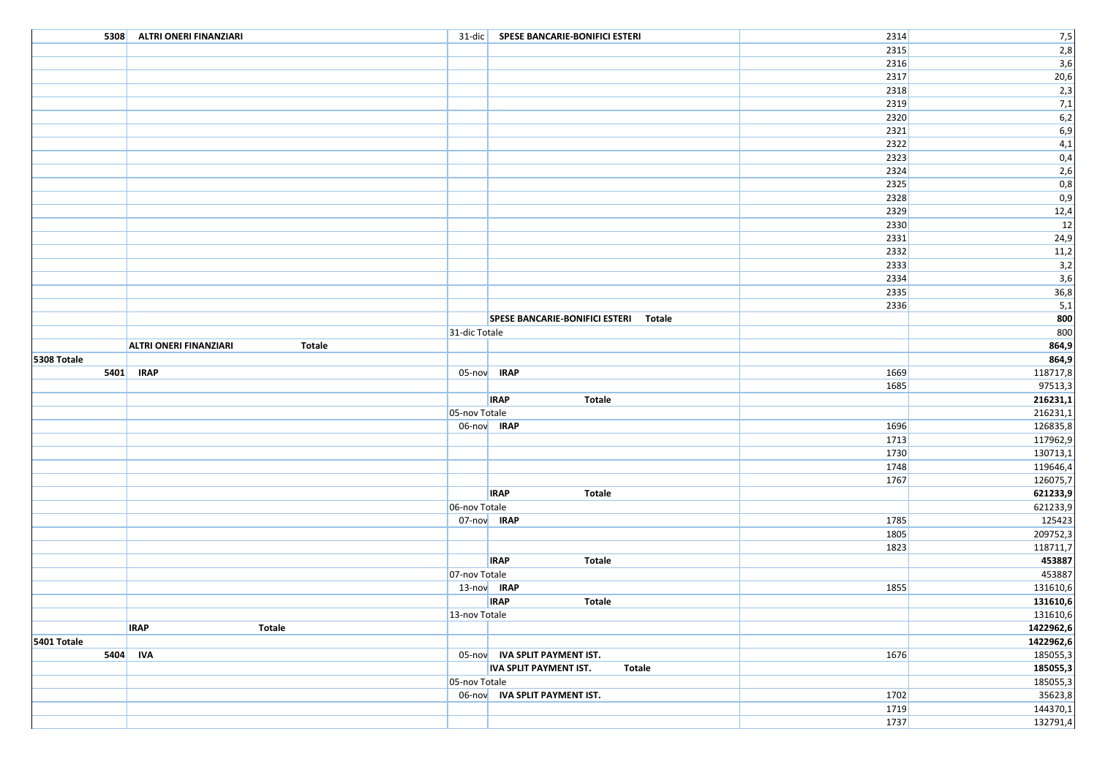|             | 5308 ALTRI ONERI FINANZIARI             |               | 31-dic SPESE BANCARIE-BONIFICI ESTERI          | 2314         | 7,5                  |
|-------------|-----------------------------------------|---------------|------------------------------------------------|--------------|----------------------|
|             |                                         |               |                                                | 2315         | 2,8                  |
|             |                                         |               |                                                | 2316         | 3,6                  |
|             |                                         |               |                                                | 2317         | 20,6                 |
|             |                                         |               |                                                | 2318         | 2,3                  |
|             |                                         |               |                                                | 2319         | 7,1                  |
|             |                                         |               |                                                | 2320         | 6,2                  |
|             |                                         |               |                                                | 2321         | 6,9                  |
|             |                                         |               |                                                | 2322         | 4,1                  |
|             |                                         |               |                                                | 2323         | 0,4                  |
|             |                                         |               |                                                | 2324         | 2,6                  |
|             |                                         |               |                                                | 2325         | 0,8                  |
|             |                                         |               |                                                | 2328         | 0,9                  |
|             |                                         |               |                                                | 2329         | 12,4                 |
|             |                                         |               |                                                | 2330         | 12                   |
|             |                                         |               |                                                | 2331         | 24,9                 |
|             |                                         |               |                                                | 2332         | 11,2                 |
|             |                                         |               |                                                | 2333         | 3,2                  |
|             |                                         |               |                                                | 2334         | 3,6                  |
|             |                                         |               |                                                | 2335         | 36,8                 |
|             |                                         |               |                                                | 2336         | 5,1                  |
|             |                                         |               | SPESE BANCARIE-BONIFICI ESTERI Totale          |              | 800                  |
|             |                                         | 31-dic Totale |                                                |              | 800                  |
|             | <b>ALTRI ONERI FINANZIARI</b><br>Totale |               |                                                |              | 864,9                |
| 5308 Totale |                                         |               |                                                |              | 864,9                |
|             | 5401 IRAP                               |               | 05-nov <b>IRAP</b>                             | 1669         | 118717,8             |
|             |                                         |               |                                                | 1685         | 97513,3              |
|             |                                         |               | <b>IRAP</b><br><b>Totale</b>                   |              | 216231,1             |
|             |                                         | 05-nov Totale | 06-nov IRAP                                    |              | 216231,1             |
|             |                                         |               |                                                | 1696         | 126835,8<br>117962,9 |
|             |                                         |               |                                                | 1713<br>1730 | 130713,1             |
|             |                                         |               |                                                | 1748         | 119646,4             |
|             |                                         |               |                                                | 1767         | 126075,7             |
|             |                                         |               | <b>IRAP</b><br><b>Totale</b>                   |              | 621233,9             |
|             |                                         | 06-nov Totale |                                                |              | 621233,9             |
|             |                                         | 07-nov IRAP   |                                                | 1785         | 125423               |
|             |                                         |               |                                                | 1805         | 209752,3             |
|             |                                         |               |                                                | 1823         | 118711,7             |
|             |                                         |               | <b>IRAP</b><br><b>Totale</b>                   |              | 453887               |
|             |                                         | 07-nov Totale |                                                |              | 453887               |
|             |                                         |               | 13-nov IRAP                                    | 1855         | 131610,6             |
|             |                                         |               | <b>IRAP</b><br><b>Totale</b>                   |              | 131610,6             |
|             |                                         | 13-nov Totale |                                                |              | 131610,6             |
|             | <b>IRAP</b><br>Totale                   |               |                                                |              | 1422962,6            |
| 5401 Totale |                                         |               |                                                |              | 1422962,6            |
|             | 5404 IVA                                |               | 05-nov IVA SPLIT PAYMENT IST.                  | 1676         | 185055,3             |
|             |                                         |               | <b>IVA SPLIT PAYMENT IST.</b><br><b>Totale</b> |              | 185055,3             |
|             |                                         | 05-nov Totale |                                                |              | 185055,3             |
|             |                                         |               | 06-nov IVA SPLIT PAYMENT IST.                  | 1702         | 35623,8              |
|             |                                         |               |                                                | 1719         | 144370,1             |
|             |                                         |               |                                                | 1737         | 132791,4             |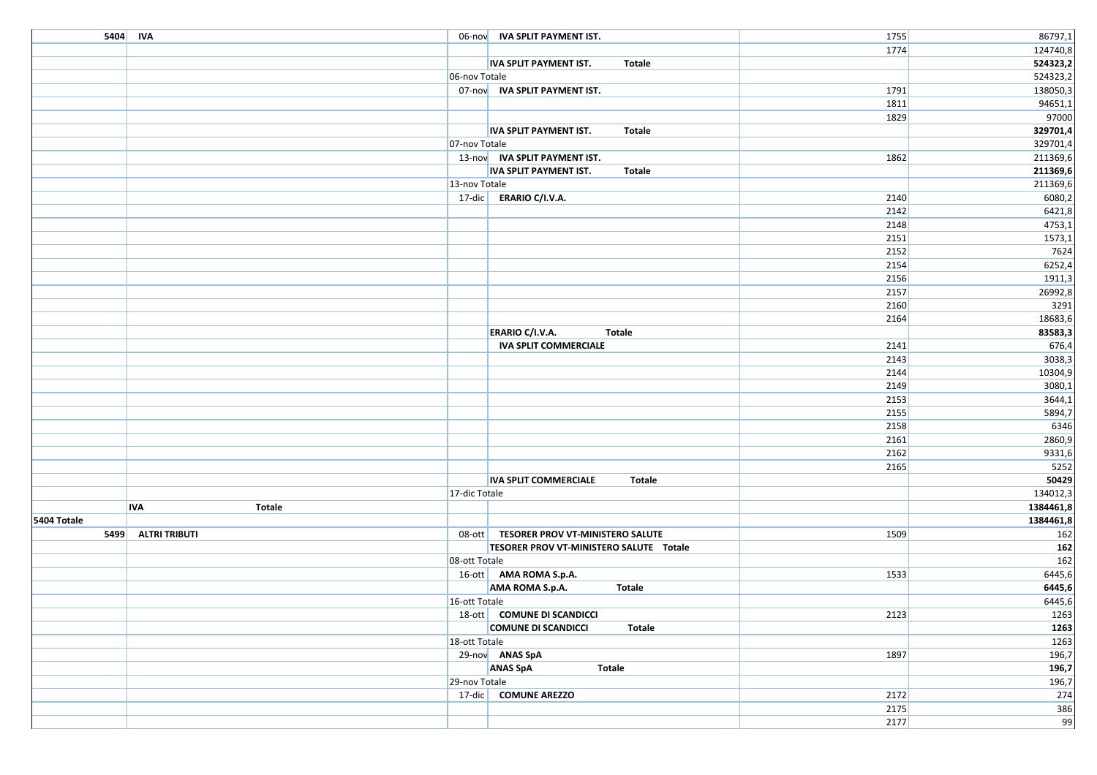|             | 5404 IVA                    |               | 06-nov IVA SPLIT PAYMENT IST.                  | 1755 | 86797,1   |
|-------------|-----------------------------|---------------|------------------------------------------------|------|-----------|
|             |                             |               |                                                | 1774 | 124740,8  |
|             |                             |               | <b>IVA SPLIT PAYMENT IST.</b><br><b>Totale</b> |      | 524323,2  |
|             |                             | 06-nov Totale |                                                |      | 524323,2  |
|             |                             |               | 07-nov IVA SPLIT PAYMENT IST.                  | 1791 | 138050,3  |
|             |                             |               |                                                | 1811 | 94651,1   |
|             |                             |               |                                                | 1829 | 97000     |
|             |                             |               | <b>Totale</b><br><b>IVA SPLIT PAYMENT IST.</b> |      | 329701,4  |
|             |                             | 07-nov Totale |                                                |      | 329701,4  |
|             |                             |               | 13-nov IVA SPLIT PAYMENT IST.                  | 1862 | 211369,6  |
|             |                             |               | IVA SPLIT PAYMENT IST.<br>Totale               |      | 211369,6  |
|             |                             | 13-nov Totale |                                                |      | 211369,6  |
|             |                             |               | 17-dic ERARIO C/I.V.A.                         | 2140 | 6080,2    |
|             |                             |               |                                                | 2142 | 6421,8    |
|             |                             |               |                                                | 2148 | 4753,1    |
|             |                             |               |                                                | 2151 | 1573,1    |
|             |                             |               |                                                | 2152 | 7624      |
|             |                             |               |                                                | 2154 | 6252,4    |
|             |                             |               |                                                | 2156 | 1911,3    |
|             |                             |               |                                                | 2157 | 26992,8   |
|             |                             |               |                                                | 2160 | 3291      |
|             |                             |               |                                                | 2164 | 18683,6   |
|             |                             |               | <b>ERARIO C/I.V.A.</b><br><b>Totale</b>        |      | 83583,3   |
|             |                             |               | <b>IVA SPLIT COMMERCIALE</b>                   | 2141 | 676,4     |
|             |                             |               |                                                | 2143 | 3038,3    |
|             |                             |               |                                                | 2144 | 10304,9   |
|             |                             |               |                                                | 2149 | 3080,1    |
|             |                             |               |                                                | 2153 | 3644,1    |
|             |                             |               |                                                | 2155 | 5894,7    |
|             |                             |               |                                                | 2158 | 6346      |
|             |                             |               |                                                | 2161 | 2860,9    |
|             |                             |               |                                                | 2162 | 9331,6    |
|             |                             |               |                                                | 2165 | 5252      |
|             |                             |               | <b>IVA SPLIT COMMERCIALE</b><br><b>Totale</b>  |      | 50429     |
|             |                             | 17-dic Totale |                                                |      | 134012,3  |
|             | <b>Totale</b><br><b>IVA</b> |               |                                                |      | 1384461,8 |
| 5404 Totale |                             |               |                                                |      | 1384461,8 |
| 5499        | <b>ALTRI TRIBUTI</b>        |               | 08-ott   TESORER PROV VT-MINISTERO SALUTE      | 1509 | 162       |
|             |                             |               | TESORER PROV VT-MINISTERO SALUTE Totale        |      | 162       |
|             |                             | 08-ott Totale |                                                |      | 162       |
|             |                             |               | 16-ott AMA ROMA S.p.A.                         | 1533 | 6445,6    |
|             |                             |               | AMA ROMA S.p.A.<br><b>Totale</b>               |      | 6445,6    |
|             |                             | 16-ott Totale |                                                |      | 6445,6    |
|             |                             |               | 18-ott COMUNE DI SCANDICCI                     | 2123 | 1263      |
|             |                             |               | <b>COMUNE DI SCANDICCI</b><br>Totale           |      | 1263      |
|             |                             | 18-ott Totale |                                                |      | 1263      |
|             |                             |               | 29-nov ANAS SpA                                | 1897 | 196,7     |
|             |                             |               | <b>ANAS SpA</b><br><b>Totale</b>               |      | 196,7     |
|             |                             | 29-nov Totale |                                                |      | 196,7     |
|             |                             |               | 17-dic COMUNE AREZZO                           | 2172 | 274       |
|             |                             |               |                                                | 2175 | 386       |
|             |                             |               |                                                | 2177 | 99        |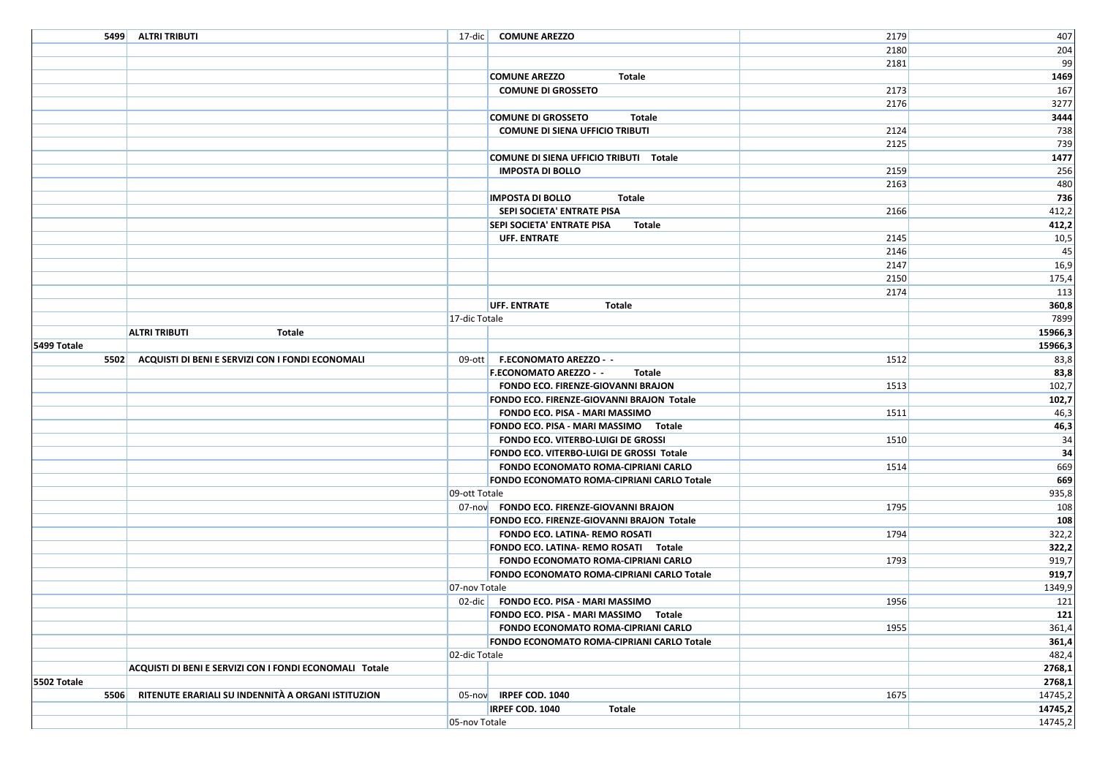|             | 5499 ALTRI TRIBUTI                                      |               | 17-dic COMUNE AREZZO                        | 2179 | 407     |
|-------------|---------------------------------------------------------|---------------|---------------------------------------------|------|---------|
|             |                                                         |               |                                             | 2180 | 204     |
|             |                                                         |               |                                             | 2181 | 99      |
|             |                                                         |               | <b>COMUNE AREZZO</b><br>Totale              |      | 1469    |
|             |                                                         |               | <b>COMUNE DI GROSSETO</b>                   | 2173 | 167     |
|             |                                                         |               |                                             | 2176 | 3277    |
|             |                                                         |               | <b>COMUNE DI GROSSETO</b><br>Totale         |      | 3444    |
|             |                                                         |               | <b>COMUNE DI SIENA UFFICIO TRIBUTI</b>      | 2124 | 738     |
|             |                                                         |               |                                             | 2125 | 739     |
|             |                                                         |               | COMUNE DI SIENA UFFICIO TRIBUTI Totale      |      | 1477    |
|             |                                                         |               | <b>IMPOSTA DI BOLLO</b>                     | 2159 | 256     |
|             |                                                         |               |                                             | 2163 | 480     |
|             |                                                         |               | <b>IMPOSTA DI BOLLO</b><br>Totale           |      | 736     |
|             |                                                         |               | SEPI SOCIETA' ENTRATE PISA                  | 2166 | 412,2   |
|             |                                                         |               | <b>SEPI SOCIETA' ENTRATE PISA</b><br>Totale |      | 412,2   |
|             |                                                         |               | <b>UFF. ENTRATE</b>                         | 2145 | 10,5    |
|             |                                                         |               |                                             | 2146 | 45      |
|             |                                                         |               |                                             | 2147 | 16,9    |
|             |                                                         |               |                                             | 2150 | 175,4   |
|             |                                                         |               |                                             | 2174 | 113     |
|             |                                                         |               | <b>UFF. ENTRATE</b><br>Totale               |      | 360,8   |
|             |                                                         | 17-dic Totale |                                             |      | 7899    |
|             | <b>ALTRI TRIBUTI</b><br>Totale                          |               |                                             |      | 15966,3 |
| 5499 Totale |                                                         |               |                                             |      | 15966,3 |
|             | 5502 ACQUISTI DI BENI E SERVIZI CON I FONDI ECONOMALI   |               | 09-ott   F.ECONOMATO AREZZO - -             | 1512 | 83,8    |
|             |                                                         |               | <b>F.ECONOMATO AREZZO - -</b><br>Totale     |      | 83,8    |
|             |                                                         |               | <b>FONDO ECO. FIRENZE-GIOVANNI BRAJON</b>   | 1513 | 102,7   |
|             |                                                         |               | FONDO ECO. FIRENZE-GIOVANNI BRAJON Totale   |      | 102,7   |
|             |                                                         |               | FONDO ECO. PISA - MARI MASSIMO              | 1511 | 46,3    |
|             |                                                         |               | FONDO ECO. PISA - MARI MASSIMO Totale       |      | 46,3    |
|             |                                                         |               | FONDO ECO. VITERBO-LUIGI DE GROSSI          | 1510 | 34      |
|             |                                                         |               | FONDO ECO. VITERBO-LUIGI DE GROSSI Totale   |      | 34      |
|             |                                                         |               | FONDO ECONOMATO ROMA-CIPRIANI CARLO         | 1514 | 669     |
|             |                                                         |               | FONDO ECONOMATO ROMA-CIPRIANI CARLO Totale  |      | 669     |
|             |                                                         | 09-ott Totale |                                             |      | 935,8   |
|             |                                                         |               | 07-nov FONDO ECO. FIRENZE-GIOVANNI BRAJON   | 1795 | 108     |
|             |                                                         |               | FONDO ECO. FIRENZE-GIOVANNI BRAJON Totale   |      | 108     |
|             |                                                         |               | FONDO ECO. LATINA- REMO ROSATI              | 1794 | 322,2   |
|             |                                                         |               | FONDO ECO. LATINA- REMO ROSATI Totale       |      | 322,2   |
|             |                                                         |               | FONDO ECONOMATO ROMA-CIPRIANI CARLO         | 1793 | 919,7   |
|             |                                                         |               | FONDO ECONOMATO ROMA-CIPRIANI CARLO Totale  |      | 919,7   |
|             |                                                         | 07-nov Totale |                                             |      | 1349,9  |
|             |                                                         |               | 02-dic   FONDO ECO. PISA - MARI MASSIMO     | 1956 | 121     |
|             |                                                         |               | FONDO ECO. PISA - MARI MASSIMO Totale       |      | 121     |
|             |                                                         |               | FONDO ECONOMATO ROMA-CIPRIANI CARLO         | 1955 | 361,4   |
|             |                                                         |               | FONDO ECONOMATO ROMA-CIPRIANI CARLO Totale  |      | 361,4   |
|             |                                                         | 02-dic Totale |                                             |      | 482,4   |
|             | ACQUISTI DI BENI E SERVIZI CON I FONDI ECONOMALI Totale |               |                                             |      | 2768,1  |
| 5502 Totale |                                                         |               |                                             |      | 2768,1  |
| 5506        | RITENUTE ERARIALI SU INDENNITÀ A ORGANI ISTITUZION      |               | 05-nov IRPEF COD. 1040                      | 1675 | 14745,2 |
|             |                                                         |               | IRPEF COD. 1040<br>Totale                   |      | 14745,2 |
|             |                                                         | 05-nov Totale |                                             |      | 14745,2 |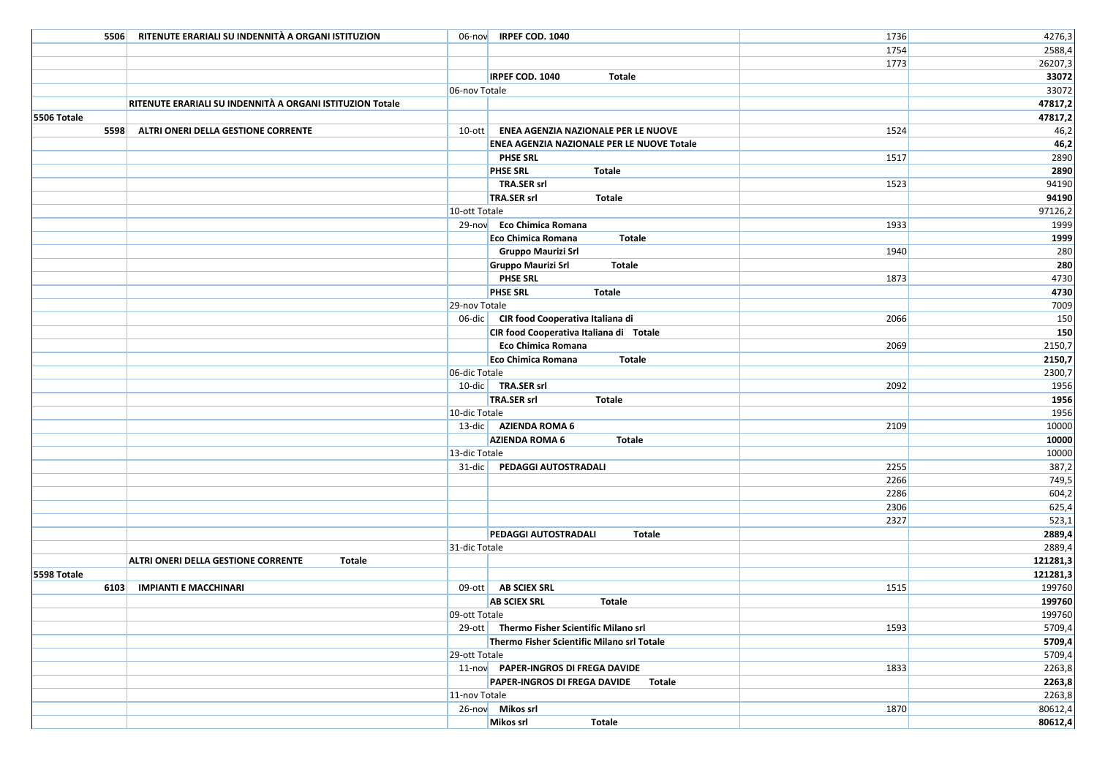| 5506        | RITENUTE ERARIALI SU INDENNITÀ A ORGANI ISTITUZION        |               | 06-nov IRPEF COD. 1040                       | 1736 | 4276,3   |
|-------------|-----------------------------------------------------------|---------------|----------------------------------------------|------|----------|
|             |                                                           |               |                                              | 1754 | 2588,4   |
|             |                                                           |               |                                              | 1773 | 26207,3  |
|             |                                                           |               | IRPEF COD. 1040<br>Totale                    |      | 33072    |
|             |                                                           | 06-nov Totale |                                              |      | 33072    |
|             | RITENUTE ERARIALI SU INDENNITÀ A ORGANI ISTITUZION Totale |               |                                              |      | 47817,2  |
| 5506 Totale |                                                           |               |                                              |      | 47817,2  |
| 5598        | ALTRI ONERI DELLA GESTIONE CORRENTE                       |               | 10-ott   ENEA AGENZIA NAZIONALE PER LE NUOVE | 1524 | 46,2     |
|             |                                                           |               | ENEA AGENZIA NAZIONALE PER LE NUOVE Totale   |      | 46,2     |
|             |                                                           |               |                                              |      |          |
|             |                                                           |               | PHSE SRL                                     | 1517 | 2890     |
|             |                                                           |               | <b>PHSE SRL</b><br>Totale                    |      | 2890     |
|             |                                                           |               | <b>TRA.SER srl</b>                           | 1523 | 94190    |
|             |                                                           |               | TRA.SER srl<br><b>Totale</b>                 |      | 94190    |
|             |                                                           | 10-ott Totale |                                              |      | 97126,2  |
|             |                                                           |               | 29-nov Eco Chimica Romana                    | 1933 | 1999     |
|             |                                                           |               | <b>Totale</b><br>Eco Chimica Romana          |      | 1999     |
|             |                                                           |               | Gruppo Maurizi Srl                           | 1940 | 280      |
|             |                                                           |               | <b>Gruppo Maurizi Srl</b><br>Totale          |      | 280      |
|             |                                                           |               | <b>PHSE SRL</b>                              | 1873 | 4730     |
|             |                                                           |               | <b>PHSE SRL</b><br>Totale                    |      | 4730     |
|             |                                                           | 29-nov Totale |                                              |      | 7009     |
|             |                                                           |               | 06-dic CIR food Cooperativa Italiana di      | 2066 | 150      |
|             |                                                           |               | CIR food Cooperativa Italiana di Totale      |      | 150      |
|             |                                                           |               | Eco Chimica Romana                           | 2069 | 2150,7   |
|             |                                                           |               | Totale<br>Eco Chimica Romana                 |      | 2150,7   |
|             |                                                           | 06-dic Totale |                                              |      | 2300,7   |
|             |                                                           |               | 10-dic TRA.SER srl                           | 2092 | 1956     |
|             |                                                           |               | TRA.SER srl<br>Totale                        |      | 1956     |
|             |                                                           |               |                                              |      |          |
|             |                                                           | 10-dic Totale |                                              |      | 1956     |
|             |                                                           |               | 13-dic AZIENDA ROMA 6                        | 2109 | 10000    |
|             |                                                           |               | <b>AZIENDA ROMA 6</b><br><b>Totale</b>       |      | 10000    |
|             |                                                           | 13-dic Totale |                                              |      | 10000    |
|             |                                                           |               | 31-dic PEDAGGI AUTOSTRADALI                  | 2255 | 387,2    |
|             |                                                           |               |                                              | 2266 | 749,5    |
|             |                                                           |               |                                              | 2286 | 604,2    |
|             |                                                           |               |                                              | 2306 | 625,4    |
|             |                                                           |               |                                              | 2327 | 523,1    |
|             |                                                           |               | PEDAGGI AUTOSTRADALI<br><b>Totale</b>        |      | 2889,4   |
|             |                                                           | 31-dic Totale |                                              |      | 2889,4   |
|             | ALTRI ONERI DELLA GESTIONE CORRENTE<br>Totale             |               |                                              |      | 121281,3 |
| 5598 Totale |                                                           |               |                                              |      | 121281,3 |
| 6103        | <b>IMPIANTI E MACCHINARI</b>                              | $09$ -ott     | <b>AB SCIEX SRL</b>                          | 1515 | 199760   |
|             |                                                           |               | <b>AB SCIEX SRL</b><br><b>Totale</b>         |      | 199760   |
|             |                                                           | 09-ott Totale |                                              |      | 199760   |
|             |                                                           |               | 29-ott Thermo Fisher Scientific Milano srl   | 1593 | 5709,4   |
|             |                                                           |               | Thermo Fisher Scientific Milano srl Totale   |      | 5709,4   |
|             |                                                           | 29-ott Totale |                                              |      | 5709,4   |
|             |                                                           |               | 11-nov PAPER-INGROS DI FREGA DAVIDE          | 1833 | 2263,8   |
|             |                                                           |               | PAPER-INGROS DI FREGA DAVIDE Totale          |      | 2263,8   |
|             |                                                           | 11-nov Totale |                                              |      | 2263,8   |
|             |                                                           |               | 26-nov Mikos srl                             | 1870 | 80612,4  |
|             |                                                           |               | Mikos srl<br><b>Totale</b>                   |      |          |
|             |                                                           |               |                                              |      | 80612,4  |